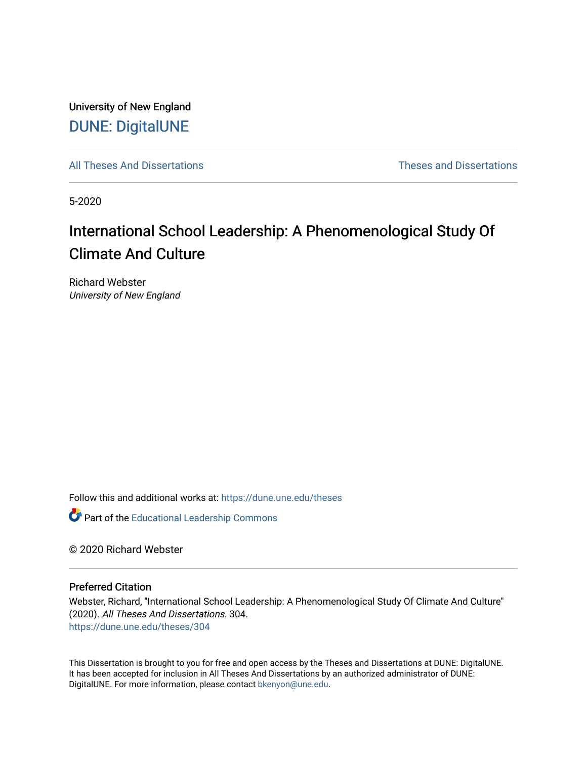University of New England [DUNE: DigitalUNE](https://dune.une.edu/) 

[All Theses And Dissertations](https://dune.une.edu/theses) [Theses and Dissertations](https://dune.une.edu/theses_dissertations) 

5-2020

# International School Leadership: A Phenomenological Study Of Climate And Culture

Richard Webster University of New England

Follow this and additional works at: [https://dune.une.edu/theses](https://dune.une.edu/theses?utm_source=dune.une.edu%2Ftheses%2F304&utm_medium=PDF&utm_campaign=PDFCoverPages) 

**Part of the Educational Leadership Commons** 

© 2020 Richard Webster

#### Preferred Citation

Webster, Richard, "International School Leadership: A Phenomenological Study Of Climate And Culture" (2020). All Theses And Dissertations. 304. [https://dune.une.edu/theses/304](https://dune.une.edu/theses/304?utm_source=dune.une.edu%2Ftheses%2F304&utm_medium=PDF&utm_campaign=PDFCoverPages)

This Dissertation is brought to you for free and open access by the Theses and Dissertations at DUNE: DigitalUNE. It has been accepted for inclusion in All Theses And Dissertations by an authorized administrator of DUNE: DigitalUNE. For more information, please contact [bkenyon@une.edu.](mailto:bkenyon@une.edu)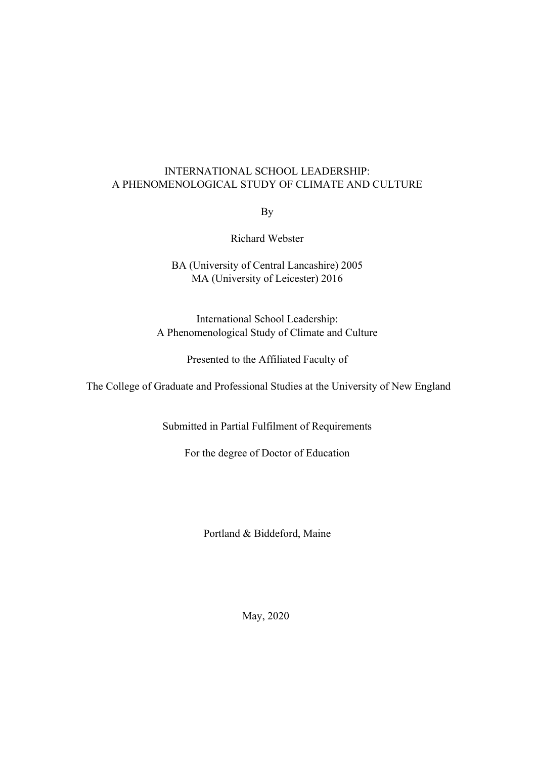## INTERNATIONAL SCHOOL LEADERSHIP: A PHENOMENOLOGICAL STUDY OF CLIMATE AND CULTURE

By

Richard Webster

# BA (University of Central Lancashire) 2005 MA (University of Leicester) 2016

International School Leadership: A Phenomenological Study of Climate and Culture

Presented to the Affiliated Faculty of

The College of Graduate and Professional Studies at the University of New England

Submitted in Partial Fulfilment of Requirements

For the degree of Doctor of Education

Portland & Biddeford, Maine

May, 2020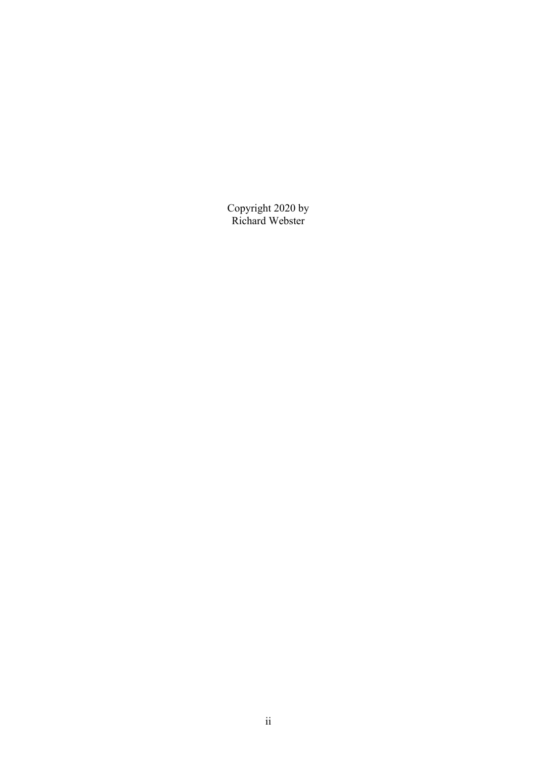Copyright 2020 by Richard Webster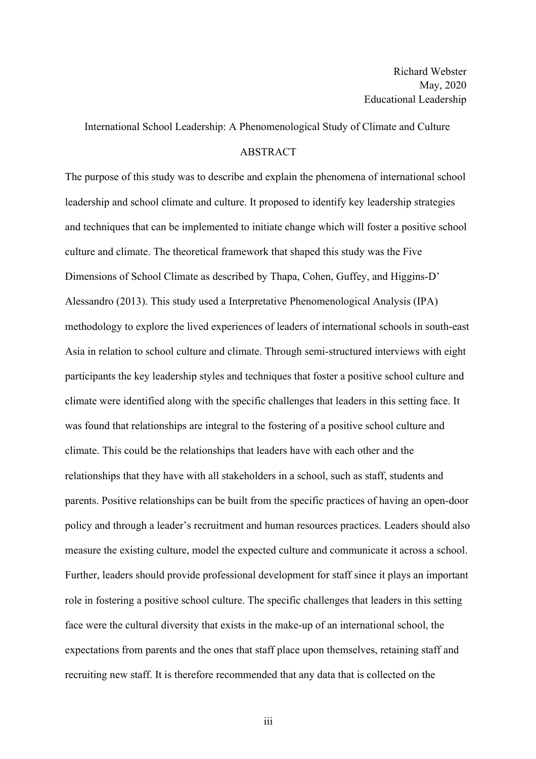International School Leadership: A Phenomenological Study of Climate and Culture

#### ABSTRACT

The purpose of this study was to describe and explain the phenomena of international school leadership and school climate and culture. It proposed to identify key leadership strategies and techniques that can be implemented to initiate change which will foster a positive school culture and climate. The theoretical framework that shaped this study was the Five Dimensions of School Climate as described by Thapa, Cohen, Guffey, and Higgins-D' Alessandro (2013). This study used a Interpretative Phenomenological Analysis (IPA) methodology to explore the lived experiences of leaders of international schools in south-east Asia in relation to school culture and climate. Through semi-structured interviews with eight participants the key leadership styles and techniques that foster a positive school culture and climate were identified along with the specific challenges that leaders in this setting face. It was found that relationships are integral to the fostering of a positive school culture and climate. This could be the relationships that leaders have with each other and the relationships that they have with all stakeholders in a school, such as staff, students and parents. Positive relationships can be built from the specific practices of having an open-door policy and through a leader's recruitment and human resources practices. Leaders should also measure the existing culture, model the expected culture and communicate it across a school. Further, leaders should provide professional development for staff since it plays an important role in fostering a positive school culture. The specific challenges that leaders in this setting face were the cultural diversity that exists in the make-up of an international school, the expectations from parents and the ones that staff place upon themselves, retaining staff and recruiting new staff. It is therefore recommended that any data that is collected on the

iii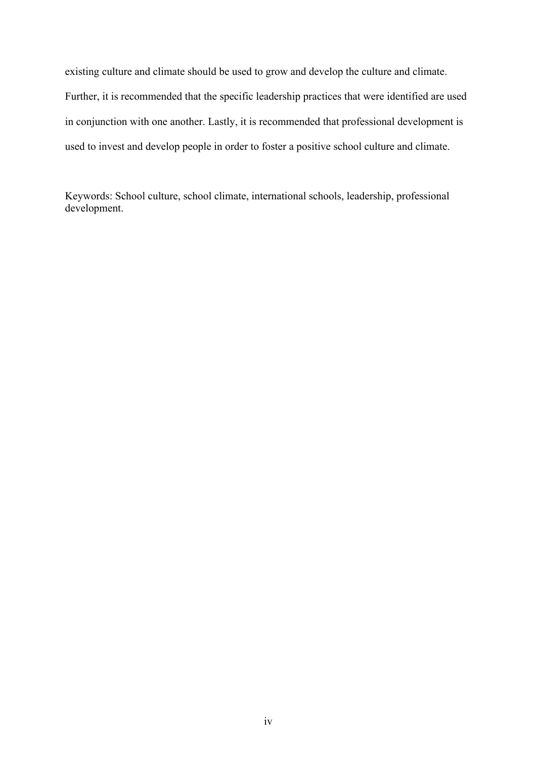existing culture and climate should be used to grow and develop the culture and climate. Further, it is recommended that the specific leadership practices that were identified are used in conjunction with one another. Lastly, it is recommended that professional development is used to invest and develop people in order to foster a positive school culture and climate.

Keywords: School culture, school climate, international schools, leadership, professional development.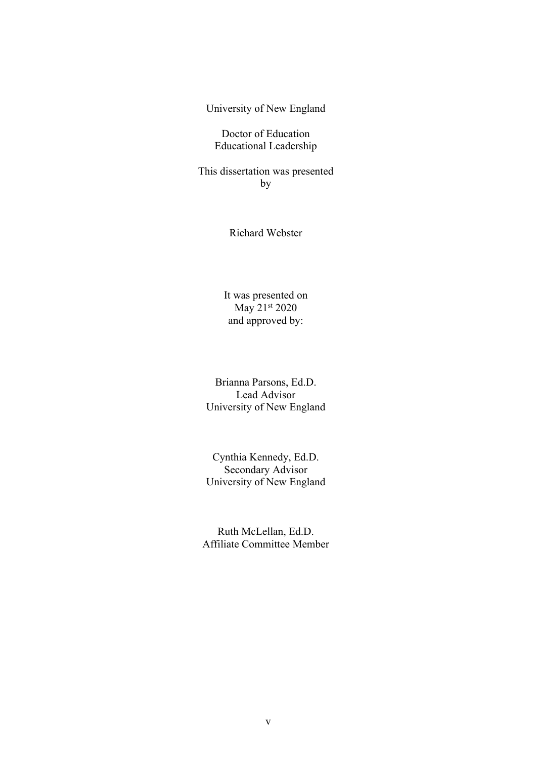University of New England

Doctor of Education Educational Leadership

This dissertation was presented by

Richard Webster

It was presented on May 21st 2020 and approved by:

Brianna Parsons, Ed.D. Lead Advisor University of New England

Cynthia Kennedy, Ed.D. Secondary Advisor University of New England

Ruth McLellan, Ed.D. Affiliate Committee Member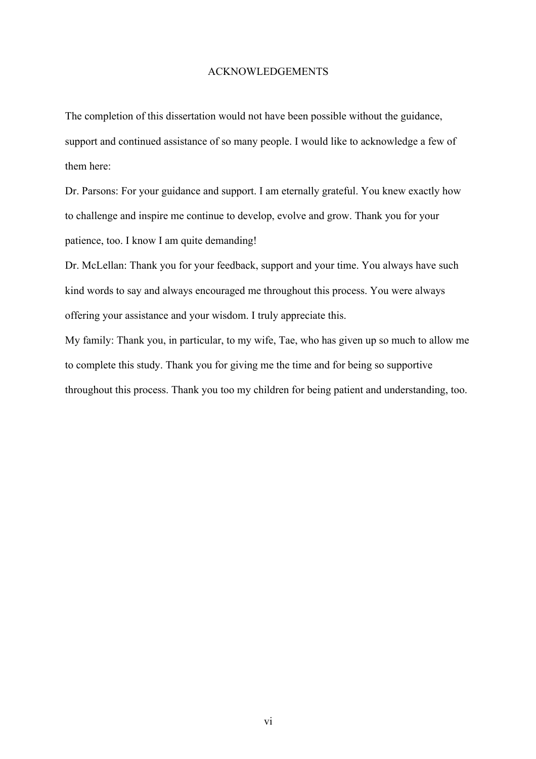#### ACKNOWLEDGEMENTS

The completion of this dissertation would not have been possible without the guidance, support and continued assistance of so many people. I would like to acknowledge a few of them here:

Dr. Parsons: For your guidance and support. I am eternally grateful. You knew exactly how to challenge and inspire me continue to develop, evolve and grow. Thank you for your patience, too. I know I am quite demanding!

Dr. McLellan: Thank you for your feedback, support and your time. You always have such kind words to say and always encouraged me throughout this process. You were always offering your assistance and your wisdom. I truly appreciate this.

My family: Thank you, in particular, to my wife, Tae, who has given up so much to allow me to complete this study. Thank you for giving me the time and for being so supportive throughout this process. Thank you too my children for being patient and understanding, too.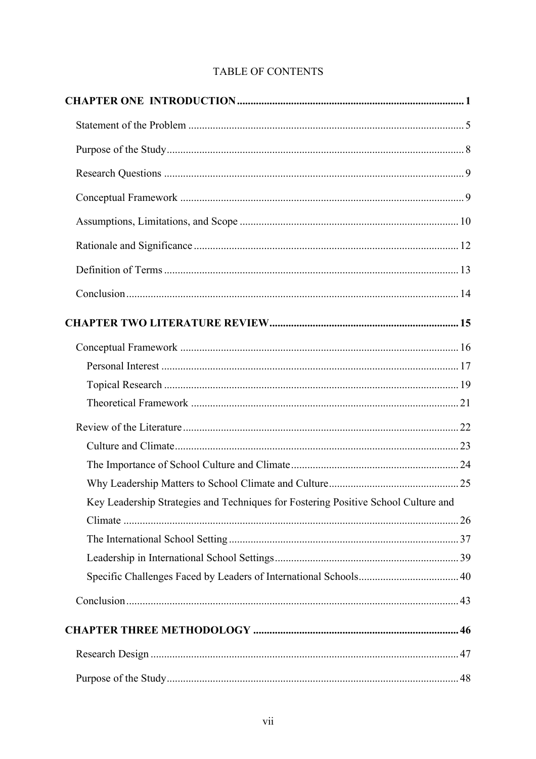# TABLE OF CONTENTS

| Key Leadership Strategies and Techniques for Fostering Positive School Culture and |  |
|------------------------------------------------------------------------------------|--|
|                                                                                    |  |
|                                                                                    |  |
|                                                                                    |  |
|                                                                                    |  |
|                                                                                    |  |
|                                                                                    |  |
|                                                                                    |  |
|                                                                                    |  |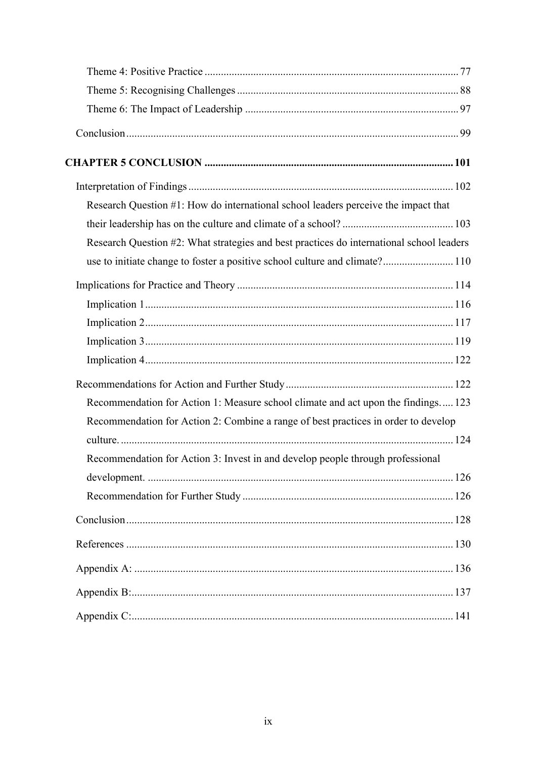| Research Question #1: How do international school leaders perceive the impact that       |
|------------------------------------------------------------------------------------------|
|                                                                                          |
| Research Question #2: What strategies and best practices do international school leaders |
| use to initiate change to foster a positive school culture and climate? 110              |
|                                                                                          |
|                                                                                          |
|                                                                                          |
|                                                                                          |
|                                                                                          |
|                                                                                          |
| Recommendation for Action 1: Measure school climate and act upon the findings 123        |
| Recommendation for Action 2: Combine a range of best practices in order to develop       |
|                                                                                          |
| Recommendation for Action 3: Invest in and develop people through professional           |
|                                                                                          |
|                                                                                          |
|                                                                                          |
|                                                                                          |
|                                                                                          |
|                                                                                          |
|                                                                                          |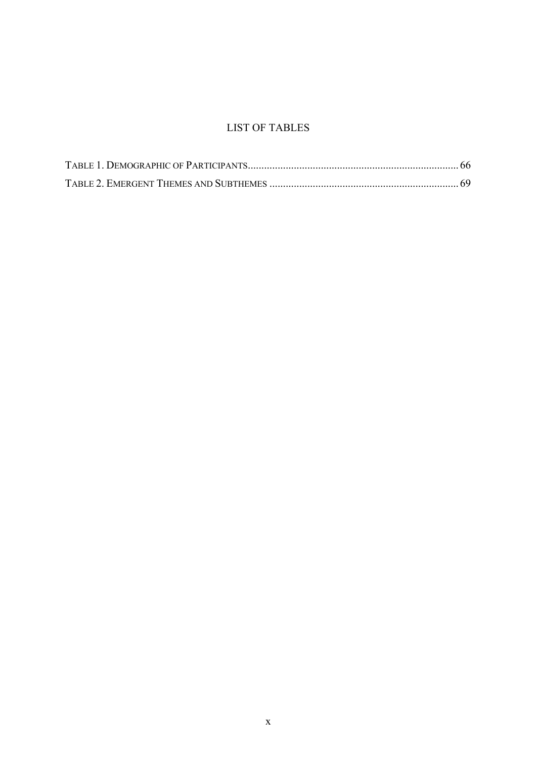# LIST OF TABLES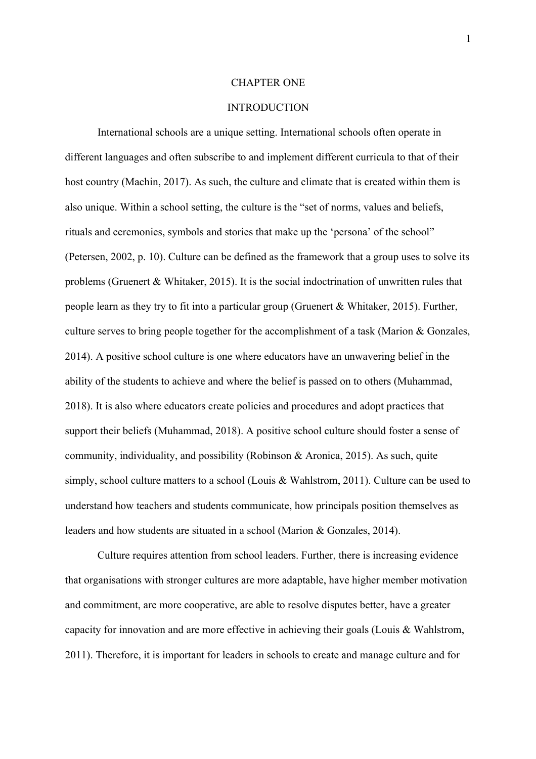#### CHAPTER ONE

#### **INTRODUCTION**

International schools are a unique setting. International schools often operate in different languages and often subscribe to and implement different curricula to that of their host country (Machin, 2017). As such, the culture and climate that is created within them is also unique. Within a school setting, the culture is the "set of norms, values and beliefs, rituals and ceremonies, symbols and stories that make up the 'persona' of the school" (Petersen, 2002, p. 10). Culture can be defined as the framework that a group uses to solve its problems (Gruenert & Whitaker, 2015). It is the social indoctrination of unwritten rules that people learn as they try to fit into a particular group (Gruenert & Whitaker, 2015). Further, culture serves to bring people together for the accomplishment of a task (Marion & Gonzales, 2014). A positive school culture is one where educators have an unwavering belief in the ability of the students to achieve and where the belief is passed on to others (Muhammad, 2018). It is also where educators create policies and procedures and adopt practices that support their beliefs (Muhammad, 2018). A positive school culture should foster a sense of community, individuality, and possibility (Robinson & Aronica, 2015). As such, quite simply, school culture matters to a school (Louis & Wahlstrom, 2011). Culture can be used to understand how teachers and students communicate, how principals position themselves as leaders and how students are situated in a school (Marion & Gonzales, 2014).

Culture requires attention from school leaders. Further, there is increasing evidence that organisations with stronger cultures are more adaptable, have higher member motivation and commitment, are more cooperative, are able to resolve disputes better, have a greater capacity for innovation and are more effective in achieving their goals (Louis & Wahlstrom, 2011). Therefore, it is important for leaders in schools to create and manage culture and for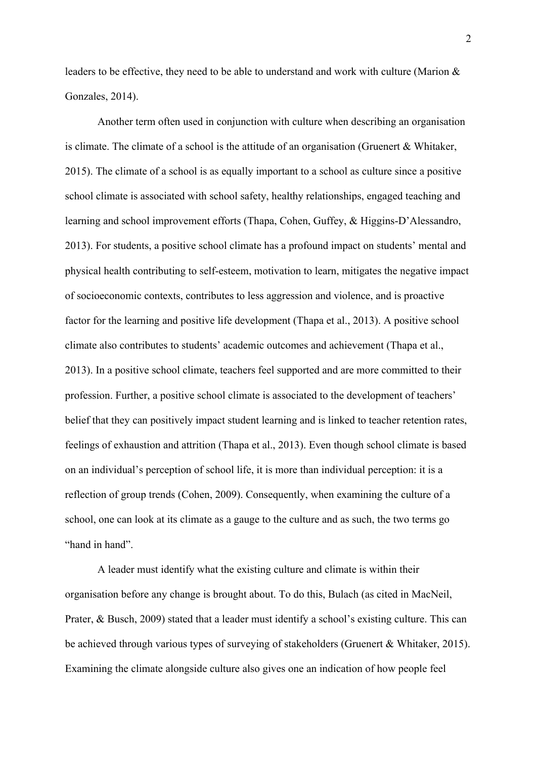leaders to be effective, they need to be able to understand and work with culture (Marion & Gonzales, 2014).

Another term often used in conjunction with culture when describing an organisation is climate. The climate of a school is the attitude of an organisation (Gruenert & Whitaker, 2015). The climate of a school is as equally important to a school as culture since a positive school climate is associated with school safety, healthy relationships, engaged teaching and learning and school improvement efforts (Thapa, Cohen, Guffey, & Higgins-D'Alessandro, 2013). For students, a positive school climate has a profound impact on students' mental and physical health contributing to self-esteem, motivation to learn, mitigates the negative impact of socioeconomic contexts, contributes to less aggression and violence, and is proactive factor for the learning and positive life development (Thapa et al., 2013). A positive school climate also contributes to students' academic outcomes and achievement (Thapa et al., 2013). In a positive school climate, teachers feel supported and are more committed to their profession. Further, a positive school climate is associated to the development of teachers' belief that they can positively impact student learning and is linked to teacher retention rates, feelings of exhaustion and attrition (Thapa et al., 2013). Even though school climate is based on an individual's perception of school life, it is more than individual perception: it is a reflection of group trends (Cohen, 2009). Consequently, when examining the culture of a school, one can look at its climate as a gauge to the culture and as such, the two terms go "hand in hand".

A leader must identify what the existing culture and climate is within their organisation before any change is brought about. To do this, Bulach (as cited in MacNeil, Prater, & Busch, 2009) stated that a leader must identify a school's existing culture. This can be achieved through various types of surveying of stakeholders (Gruenert & Whitaker, 2015). Examining the climate alongside culture also gives one an indication of how people feel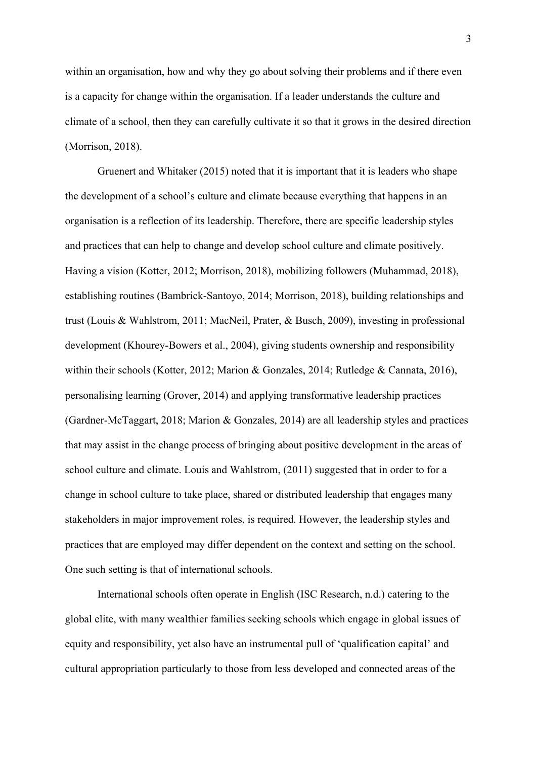within an organisation, how and why they go about solving their problems and if there even is a capacity for change within the organisation. If a leader understands the culture and climate of a school, then they can carefully cultivate it so that it grows in the desired direction (Morrison, 2018).

Gruenert and Whitaker (2015) noted that it is important that it is leaders who shape the development of a school's culture and climate because everything that happens in an organisation is a reflection of its leadership. Therefore, there are specific leadership styles and practices that can help to change and develop school culture and climate positively. Having a vision (Kotter, 2012; Morrison, 2018), mobilizing followers (Muhammad, 2018), establishing routines (Bambrick-Santoyo, 2014; Morrison, 2018), building relationships and trust (Louis & Wahlstrom, 2011; MacNeil, Prater, & Busch, 2009), investing in professional development (Khourey-Bowers et al., 2004), giving students ownership and responsibility within their schools (Kotter, 2012; Marion & Gonzales, 2014; Rutledge & Cannata, 2016), personalising learning (Grover, 2014) and applying transformative leadership practices (Gardner-McTaggart, 2018; Marion & Gonzales, 2014) are all leadership styles and practices that may assist in the change process of bringing about positive development in the areas of school culture and climate. Louis and Wahlstrom, (2011) suggested that in order to for a change in school culture to take place, shared or distributed leadership that engages many stakeholders in major improvement roles, is required. However, the leadership styles and practices that are employed may differ dependent on the context and setting on the school. One such setting is that of international schools.

International schools often operate in English (ISC Research, n.d.) catering to the global elite, with many wealthier families seeking schools which engage in global issues of equity and responsibility, yet also have an instrumental pull of 'qualification capital' and cultural appropriation particularly to those from less developed and connected areas of the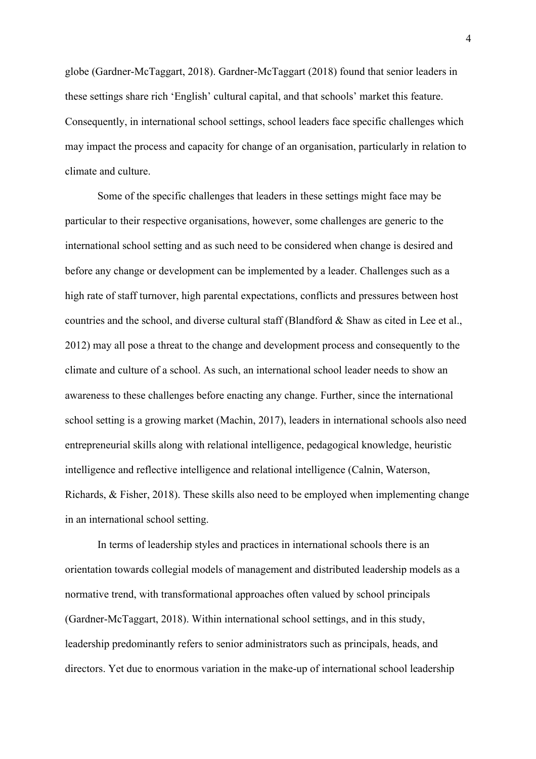globe (Gardner-McTaggart, 2018). Gardner-McTaggart (2018) found that senior leaders in these settings share rich 'English' cultural capital, and that schools' market this feature. Consequently, in international school settings, school leaders face specific challenges which may impact the process and capacity for change of an organisation, particularly in relation to climate and culture.

Some of the specific challenges that leaders in these settings might face may be particular to their respective organisations, however, some challenges are generic to the international school setting and as such need to be considered when change is desired and before any change or development can be implemented by a leader. Challenges such as a high rate of staff turnover, high parental expectations, conflicts and pressures between host countries and the school, and diverse cultural staff (Blandford & Shaw as cited in Lee et al., 2012) may all pose a threat to the change and development process and consequently to the climate and culture of a school. As such, an international school leader needs to show an awareness to these challenges before enacting any change. Further, since the international school setting is a growing market (Machin, 2017), leaders in international schools also need entrepreneurial skills along with relational intelligence, pedagogical knowledge, heuristic intelligence and reflective intelligence and relational intelligence (Calnin, Waterson, Richards, & Fisher, 2018). These skills also need to be employed when implementing change in an international school setting.

In terms of leadership styles and practices in international schools there is an orientation towards collegial models of management and distributed leadership models as a normative trend, with transformational approaches often valued by school principals (Gardner-McTaggart, 2018). Within international school settings, and in this study, leadership predominantly refers to senior administrators such as principals, heads, and directors. Yet due to enormous variation in the make-up of international school leadership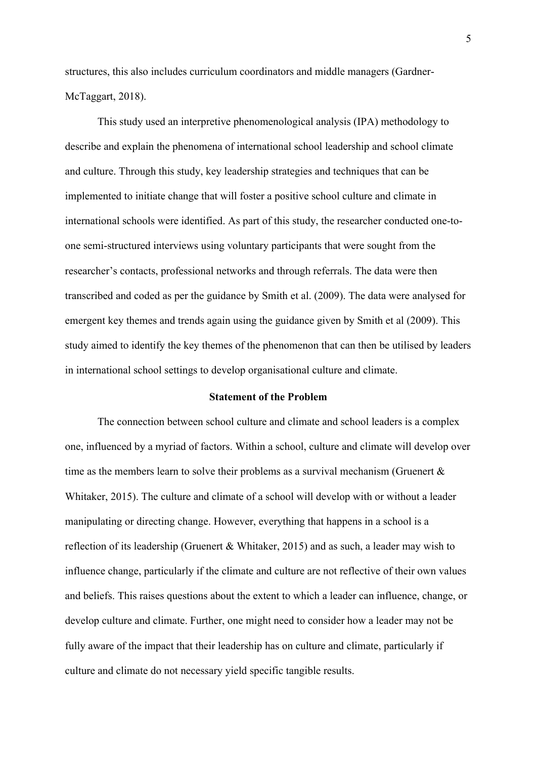structures, this also includes curriculum coordinators and middle managers (Gardner-McTaggart, 2018).

This study used an interpretive phenomenological analysis (IPA) methodology to describe and explain the phenomena of international school leadership and school climate and culture. Through this study, key leadership strategies and techniques that can be implemented to initiate change that will foster a positive school culture and climate in international schools were identified. As part of this study, the researcher conducted one-toone semi-structured interviews using voluntary participants that were sought from the researcher's contacts, professional networks and through referrals. The data were then transcribed and coded as per the guidance by Smith et al. (2009). The data were analysed for emergent key themes and trends again using the guidance given by Smith et al (2009). This study aimed to identify the key themes of the phenomenon that can then be utilised by leaders in international school settings to develop organisational culture and climate.

#### **Statement of the Problem**

The connection between school culture and climate and school leaders is a complex one, influenced by a myriad of factors. Within a school, culture and climate will develop over time as the members learn to solve their problems as a survival mechanism (Gruenert & Whitaker, 2015). The culture and climate of a school will develop with or without a leader manipulating or directing change. However, everything that happens in a school is a reflection of its leadership (Gruenert & Whitaker, 2015) and as such, a leader may wish to influence change, particularly if the climate and culture are not reflective of their own values and beliefs. This raises questions about the extent to which a leader can influence, change, or develop culture and climate. Further, one might need to consider how a leader may not be fully aware of the impact that their leadership has on culture and climate, particularly if culture and climate do not necessary yield specific tangible results.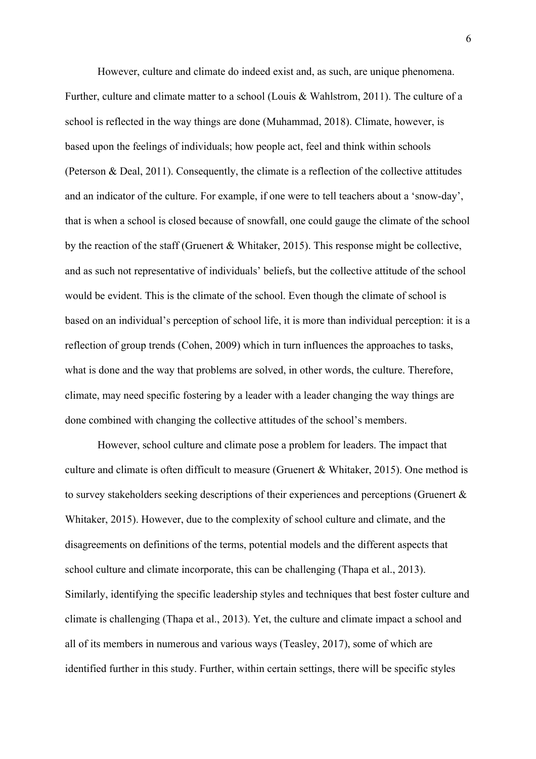However, culture and climate do indeed exist and, as such, are unique phenomena. Further, culture and climate matter to a school (Louis & Wahlstrom, 2011). The culture of a school is reflected in the way things are done (Muhammad, 2018). Climate, however, is based upon the feelings of individuals; how people act, feel and think within schools (Peterson & Deal, 2011). Consequently, the climate is a reflection of the collective attitudes and an indicator of the culture. For example, if one were to tell teachers about a 'snow-day', that is when a school is closed because of snowfall, one could gauge the climate of the school by the reaction of the staff (Gruenert & Whitaker, 2015). This response might be collective, and as such not representative of individuals' beliefs, but the collective attitude of the school would be evident. This is the climate of the school. Even though the climate of school is based on an individual's perception of school life, it is more than individual perception: it is a reflection of group trends (Cohen, 2009) which in turn influences the approaches to tasks, what is done and the way that problems are solved, in other words, the culture. Therefore, climate, may need specific fostering by a leader with a leader changing the way things are done combined with changing the collective attitudes of the school's members.

However, school culture and climate pose a problem for leaders. The impact that culture and climate is often difficult to measure (Gruenert & Whitaker, 2015). One method is to survey stakeholders seeking descriptions of their experiences and perceptions (Gruenert & Whitaker, 2015). However, due to the complexity of school culture and climate, and the disagreements on definitions of the terms, potential models and the different aspects that school culture and climate incorporate, this can be challenging (Thapa et al., 2013). Similarly, identifying the specific leadership styles and techniques that best foster culture and climate is challenging (Thapa et al., 2013). Yet, the culture and climate impact a school and all of its members in numerous and various ways (Teasley, 2017), some of which are identified further in this study. Further, within certain settings, there will be specific styles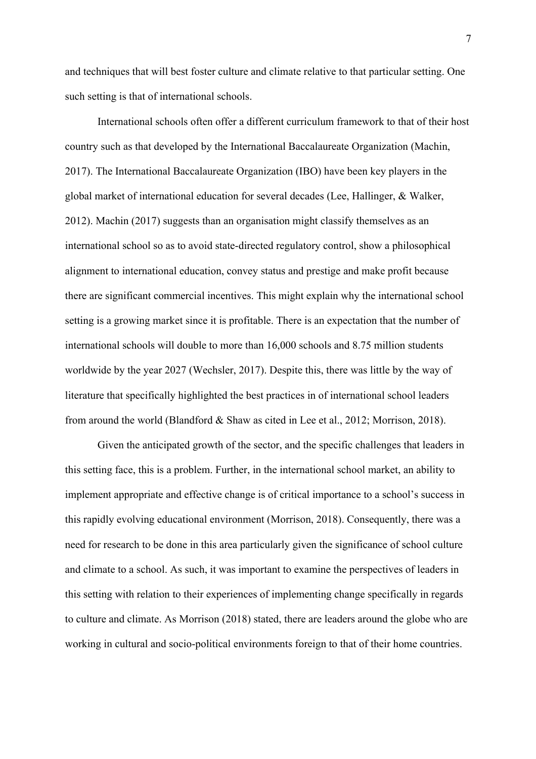and techniques that will best foster culture and climate relative to that particular setting. One such setting is that of international schools.

International schools often offer a different curriculum framework to that of their host country such as that developed by the International Baccalaureate Organization (Machin, 2017). The International Baccalaureate Organization (IBO) have been key players in the global market of international education for several decades (Lee, Hallinger, & Walker, 2012). Machin (2017) suggests than an organisation might classify themselves as an international school so as to avoid state-directed regulatory control, show a philosophical alignment to international education, convey status and prestige and make profit because there are significant commercial incentives. This might explain why the international school setting is a growing market since it is profitable. There is an expectation that the number of international schools will double to more than 16,000 schools and 8.75 million students worldwide by the year 2027 (Wechsler, 2017). Despite this, there was little by the way of literature that specifically highlighted the best practices in of international school leaders from around the world (Blandford & Shaw as cited in Lee et al., 2012; Morrison, 2018).

Given the anticipated growth of the sector, and the specific challenges that leaders in this setting face, this is a problem. Further, in the international school market, an ability to implement appropriate and effective change is of critical importance to a school's success in this rapidly evolving educational environment (Morrison, 2018). Consequently, there was a need for research to be done in this area particularly given the significance of school culture and climate to a school. As such, it was important to examine the perspectives of leaders in this setting with relation to their experiences of implementing change specifically in regards to culture and climate. As Morrison (2018) stated, there are leaders around the globe who are working in cultural and socio-political environments foreign to that of their home countries.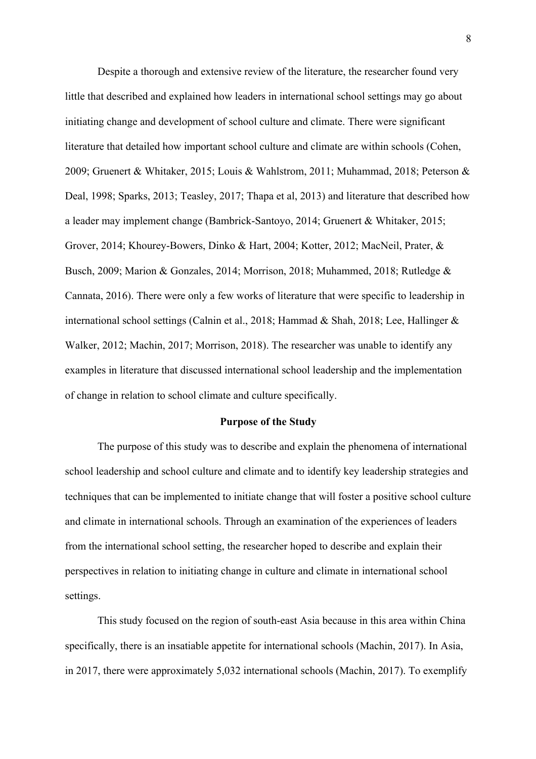Despite a thorough and extensive review of the literature, the researcher found very little that described and explained how leaders in international school settings may go about initiating change and development of school culture and climate. There were significant literature that detailed how important school culture and climate are within schools (Cohen, 2009; Gruenert & Whitaker, 2015; Louis & Wahlstrom, 2011; Muhammad, 2018; Peterson & Deal, 1998; Sparks, 2013; Teasley, 2017; Thapa et al, 2013) and literature that described how a leader may implement change (Bambrick-Santoyo, 2014; Gruenert & Whitaker, 2015; Grover, 2014; Khourey-Bowers, Dinko & Hart, 2004; Kotter, 2012; MacNeil, Prater, & Busch, 2009; Marion & Gonzales, 2014; Morrison, 2018; Muhammed, 2018; Rutledge & Cannata, 2016). There were only a few works of literature that were specific to leadership in international school settings (Calnin et al., 2018; Hammad & Shah, 2018; Lee, Hallinger & Walker, 2012; Machin, 2017; Morrison, 2018). The researcher was unable to identify any examples in literature that discussed international school leadership and the implementation of change in relation to school climate and culture specifically.

#### **Purpose of the Study**

The purpose of this study was to describe and explain the phenomena of international school leadership and school culture and climate and to identify key leadership strategies and techniques that can be implemented to initiate change that will foster a positive school culture and climate in international schools. Through an examination of the experiences of leaders from the international school setting, the researcher hoped to describe and explain their perspectives in relation to initiating change in culture and climate in international school settings.

This study focused on the region of south-east Asia because in this area within China specifically, there is an insatiable appetite for international schools (Machin, 2017). In Asia, in 2017, there were approximately 5,032 international schools (Machin, 2017). To exemplify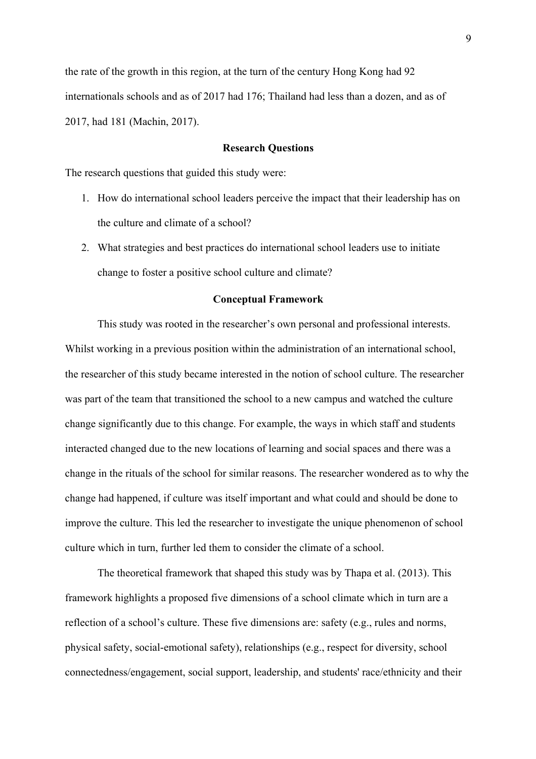the rate of the growth in this region, at the turn of the century Hong Kong had 92 internationals schools and as of 2017 had 176; Thailand had less than a dozen, and as of 2017, had 181 (Machin, 2017).

#### **Research Questions**

The research questions that guided this study were:

- 1. How do international school leaders perceive the impact that their leadership has on the culture and climate of a school?
- 2. What strategies and best practices do international school leaders use to initiate change to foster a positive school culture and climate?

#### **Conceptual Framework**

This study was rooted in the researcher's own personal and professional interests. Whilst working in a previous position within the administration of an international school, the researcher of this study became interested in the notion of school culture. The researcher was part of the team that transitioned the school to a new campus and watched the culture change significantly due to this change. For example, the ways in which staff and students interacted changed due to the new locations of learning and social spaces and there was a change in the rituals of the school for similar reasons. The researcher wondered as to why the change had happened, if culture was itself important and what could and should be done to improve the culture. This led the researcher to investigate the unique phenomenon of school culture which in turn, further led them to consider the climate of a school.

The theoretical framework that shaped this study was by Thapa et al. (2013). This framework highlights a proposed five dimensions of a school climate which in turn are a reflection of a school's culture. These five dimensions are: safety (e.g., rules and norms, physical safety, social-emotional safety), relationships (e.g., respect for diversity, school connectedness/engagement, social support, leadership, and students' race/ethnicity and their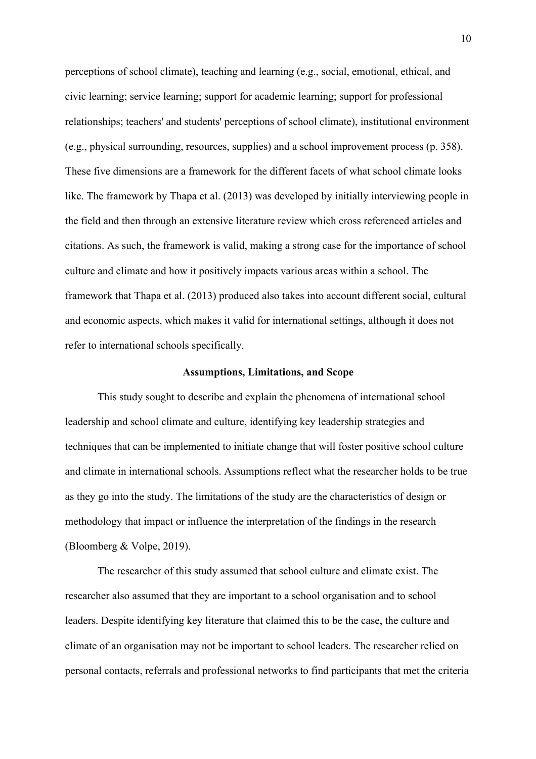perceptions of school climate), teaching and learning (e.g., social, emotional, ethical, and civic learning; service learning; support for academic learning; support for professional relationships; teachers' and students' perceptions of school climate), institutional environment (e.g., physical surrounding, resources, supplies) and a school improvement process (p. 358). These five dimensions are a framework for the different facets of what school climate looks like. The framework by Thapa et al. (2013) was developed by initially interviewing people in the field and then through an extensive literature review which cross referenced articles and citations. As such, the framework is valid, making a strong case for the importance of school culture and climate and how it positively impacts various areas within a school. The framework that Thapa et al. (2013) produced also takes into account different social, cultural and economic aspects, which makes it valid for international settings, although it does not refer to international schools specifically.

#### **Assumptions, Limitations, and Scope**

This study sought to describe and explain the phenomena of international school leadership and school climate and culture, identifying key leadership strategies and techniques that can be implemented to initiate change that will foster positive school culture and climate in international schools. Assumptions reflect what the researcher holds to be true as they go into the study. The limitations of the study are the characteristics of design or methodology that impact or influence the interpretation of the findings in the research (Bloomberg & Volpe, 2019).

The researcher of this study assumed that school culture and climate exist. The researcher also assumed that they are important to a school organisation and to school leaders. Despite identifying key literature that claimed this to be the case, the culture and climate of an organisation may not be important to school leaders. The researcher relied on personal contacts, referrals and professional networks to find participants that met the criteria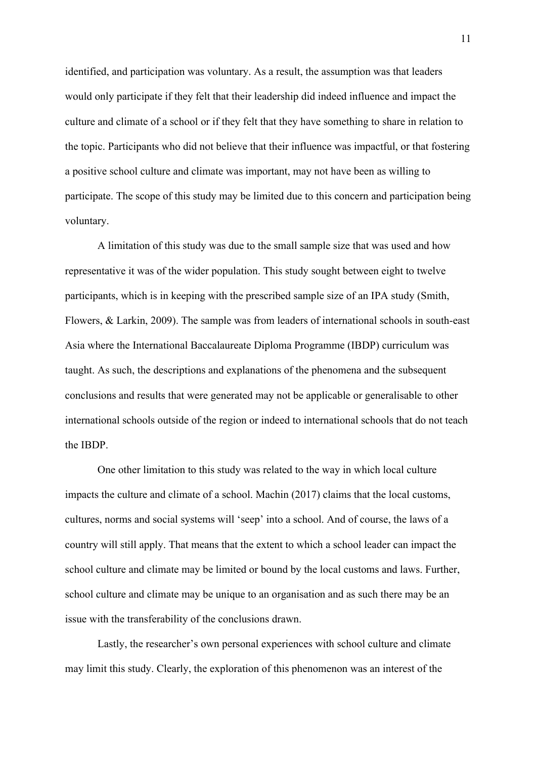identified, and participation was voluntary. As a result, the assumption was that leaders would only participate if they felt that their leadership did indeed influence and impact the culture and climate of a school or if they felt that they have something to share in relation to the topic. Participants who did not believe that their influence was impactful, or that fostering a positive school culture and climate was important, may not have been as willing to participate. The scope of this study may be limited due to this concern and participation being voluntary.

A limitation of this study was due to the small sample size that was used and how representative it was of the wider population. This study sought between eight to twelve participants, which is in keeping with the prescribed sample size of an IPA study (Smith, Flowers, & Larkin, 2009). The sample was from leaders of international schools in south-east Asia where the International Baccalaureate Diploma Programme (IBDP) curriculum was taught. As such, the descriptions and explanations of the phenomena and the subsequent conclusions and results that were generated may not be applicable or generalisable to other international schools outside of the region or indeed to international schools that do not teach the IBDP.

One other limitation to this study was related to the way in which local culture impacts the culture and climate of a school. Machin (2017) claims that the local customs, cultures, norms and social systems will 'seep' into a school. And of course, the laws of a country will still apply. That means that the extent to which a school leader can impact the school culture and climate may be limited or bound by the local customs and laws. Further, school culture and climate may be unique to an organisation and as such there may be an issue with the transferability of the conclusions drawn.

Lastly, the researcher's own personal experiences with school culture and climate may limit this study. Clearly, the exploration of this phenomenon was an interest of the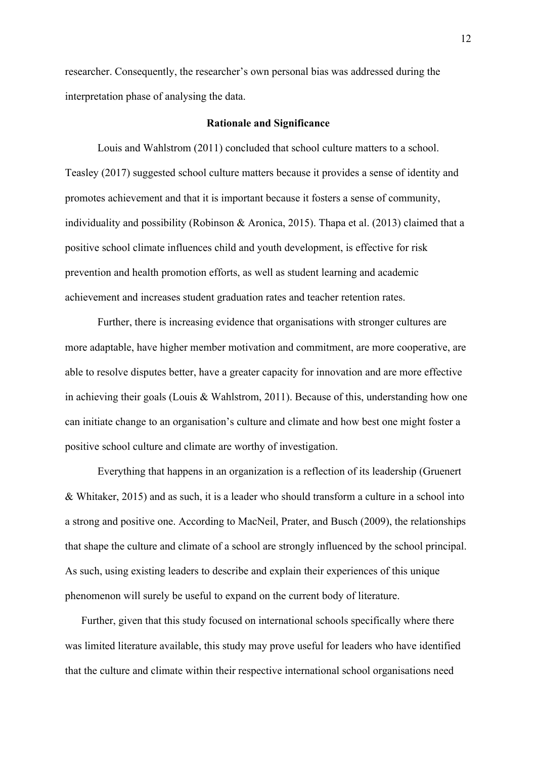researcher. Consequently, the researcher's own personal bias was addressed during the interpretation phase of analysing the data.

#### **Rationale and Significance**

Louis and Wahlstrom (2011) concluded that school culture matters to a school. Teasley (2017) suggested school culture matters because it provides a sense of identity and promotes achievement and that it is important because it fosters a sense of community, individuality and possibility (Robinson & Aronica, 2015). Thapa et al. (2013) claimed that a positive school climate influences child and youth development, is effective for risk prevention and health promotion efforts, as well as student learning and academic achievement and increases student graduation rates and teacher retention rates.

Further, there is increasing evidence that organisations with stronger cultures are more adaptable, have higher member motivation and commitment, are more cooperative, are able to resolve disputes better, have a greater capacity for innovation and are more effective in achieving their goals (Louis & Wahlstrom, 2011). Because of this, understanding how one can initiate change to an organisation's culture and climate and how best one might foster a positive school culture and climate are worthy of investigation.

Everything that happens in an organization is a reflection of its leadership (Gruenert & Whitaker, 2015) and as such, it is a leader who should transform a culture in a school into a strong and positive one. According to MacNeil, Prater, and Busch (2009), the relationships that shape the culture and climate of a school are strongly influenced by the school principal. As such, using existing leaders to describe and explain their experiences of this unique phenomenon will surely be useful to expand on the current body of literature.

Further, given that this study focused on international schools specifically where there was limited literature available, this study may prove useful for leaders who have identified that the culture and climate within their respective international school organisations need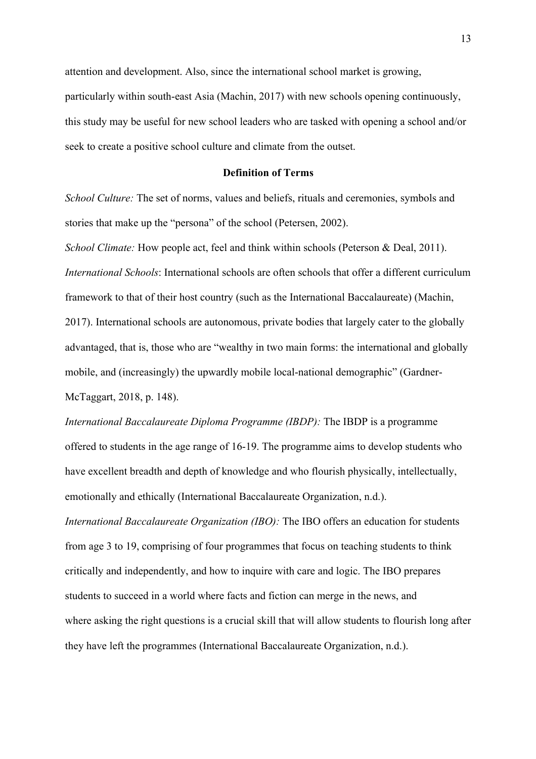attention and development. Also, since the international school market is growing, particularly within south-east Asia (Machin, 2017) with new schools opening continuously, this study may be useful for new school leaders who are tasked with opening a school and/or seek to create a positive school culture and climate from the outset.

## **Definition of Terms**

*School Culture:* The set of norms, values and beliefs, rituals and ceremonies, symbols and stories that make up the "persona" of the school (Petersen, 2002).

*School Climate:* How people act, feel and think within schools (Peterson & Deal, 2011). *International Schools*: International schools are often schools that offer a different curriculum framework to that of their host country (such as the International Baccalaureate) (Machin, 2017). International schools are autonomous, private bodies that largely cater to the globally advantaged, that is, those who are "wealthy in two main forms: the international and globally mobile, and (increasingly) the upwardly mobile local-national demographic" (Gardner-McTaggart, 2018, p. 148).

*International Baccalaureate Diploma Programme (IBDP):* The IBDP is a programme offered to students in the age range of 16-19. The programme aims to develop students who have excellent breadth and depth of knowledge and who flourish physically, intellectually, emotionally and ethically (International Baccalaureate Organization, n.d.). *International Baccalaureate Organization (IBO):* The IBO offers an education for students from age 3 to 19, comprising of four programmes that focus on teaching students to think critically and independently, and how to inquire with care and logic. The IBO prepares students to succeed in a world where facts and fiction can merge in the news, and where asking the right questions is a crucial skill that will allow students to flourish long after they have left the programmes (International Baccalaureate Organization, n.d.).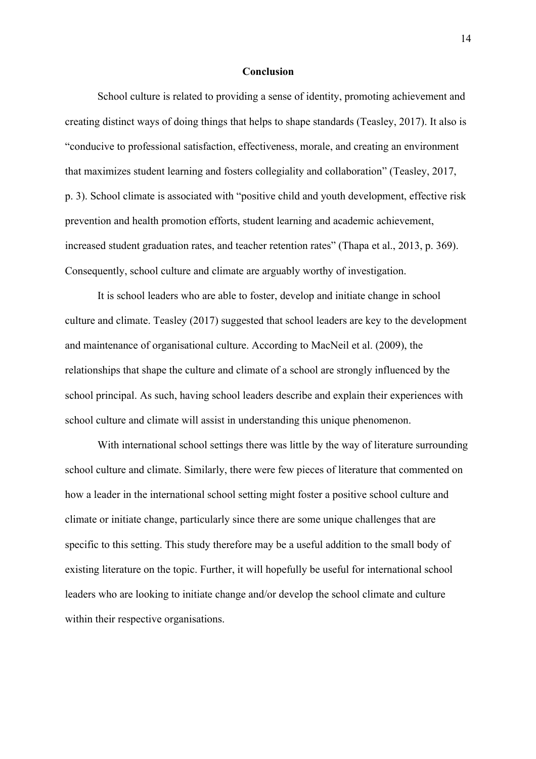#### **Conclusion**

School culture is related to providing a sense of identity, promoting achievement and creating distinct ways of doing things that helps to shape standards (Teasley, 2017). It also is "conducive to professional satisfaction, effectiveness, morale, and creating an environment that maximizes student learning and fosters collegiality and collaboration" (Teasley, 2017, p. 3). School climate is associated with "positive child and youth development, effective risk prevention and health promotion efforts, student learning and academic achievement, increased student graduation rates, and teacher retention rates" (Thapa et al., 2013, p. 369). Consequently, school culture and climate are arguably worthy of investigation.

It is school leaders who are able to foster, develop and initiate change in school culture and climate. Teasley (2017) suggested that school leaders are key to the development and maintenance of organisational culture. According to MacNeil et al. (2009), the relationships that shape the culture and climate of a school are strongly influenced by the school principal. As such, having school leaders describe and explain their experiences with school culture and climate will assist in understanding this unique phenomenon.

With international school settings there was little by the way of literature surrounding school culture and climate. Similarly, there were few pieces of literature that commented on how a leader in the international school setting might foster a positive school culture and climate or initiate change, particularly since there are some unique challenges that are specific to this setting. This study therefore may be a useful addition to the small body of existing literature on the topic. Further, it will hopefully be useful for international school leaders who are looking to initiate change and/or develop the school climate and culture within their respective organisations.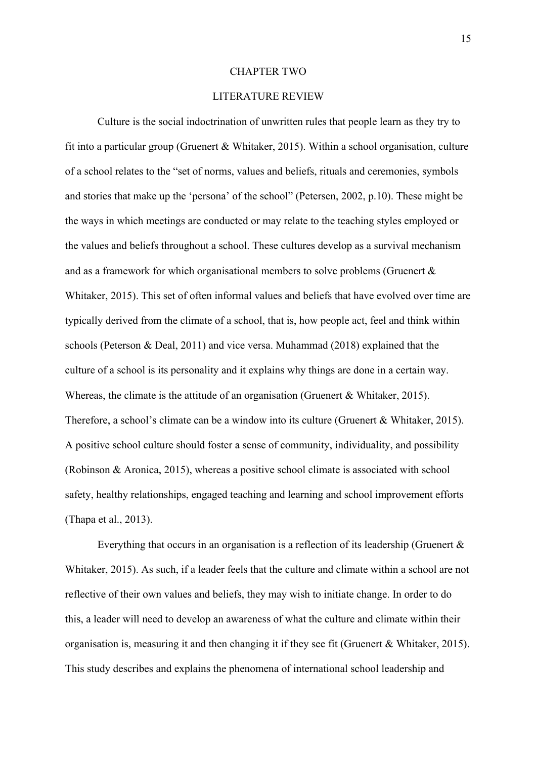#### CHAPTER TWO

#### LITERATURE REVIEW

Culture is the social indoctrination of unwritten rules that people learn as they try to fit into a particular group (Gruenert & Whitaker, 2015). Within a school organisation, culture of a school relates to the "set of norms, values and beliefs, rituals and ceremonies, symbols and stories that make up the 'persona' of the school" (Petersen, 2002, p.10). These might be the ways in which meetings are conducted or may relate to the teaching styles employed or the values and beliefs throughout a school. These cultures develop as a survival mechanism and as a framework for which organisational members to solve problems (Gruenert & Whitaker, 2015). This set of often informal values and beliefs that have evolved over time are typically derived from the climate of a school, that is, how people act, feel and think within schools (Peterson & Deal, 2011) and vice versa. Muhammad (2018) explained that the culture of a school is its personality and it explains why things are done in a certain way. Whereas, the climate is the attitude of an organisation (Gruenert & Whitaker, 2015). Therefore, a school's climate can be a window into its culture (Gruenert & Whitaker, 2015). A positive school culture should foster a sense of community, individuality, and possibility (Robinson & Aronica, 2015), whereas a positive school climate is associated with school safety, healthy relationships, engaged teaching and learning and school improvement efforts (Thapa et al., 2013).

Everything that occurs in an organisation is a reflection of its leadership (Gruenert & Whitaker, 2015). As such, if a leader feels that the culture and climate within a school are not reflective of their own values and beliefs, they may wish to initiate change. In order to do this, a leader will need to develop an awareness of what the culture and climate within their organisation is, measuring it and then changing it if they see fit (Gruenert & Whitaker, 2015). This study describes and explains the phenomena of international school leadership and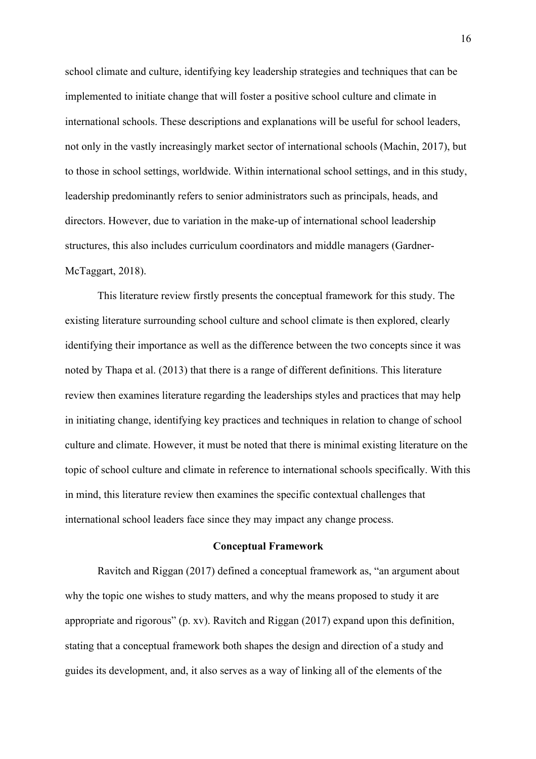school climate and culture, identifying key leadership strategies and techniques that can be implemented to initiate change that will foster a positive school culture and climate in international schools. These descriptions and explanations will be useful for school leaders, not only in the vastly increasingly market sector of international schools (Machin, 2017), but to those in school settings, worldwide. Within international school settings, and in this study, leadership predominantly refers to senior administrators such as principals, heads, and directors. However, due to variation in the make-up of international school leadership structures, this also includes curriculum coordinators and middle managers (Gardner-McTaggart, 2018).

This literature review firstly presents the conceptual framework for this study. The existing literature surrounding school culture and school climate is then explored, clearly identifying their importance as well as the difference between the two concepts since it was noted by Thapa et al. (2013) that there is a range of different definitions. This literature review then examines literature regarding the leaderships styles and practices that may help in initiating change, identifying key practices and techniques in relation to change of school culture and climate. However, it must be noted that there is minimal existing literature on the topic of school culture and climate in reference to international schools specifically. With this in mind, this literature review then examines the specific contextual challenges that international school leaders face since they may impact any change process.

#### **Conceptual Framework**

Ravitch and Riggan (2017) defined a conceptual framework as, "an argument about why the topic one wishes to study matters, and why the means proposed to study it are appropriate and rigorous" (p. xv). Ravitch and Riggan (2017) expand upon this definition, stating that a conceptual framework both shapes the design and direction of a study and guides its development, and, it also serves as a way of linking all of the elements of the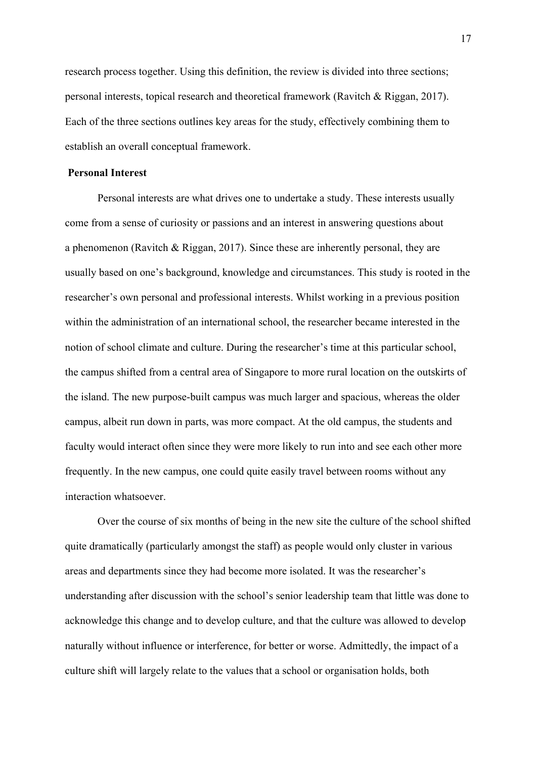research process together. Using this definition, the review is divided into three sections; personal interests, topical research and theoretical framework (Ravitch & Riggan, 2017). Each of the three sections outlines key areas for the study, effectively combining them to establish an overall conceptual framework.

### **Personal Interest**

Personal interests are what drives one to undertake a study. These interests usually come from a sense of curiosity or passions and an interest in answering questions about a phenomenon (Ravitch & Riggan, 2017). Since these are inherently personal, they are usually based on one's background, knowledge and circumstances. This study is rooted in the researcher's own personal and professional interests. Whilst working in a previous position within the administration of an international school, the researcher became interested in the notion of school climate and culture. During the researcher's time at this particular school, the campus shifted from a central area of Singapore to more rural location on the outskirts of the island. The new purpose-built campus was much larger and spacious, whereas the older campus, albeit run down in parts, was more compact. At the old campus, the students and faculty would interact often since they were more likely to run into and see each other more frequently. In the new campus, one could quite easily travel between rooms without any interaction whatsoever.

Over the course of six months of being in the new site the culture of the school shifted quite dramatically (particularly amongst the staff) as people would only cluster in various areas and departments since they had become more isolated. It was the researcher's understanding after discussion with the school's senior leadership team that little was done to acknowledge this change and to develop culture, and that the culture was allowed to develop naturally without influence or interference, for better or worse. Admittedly, the impact of a culture shift will largely relate to the values that a school or organisation holds, both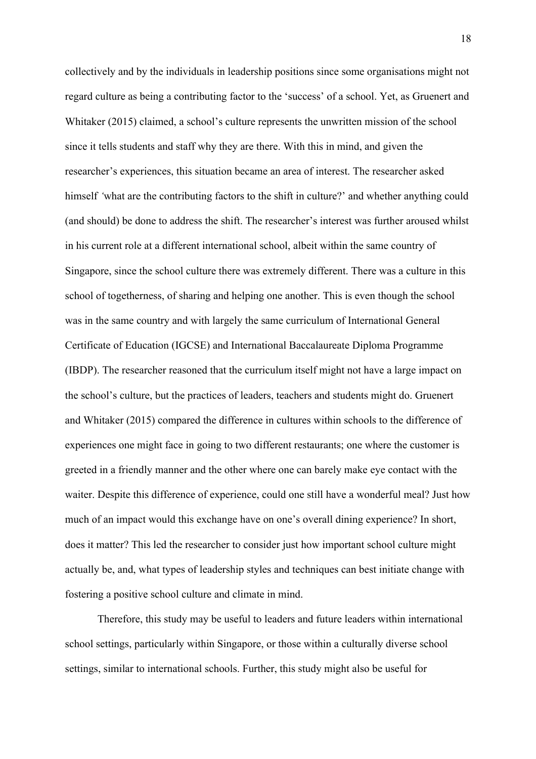collectively and by the individuals in leadership positions since some organisations might not regard culture as being a contributing factor to the 'success' of a school. Yet, as Gruenert and Whitaker (2015) claimed, a school's culture represents the unwritten mission of the school since it tells students and staff why they are there. With this in mind, and given the researcher's experiences, this situation became an area of interest. The researcher asked himself *'*what are the contributing factors to the shift in culture?' and whether anything could (and should) be done to address the shift. The researcher's interest was further aroused whilst in his current role at a different international school, albeit within the same country of Singapore, since the school culture there was extremely different. There was a culture in this school of togetherness, of sharing and helping one another. This is even though the school was in the same country and with largely the same curriculum of International General Certificate of Education (IGCSE) and International Baccalaureate Diploma Programme (IBDP). The researcher reasoned that the curriculum itself might not have a large impact on the school's culture, but the practices of leaders, teachers and students might do. Gruenert and Whitaker (2015) compared the difference in cultures within schools to the difference of experiences one might face in going to two different restaurants; one where the customer is greeted in a friendly manner and the other where one can barely make eye contact with the waiter. Despite this difference of experience, could one still have a wonderful meal? Just how much of an impact would this exchange have on one's overall dining experience? In short, does it matter? This led the researcher to consider just how important school culture might actually be, and, what types of leadership styles and techniques can best initiate change with fostering a positive school culture and climate in mind.

Therefore, this study may be useful to leaders and future leaders within international school settings, particularly within Singapore, or those within a culturally diverse school settings, similar to international schools. Further, this study might also be useful for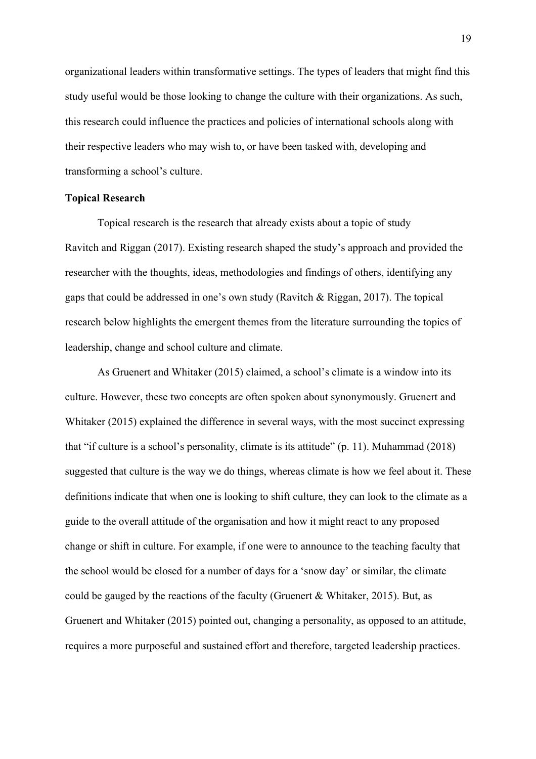organizational leaders within transformative settings. The types of leaders that might find this study useful would be those looking to change the culture with their organizations. As such, this research could influence the practices and policies of international schools along with their respective leaders who may wish to, or have been tasked with, developing and transforming a school's culture.

#### **Topical Research**

Topical research is the research that already exists about a topic of study Ravitch and Riggan (2017). Existing research shaped the study's approach and provided the researcher with the thoughts, ideas, methodologies and findings of others, identifying any gaps that could be addressed in one's own study (Ravitch & Riggan, 2017). The topical research below highlights the emergent themes from the literature surrounding the topics of leadership, change and school culture and climate.

As Gruenert and Whitaker (2015) claimed, a school's climate is a window into its culture. However, these two concepts are often spoken about synonymously. Gruenert and Whitaker (2015) explained the difference in several ways, with the most succinct expressing that "if culture is a school's personality, climate is its attitude" (p. 11). Muhammad (2018) suggested that culture is the way we do things, whereas climate is how we feel about it. These definitions indicate that when one is looking to shift culture, they can look to the climate as a guide to the overall attitude of the organisation and how it might react to any proposed change or shift in culture. For example, if one were to announce to the teaching faculty that the school would be closed for a number of days for a 'snow day' or similar, the climate could be gauged by the reactions of the faculty (Gruenert & Whitaker, 2015). But, as Gruenert and Whitaker (2015) pointed out, changing a personality, as opposed to an attitude, requires a more purposeful and sustained effort and therefore, targeted leadership practices.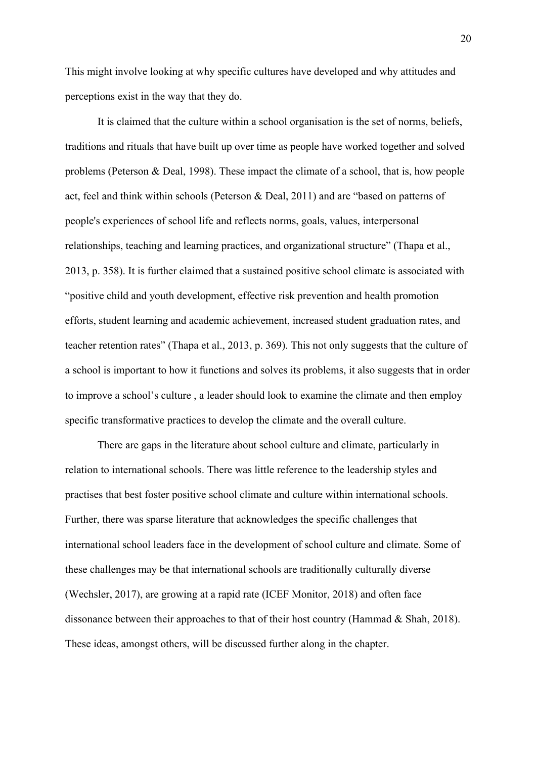This might involve looking at why specific cultures have developed and why attitudes and perceptions exist in the way that they do.

It is claimed that the culture within a school organisation is the set of norms, beliefs, traditions and rituals that have built up over time as people have worked together and solved problems (Peterson & Deal, 1998). These impact the climate of a school, that is, how people act, feel and think within schools (Peterson & Deal, 2011) and are "based on patterns of people's experiences of school life and reflects norms, goals, values, interpersonal relationships, teaching and learning practices, and organizational structure" (Thapa et al., 2013, p. 358). It is further claimed that a sustained positive school climate is associated with "positive child and youth development, effective risk prevention and health promotion efforts, student learning and academic achievement, increased student graduation rates, and teacher retention rates" (Thapa et al., 2013, p. 369). This not only suggests that the culture of a school is important to how it functions and solves its problems, it also suggests that in order to improve a school's culture , a leader should look to examine the climate and then employ specific transformative practices to develop the climate and the overall culture.

There are gaps in the literature about school culture and climate, particularly in relation to international schools. There was little reference to the leadership styles and practises that best foster positive school climate and culture within international schools. Further, there was sparse literature that acknowledges the specific challenges that international school leaders face in the development of school culture and climate. Some of these challenges may be that international schools are traditionally culturally diverse (Wechsler, 2017), are growing at a rapid rate (ICEF Monitor, 2018) and often face dissonance between their approaches to that of their host country (Hammad & Shah, 2018). These ideas, amongst others, will be discussed further along in the chapter.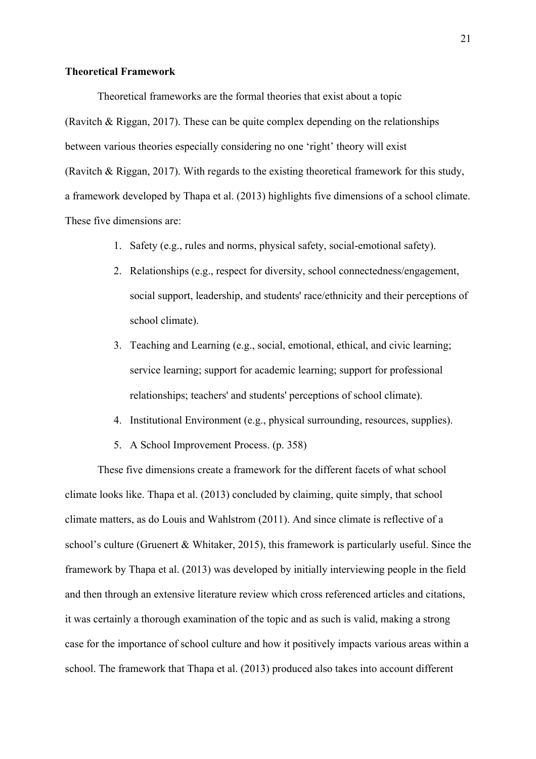#### **Theoretical Framework**

Theoretical frameworks are the formal theories that exist about a topic (Ravitch & Riggan, 2017). These can be quite complex depending on the relationships between various theories especially considering no one 'right' theory will exist (Ravitch & Riggan, 2017). With regards to the existing theoretical framework for this study, a framework developed by Thapa et al. (2013) highlights five dimensions of a school climate. These five dimensions are:

- 1. Safety (e.g., rules and norms, physical safety, social-emotional safety).
- 2. Relationships (e.g., respect for diversity, school connectedness/engagement, social support, leadership, and students' race/ethnicity and their perceptions of school climate).
- 3. Teaching and Learning (e.g., social, emotional, ethical, and civic learning; service learning; support for academic learning; support for professional relationships; teachers' and students' perceptions of school climate).
- 4. Institutional Environment (e.g., physical surrounding, resources, supplies).
- 5. A School Improvement Process. (p. 358)

These five dimensions create a framework for the different facets of what school climate looks like. Thapa et al. (2013) concluded by claiming, quite simply, that school climate matters, as do Louis and Wahlstrom (2011). And since climate is reflective of a school's culture (Gruenert & Whitaker, 2015), this framework is particularly useful. Since the framework by Thapa et al. (2013) was developed by initially interviewing people in the field and then through an extensive literature review which cross referenced articles and citations, it was certainly a thorough examination of the topic and as such is valid, making a strong case for the importance of school culture and how it positively impacts various areas within a school. The framework that Thapa et al. (2013) produced also takes into account different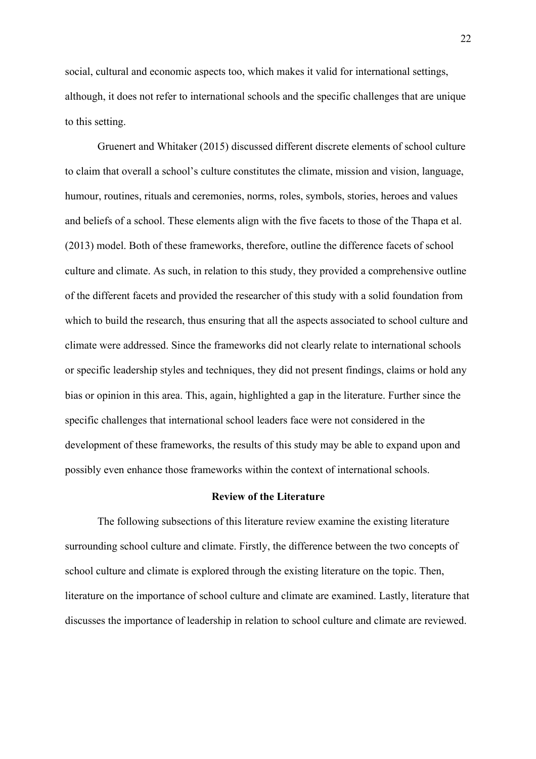social, cultural and economic aspects too, which makes it valid for international settings, although, it does not refer to international schools and the specific challenges that are unique to this setting.

Gruenert and Whitaker (2015) discussed different discrete elements of school culture to claim that overall a school's culture constitutes the climate, mission and vision, language, humour, routines, rituals and ceremonies, norms, roles, symbols, stories, heroes and values and beliefs of a school. These elements align with the five facets to those of the Thapa et al. (2013) model. Both of these frameworks, therefore, outline the difference facets of school culture and climate. As such, in relation to this study, they provided a comprehensive outline of the different facets and provided the researcher of this study with a solid foundation from which to build the research, thus ensuring that all the aspects associated to school culture and climate were addressed. Since the frameworks did not clearly relate to international schools or specific leadership styles and techniques, they did not present findings, claims or hold any bias or opinion in this area. This, again, highlighted a gap in the literature. Further since the specific challenges that international school leaders face were not considered in the development of these frameworks, the results of this study may be able to expand upon and possibly even enhance those frameworks within the context of international schools.

#### **Review of the Literature**

The following subsections of this literature review examine the existing literature surrounding school culture and climate. Firstly, the difference between the two concepts of school culture and climate is explored through the existing literature on the topic. Then, literature on the importance of school culture and climate are examined. Lastly, literature that discusses the importance of leadership in relation to school culture and climate are reviewed.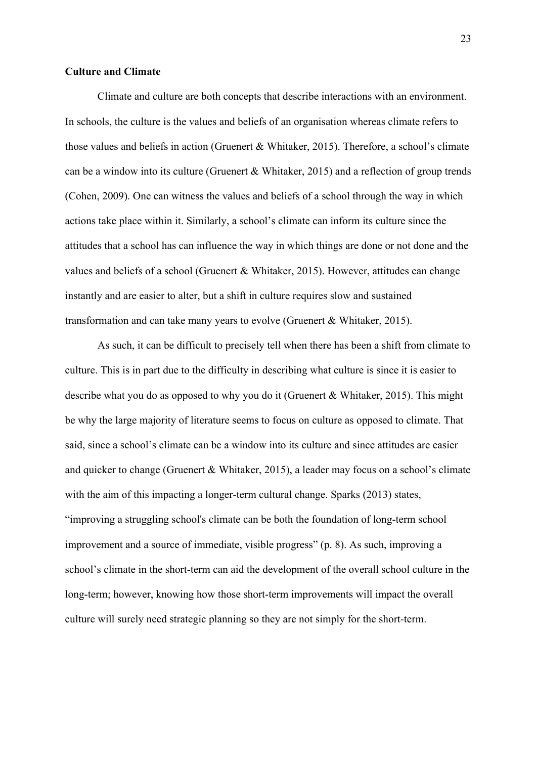#### **Culture and Climate**

Climate and culture are both concepts that describe interactions with an environment. In schools, the culture is the values and beliefs of an organisation whereas climate refers to those values and beliefs in action (Gruenert & Whitaker, 2015). Therefore, a school's climate can be a window into its culture (Gruenert & Whitaker, 2015) and a reflection of group trends (Cohen, 2009). One can witness the values and beliefs of a school through the way in which actions take place within it. Similarly, a school's climate can inform its culture since the attitudes that a school has can influence the way in which things are done or not done and the values and beliefs of a school (Gruenert & Whitaker, 2015). However, attitudes can change instantly and are easier to alter, but a shift in culture requires slow and sustained transformation and can take many years to evolve (Gruenert & Whitaker, 2015).

As such, it can be difficult to precisely tell when there has been a shift from climate to culture. This is in part due to the difficulty in describing what culture is since it is easier to describe what you do as opposed to why you do it (Gruenert & Whitaker, 2015). This might be why the large majority of literature seems to focus on culture as opposed to climate. That said, since a school's climate can be a window into its culture and since attitudes are easier and quicker to change (Gruenert & Whitaker, 2015), a leader may focus on a school's climate with the aim of this impacting a longer-term cultural change. Sparks (2013) states, "improving a struggling school's climate can be both the foundation of long-term school improvement and a source of immediate, visible progress" (p. 8). As such, improving a school's climate in the short-term can aid the development of the overall school culture in the long-term; however, knowing how those short-term improvements will impact the overall culture will surely need strategic planning so they are not simply for the short-term.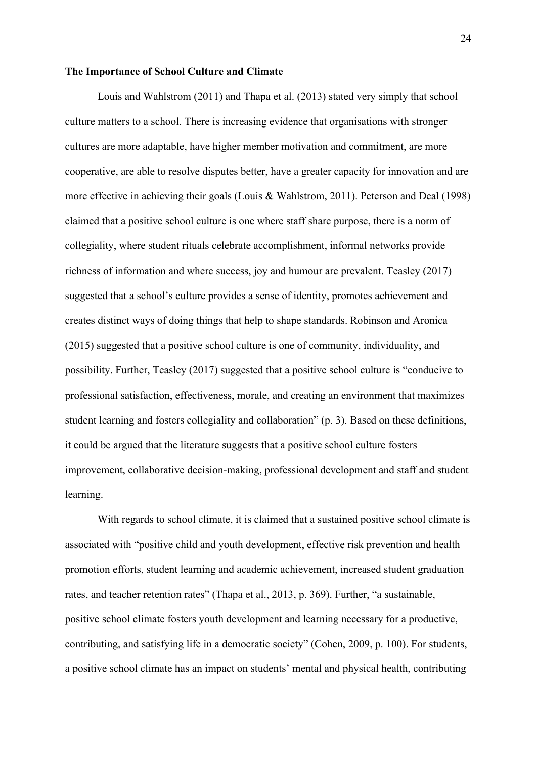#### **The Importance of School Culture and Climate**

Louis and Wahlstrom (2011) and Thapa et al. (2013) stated very simply that school culture matters to a school. There is increasing evidence that organisations with stronger cultures are more adaptable, have higher member motivation and commitment, are more cooperative, are able to resolve disputes better, have a greater capacity for innovation and are more effective in achieving their goals (Louis & Wahlstrom, 2011). Peterson and Deal (1998) claimed that a positive school culture is one where staff share purpose, there is a norm of collegiality, where student rituals celebrate accomplishment, informal networks provide richness of information and where success, joy and humour are prevalent. Teasley (2017) suggested that a school's culture provides a sense of identity, promotes achievement and creates distinct ways of doing things that help to shape standards. Robinson and Aronica (2015) suggested that a positive school culture is one of community, individuality, and possibility. Further, Teasley (2017) suggested that a positive school culture is "conducive to professional satisfaction, effectiveness, morale, and creating an environment that maximizes student learning and fosters collegiality and collaboration" (p. 3). Based on these definitions, it could be argued that the literature suggests that a positive school culture fosters improvement, collaborative decision-making, professional development and staff and student learning.

With regards to school climate, it is claimed that a sustained positive school climate is associated with "positive child and youth development, effective risk prevention and health promotion efforts, student learning and academic achievement, increased student graduation rates, and teacher retention rates" (Thapa et al., 2013, p. 369). Further, "a sustainable, positive school climate fosters youth development and learning necessary for a productive, contributing, and satisfying life in a democratic society" (Cohen, 2009, p. 100). For students, a positive school climate has an impact on students' mental and physical health, contributing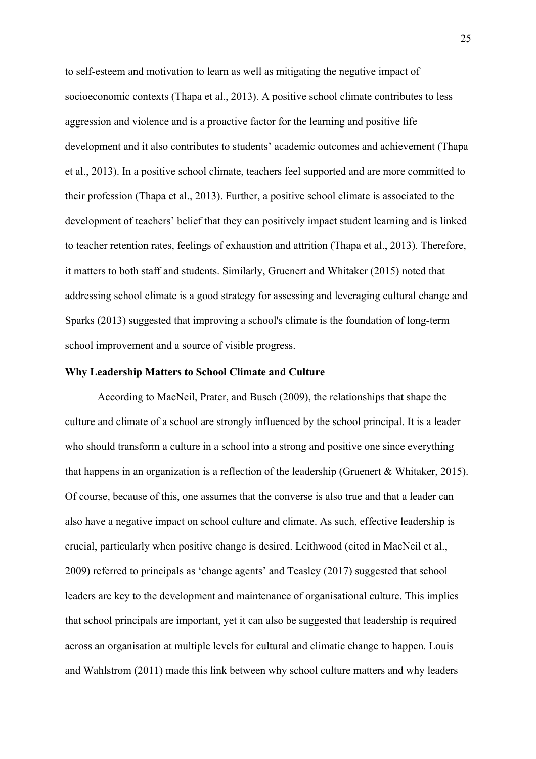to self-esteem and motivation to learn as well as mitigating the negative impact of socioeconomic contexts (Thapa et al., 2013). A positive school climate contributes to less aggression and violence and is a proactive factor for the learning and positive life development and it also contributes to students' academic outcomes and achievement (Thapa et al., 2013). In a positive school climate, teachers feel supported and are more committed to their profession (Thapa et al., 2013). Further, a positive school climate is associated to the development of teachers' belief that they can positively impact student learning and is linked to teacher retention rates, feelings of exhaustion and attrition (Thapa et al., 2013). Therefore, it matters to both staff and students. Similarly, Gruenert and Whitaker (2015) noted that addressing school climate is a good strategy for assessing and leveraging cultural change and Sparks (2013) suggested that improving a school's climate is the foundation of long-term school improvement and a source of visible progress.

#### **Why Leadership Matters to School Climate and Culture**

According to MacNeil, Prater, and Busch (2009), the relationships that shape the culture and climate of a school are strongly influenced by the school principal. It is a leader who should transform a culture in a school into a strong and positive one since everything that happens in an organization is a reflection of the leadership (Gruenert & Whitaker, 2015). Of course, because of this, one assumes that the converse is also true and that a leader can also have a negative impact on school culture and climate. As such, effective leadership is crucial, particularly when positive change is desired. Leithwood (cited in MacNeil et al., 2009) referred to principals as 'change agents' and Teasley (2017) suggested that school leaders are key to the development and maintenance of organisational culture. This implies that school principals are important, yet it can also be suggested that leadership is required across an organisation at multiple levels for cultural and climatic change to happen. Louis and Wahlstrom (2011) made this link between why school culture matters and why leaders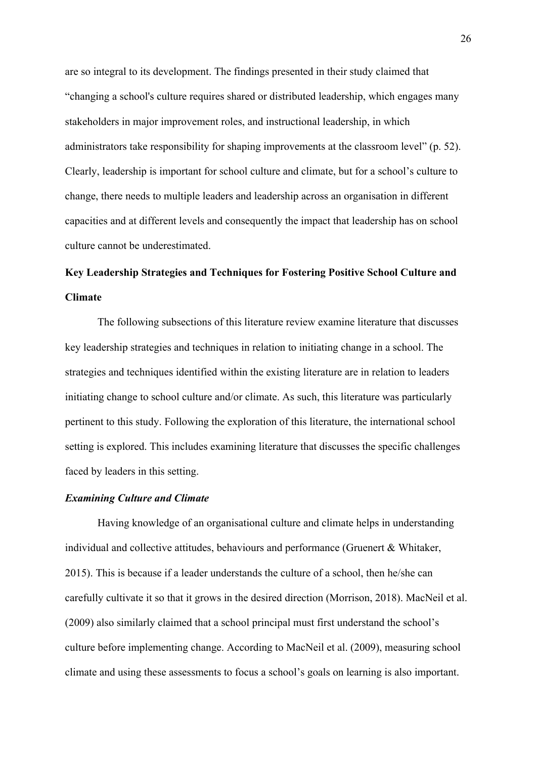are so integral to its development. The findings presented in their study claimed that "changing a school's culture requires shared or distributed leadership, which engages many stakeholders in major improvement roles, and instructional leadership, in which administrators take responsibility for shaping improvements at the classroom level" (p. 52). Clearly, leadership is important for school culture and climate, but for a school's culture to change, there needs to multiple leaders and leadership across an organisation in different capacities and at different levels and consequently the impact that leadership has on school culture cannot be underestimated.

# **Key Leadership Strategies and Techniques for Fostering Positive School Culture and Climate**

The following subsections of this literature review examine literature that discusses key leadership strategies and techniques in relation to initiating change in a school. The strategies and techniques identified within the existing literature are in relation to leaders initiating change to school culture and/or climate. As such, this literature was particularly pertinent to this study. Following the exploration of this literature, the international school setting is explored. This includes examining literature that discusses the specific challenges faced by leaders in this setting.

# *Examining Culture and Climate*

Having knowledge of an organisational culture and climate helps in understanding individual and collective attitudes, behaviours and performance (Gruenert & Whitaker, 2015). This is because if a leader understands the culture of a school, then he/she can carefully cultivate it so that it grows in the desired direction (Morrison, 2018). MacNeil et al. (2009) also similarly claimed that a school principal must first understand the school's culture before implementing change. According to MacNeil et al. (2009), measuring school climate and using these assessments to focus a school's goals on learning is also important.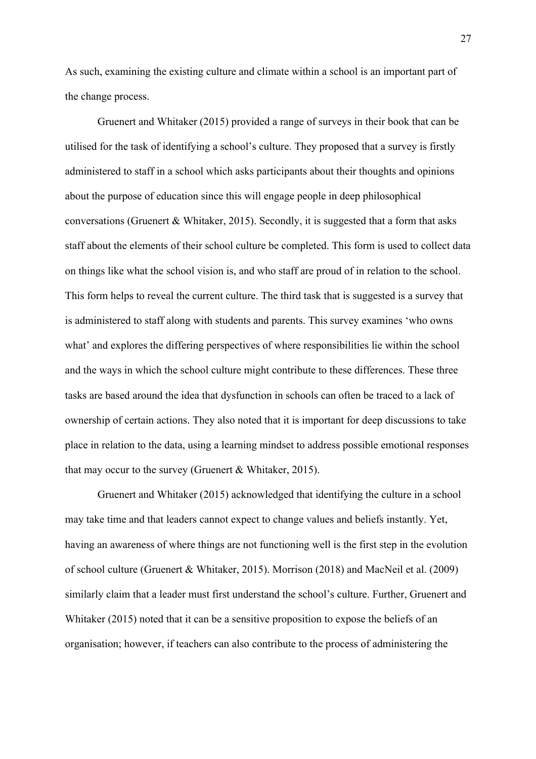As such, examining the existing culture and climate within a school is an important part of the change process.

Gruenert and Whitaker (2015) provided a range of surveys in their book that can be utilised for the task of identifying a school's culture. They proposed that a survey is firstly administered to staff in a school which asks participants about their thoughts and opinions about the purpose of education since this will engage people in deep philosophical conversations (Gruenert & Whitaker, 2015). Secondly, it is suggested that a form that asks staff about the elements of their school culture be completed. This form is used to collect data on things like what the school vision is, and who staff are proud of in relation to the school. This form helps to reveal the current culture. The third task that is suggested is a survey that is administered to staff along with students and parents. This survey examines 'who owns what' and explores the differing perspectives of where responsibilities lie within the school and the ways in which the school culture might contribute to these differences. These three tasks are based around the idea that dysfunction in schools can often be traced to a lack of ownership of certain actions. They also noted that it is important for deep discussions to take place in relation to the data, using a learning mindset to address possible emotional responses that may occur to the survey (Gruenert & Whitaker, 2015).

Gruenert and Whitaker (2015) acknowledged that identifying the culture in a school may take time and that leaders cannot expect to change values and beliefs instantly. Yet, having an awareness of where things are not functioning well is the first step in the evolution of school culture (Gruenert & Whitaker, 2015). Morrison (2018) and MacNeil et al. (2009) similarly claim that a leader must first understand the school's culture. Further, Gruenert and Whitaker (2015) noted that it can be a sensitive proposition to expose the beliefs of an organisation; however, if teachers can also contribute to the process of administering the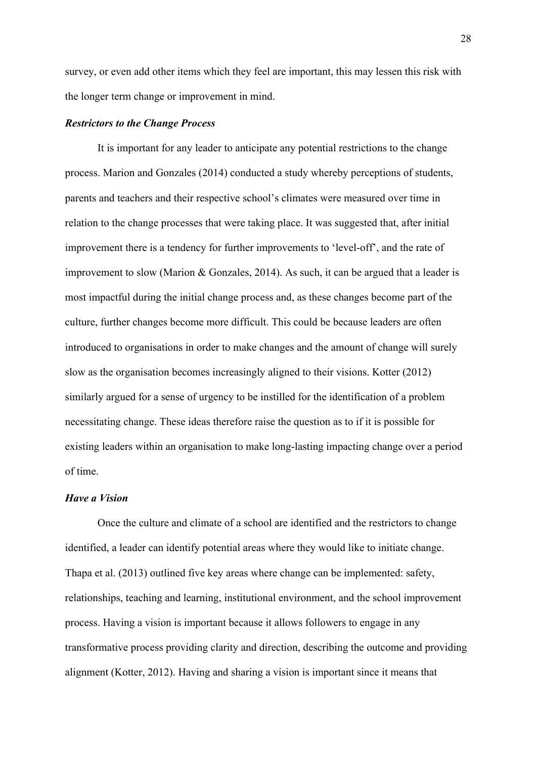survey, or even add other items which they feel are important, this may lessen this risk with the longer term change or improvement in mind.

# *Restrictors to the Change Process*

It is important for any leader to anticipate any potential restrictions to the change process. Marion and Gonzales (2014) conducted a study whereby perceptions of students, parents and teachers and their respective school's climates were measured over time in relation to the change processes that were taking place. It was suggested that, after initial improvement there is a tendency for further improvements to 'level-off', and the rate of improvement to slow (Marion & Gonzales, 2014). As such, it can be argued that a leader is most impactful during the initial change process and, as these changes become part of the culture, further changes become more difficult. This could be because leaders are often introduced to organisations in order to make changes and the amount of change will surely slow as the organisation becomes increasingly aligned to their visions. Kotter (2012) similarly argued for a sense of urgency to be instilled for the identification of a problem necessitating change. These ideas therefore raise the question as to if it is possible for existing leaders within an organisation to make long-lasting impacting change over a period of time.

#### *Have a Vision*

Once the culture and climate of a school are identified and the restrictors to change identified, a leader can identify potential areas where they would like to initiate change. Thapa et al. (2013) outlined five key areas where change can be implemented: safety, relationships, teaching and learning, institutional environment, and the school improvement process. Having a vision is important because it allows followers to engage in any transformative process providing clarity and direction, describing the outcome and providing alignment (Kotter, 2012). Having and sharing a vision is important since it means that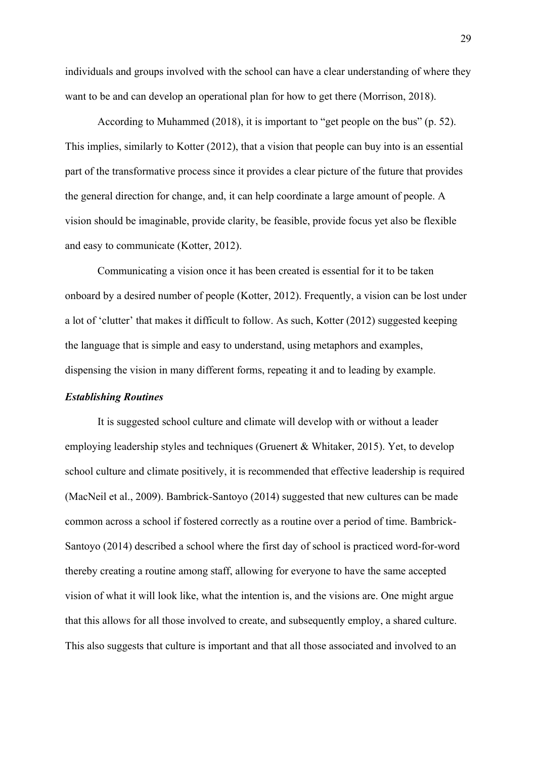individuals and groups involved with the school can have a clear understanding of where they want to be and can develop an operational plan for how to get there (Morrison, 2018).

According to Muhammed (2018), it is important to "get people on the bus" (p. 52). This implies, similarly to Kotter (2012), that a vision that people can buy into is an essential part of the transformative process since it provides a clear picture of the future that provides the general direction for change, and, it can help coordinate a large amount of people. A vision should be imaginable, provide clarity, be feasible, provide focus yet also be flexible and easy to communicate (Kotter, 2012).

Communicating a vision once it has been created is essential for it to be taken onboard by a desired number of people (Kotter, 2012). Frequently, a vision can be lost under a lot of 'clutter' that makes it difficult to follow. As such, Kotter (2012) suggested keeping the language that is simple and easy to understand, using metaphors and examples, dispensing the vision in many different forms, repeating it and to leading by example.

# *Establishing Routines*

It is suggested school culture and climate will develop with or without a leader employing leadership styles and techniques (Gruenert & Whitaker, 2015). Yet, to develop school culture and climate positively, it is recommended that effective leadership is required (MacNeil et al., 2009). Bambrick-Santoyo (2014) suggested that new cultures can be made common across a school if fostered correctly as a routine over a period of time. Bambrick-Santoyo (2014) described a school where the first day of school is practiced word-for-word thereby creating a routine among staff, allowing for everyone to have the same accepted vision of what it will look like, what the intention is, and the visions are. One might argue that this allows for all those involved to create, and subsequently employ, a shared culture. This also suggests that culture is important and that all those associated and involved to an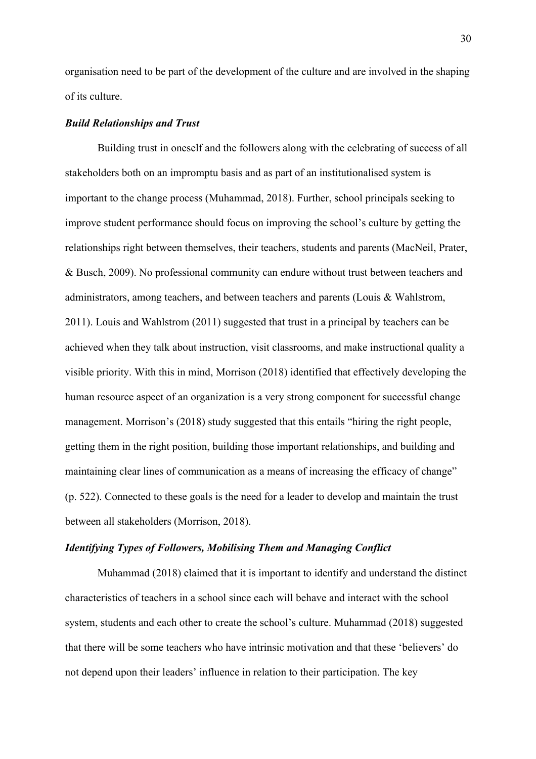organisation need to be part of the development of the culture and are involved in the shaping of its culture.

# *Build Relationships and Trust*

Building trust in oneself and the followers along with the celebrating of success of all stakeholders both on an impromptu basis and as part of an institutionalised system is important to the change process (Muhammad, 2018). Further, school principals seeking to improve student performance should focus on improving the school's culture by getting the relationships right between themselves, their teachers, students and parents (MacNeil, Prater, & Busch, 2009). No professional community can endure without trust between teachers and administrators, among teachers, and between teachers and parents (Louis & Wahlstrom, 2011). Louis and Wahlstrom (2011) suggested that trust in a principal by teachers can be achieved when they talk about instruction, visit classrooms, and make instructional quality a visible priority. With this in mind, Morrison (2018) identified that effectively developing the human resource aspect of an organization is a very strong component for successful change management. Morrison's (2018) study suggested that this entails "hiring the right people, getting them in the right position, building those important relationships, and building and maintaining clear lines of communication as a means of increasing the efficacy of change" (p. 522). Connected to these goals is the need for a leader to develop and maintain the trust between all stakeholders (Morrison, 2018).

# *Identifying Types of Followers, Mobilising Them and Managing Conflict*

Muhammad (2018) claimed that it is important to identify and understand the distinct characteristics of teachers in a school since each will behave and interact with the school system, students and each other to create the school's culture. Muhammad (2018) suggested that there will be some teachers who have intrinsic motivation and that these 'believers' do not depend upon their leaders' influence in relation to their participation. The key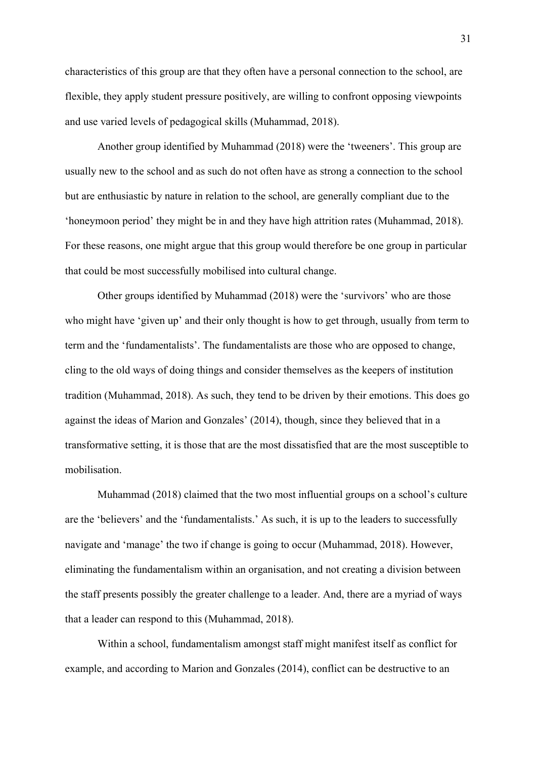characteristics of this group are that they often have a personal connection to the school, are flexible, they apply student pressure positively, are willing to confront opposing viewpoints and use varied levels of pedagogical skills (Muhammad, 2018).

Another group identified by Muhammad (2018) were the 'tweeners'. This group are usually new to the school and as such do not often have as strong a connection to the school but are enthusiastic by nature in relation to the school, are generally compliant due to the 'honeymoon period' they might be in and they have high attrition rates (Muhammad, 2018). For these reasons, one might argue that this group would therefore be one group in particular that could be most successfully mobilised into cultural change.

Other groups identified by Muhammad (2018) were the 'survivors' who are those who might have 'given up' and their only thought is how to get through, usually from term to term and the 'fundamentalists'. The fundamentalists are those who are opposed to change, cling to the old ways of doing things and consider themselves as the keepers of institution tradition (Muhammad, 2018). As such, they tend to be driven by their emotions. This does go against the ideas of Marion and Gonzales' (2014), though, since they believed that in a transformative setting, it is those that are the most dissatisfied that are the most susceptible to mobilisation.

Muhammad (2018) claimed that the two most influential groups on a school's culture are the 'believers' and the 'fundamentalists.' As such, it is up to the leaders to successfully navigate and 'manage' the two if change is going to occur (Muhammad, 2018). However, eliminating the fundamentalism within an organisation, and not creating a division between the staff presents possibly the greater challenge to a leader. And, there are a myriad of ways that a leader can respond to this (Muhammad, 2018).

Within a school, fundamentalism amongst staff might manifest itself as conflict for example, and according to Marion and Gonzales (2014), conflict can be destructive to an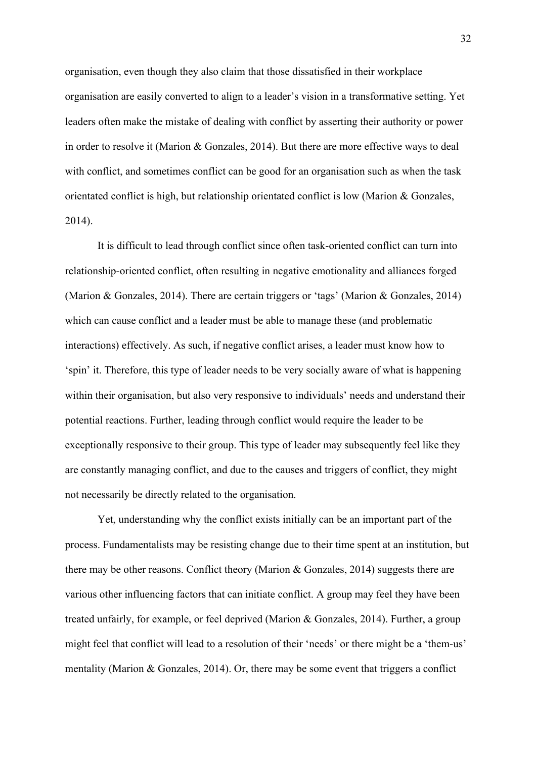organisation, even though they also claim that those dissatisfied in their workplace organisation are easily converted to align to a leader's vision in a transformative setting. Yet leaders often make the mistake of dealing with conflict by asserting their authority or power in order to resolve it (Marion & Gonzales, 2014). But there are more effective ways to deal with conflict, and sometimes conflict can be good for an organisation such as when the task orientated conflict is high, but relationship orientated conflict is low (Marion & Gonzales, 2014).

It is difficult to lead through conflict since often task-oriented conflict can turn into relationship-oriented conflict, often resulting in negative emotionality and alliances forged (Marion & Gonzales, 2014). There are certain triggers or 'tags' (Marion & Gonzales, 2014) which can cause conflict and a leader must be able to manage these (and problematic interactions) effectively. As such, if negative conflict arises, a leader must know how to 'spin' it. Therefore, this type of leader needs to be very socially aware of what is happening within their organisation, but also very responsive to individuals' needs and understand their potential reactions. Further, leading through conflict would require the leader to be exceptionally responsive to their group. This type of leader may subsequently feel like they are constantly managing conflict, and due to the causes and triggers of conflict, they might not necessarily be directly related to the organisation.

Yet, understanding why the conflict exists initially can be an important part of the process. Fundamentalists may be resisting change due to their time spent at an institution, but there may be other reasons. Conflict theory (Marion & Gonzales, 2014) suggests there are various other influencing factors that can initiate conflict. A group may feel they have been treated unfairly, for example, or feel deprived (Marion & Gonzales, 2014). Further, a group might feel that conflict will lead to a resolution of their 'needs' or there might be a 'them-us' mentality (Marion & Gonzales, 2014). Or, there may be some event that triggers a conflict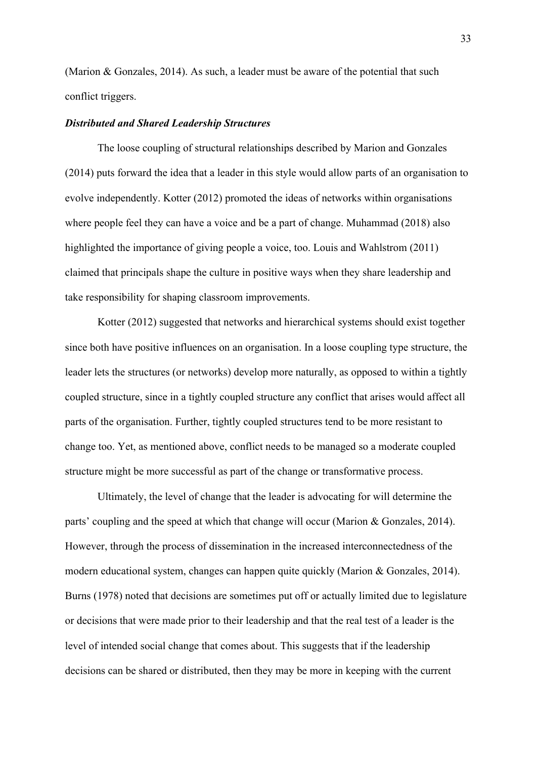(Marion & Gonzales, 2014). As such, a leader must be aware of the potential that such conflict triggers.

# *Distributed and Shared Leadership Structures*

The loose coupling of structural relationships described by Marion and Gonzales (2014) puts forward the idea that a leader in this style would allow parts of an organisation to evolve independently. Kotter (2012) promoted the ideas of networks within organisations where people feel they can have a voice and be a part of change. Muhammad (2018) also highlighted the importance of giving people a voice, too. Louis and Wahlstrom (2011) claimed that principals shape the culture in positive ways when they share leadership and take responsibility for shaping classroom improvements.

Kotter (2012) suggested that networks and hierarchical systems should exist together since both have positive influences on an organisation. In a loose coupling type structure, the leader lets the structures (or networks) develop more naturally, as opposed to within a tightly coupled structure, since in a tightly coupled structure any conflict that arises would affect all parts of the organisation. Further, tightly coupled structures tend to be more resistant to change too. Yet, as mentioned above, conflict needs to be managed so a moderate coupled structure might be more successful as part of the change or transformative process.

Ultimately, the level of change that the leader is advocating for will determine the parts' coupling and the speed at which that change will occur (Marion & Gonzales, 2014). However, through the process of dissemination in the increased interconnectedness of the modern educational system, changes can happen quite quickly (Marion & Gonzales, 2014). Burns (1978) noted that decisions are sometimes put off or actually limited due to legislature or decisions that were made prior to their leadership and that the real test of a leader is the level of intended social change that comes about. This suggests that if the leadership decisions can be shared or distributed, then they may be more in keeping with the current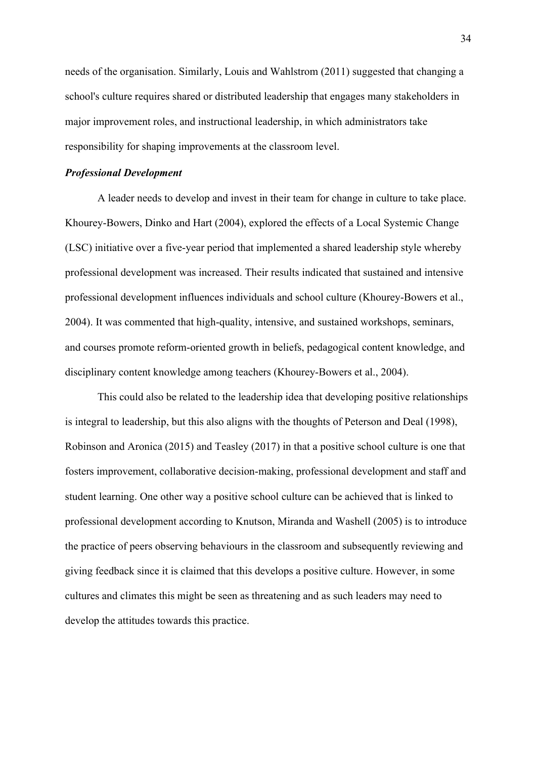needs of the organisation. Similarly, Louis and Wahlstrom (2011) suggested that changing a school's culture requires shared or distributed leadership that engages many stakeholders in major improvement roles, and instructional leadership, in which administrators take responsibility for shaping improvements at the classroom level.

# *Professional Development*

A leader needs to develop and invest in their team for change in culture to take place. Khourey-Bowers, Dinko and Hart (2004), explored the effects of a Local Systemic Change (LSC) initiative over a five-year period that implemented a shared leadership style whereby professional development was increased. Their results indicated that sustained and intensive professional development influences individuals and school culture (Khourey-Bowers et al., 2004). It was commented that high-quality, intensive, and sustained workshops, seminars, and courses promote reform-oriented growth in beliefs, pedagogical content knowledge, and disciplinary content knowledge among teachers (Khourey-Bowers et al., 2004).

This could also be related to the leadership idea that developing positive relationships is integral to leadership, but this also aligns with the thoughts of Peterson and Deal (1998), Robinson and Aronica (2015) and Teasley (2017) in that a positive school culture is one that fosters improvement, collaborative decision-making, professional development and staff and student learning. One other way a positive school culture can be achieved that is linked to professional development according to Knutson, Miranda and Washell (2005) is to introduce the practice of peers observing behaviours in the classroom and subsequently reviewing and giving feedback since it is claimed that this develops a positive culture. However, in some cultures and climates this might be seen as threatening and as such leaders may need to develop the attitudes towards this practice.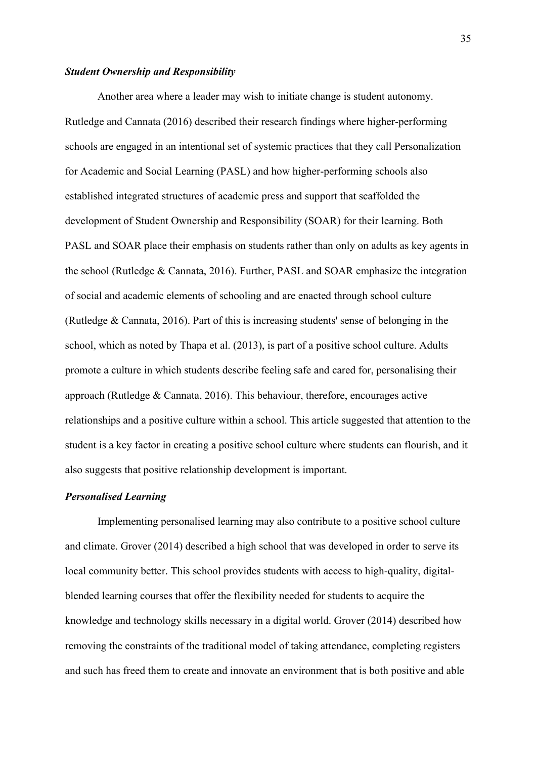# *Student Ownership and Responsibility*

Another area where a leader may wish to initiate change is student autonomy. Rutledge and Cannata (2016) described their research findings where higher-performing schools are engaged in an intentional set of systemic practices that they call Personalization for Academic and Social Learning (PASL) and how higher-performing schools also established integrated structures of academic press and support that scaffolded the development of Student Ownership and Responsibility (SOAR) for their learning. Both PASL and SOAR place their emphasis on students rather than only on adults as key agents in the school (Rutledge & Cannata, 2016). Further, PASL and SOAR emphasize the integration of social and academic elements of schooling and are enacted through school culture (Rutledge & Cannata, 2016). Part of this is increasing students' sense of belonging in the school, which as noted by Thapa et al. (2013), is part of a positive school culture. Adults promote a culture in which students describe feeling safe and cared for, personalising their approach (Rutledge & Cannata, 2016). This behaviour, therefore, encourages active relationships and a positive culture within a school. This article suggested that attention to the student is a key factor in creating a positive school culture where students can flourish, and it also suggests that positive relationship development is important.

# *Personalised Learning*

Implementing personalised learning may also contribute to a positive school culture and climate. Grover (2014) described a high school that was developed in order to serve its local community better. This school provides students with access to high-quality, digitalblended learning courses that offer the flexibility needed for students to acquire the knowledge and technology skills necessary in a digital world. Grover (2014) described how removing the constraints of the traditional model of taking attendance, completing registers and such has freed them to create and innovate an environment that is both positive and able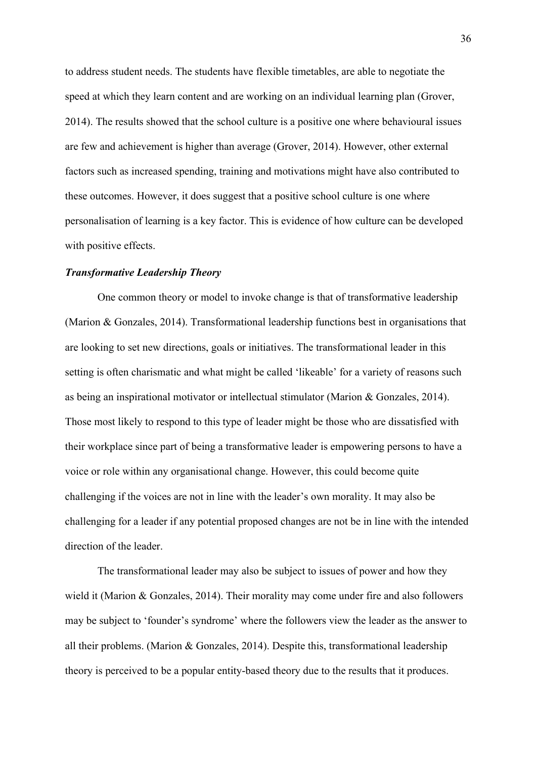to address student needs. The students have flexible timetables, are able to negotiate the speed at which they learn content and are working on an individual learning plan (Grover, 2014). The results showed that the school culture is a positive one where behavioural issues are few and achievement is higher than average (Grover, 2014). However, other external factors such as increased spending, training and motivations might have also contributed to these outcomes. However, it does suggest that a positive school culture is one where personalisation of learning is a key factor. This is evidence of how culture can be developed with positive effects.

# *Transformative Leadership Theory*

One common theory or model to invoke change is that of transformative leadership (Marion & Gonzales, 2014). Transformational leadership functions best in organisations that are looking to set new directions, goals or initiatives. The transformational leader in this setting is often charismatic and what might be called 'likeable' for a variety of reasons such as being an inspirational motivator or intellectual stimulator (Marion & Gonzales, 2014). Those most likely to respond to this type of leader might be those who are dissatisfied with their workplace since part of being a transformative leader is empowering persons to have a voice or role within any organisational change. However, this could become quite challenging if the voices are not in line with the leader's own morality. It may also be challenging for a leader if any potential proposed changes are not be in line with the intended direction of the leader.

The transformational leader may also be subject to issues of power and how they wield it (Marion & Gonzales, 2014). Their morality may come under fire and also followers may be subject to 'founder's syndrome' where the followers view the leader as the answer to all their problems. (Marion & Gonzales, 2014). Despite this, transformational leadership theory is perceived to be a popular entity-based theory due to the results that it produces.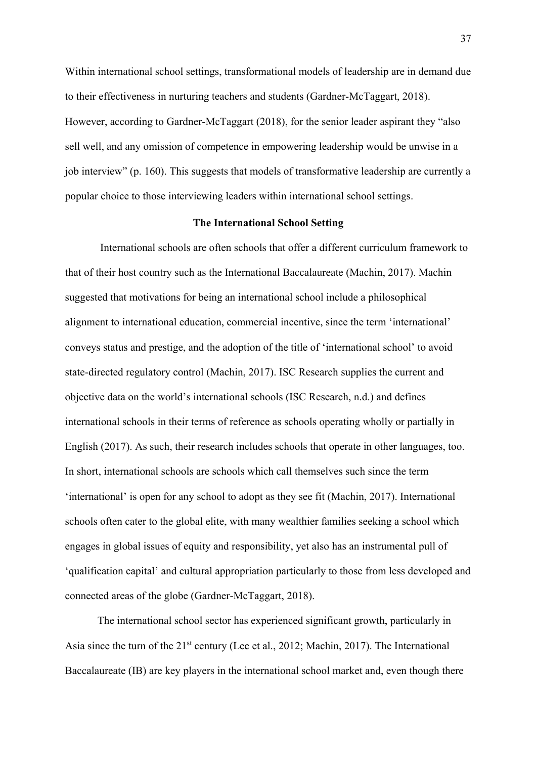Within international school settings, transformational models of leadership are in demand due to their effectiveness in nurturing teachers and students (Gardner-McTaggart, 2018). However, according to Gardner-McTaggart (2018), for the senior leader aspirant they "also sell well, and any omission of competence in empowering leadership would be unwise in a job interview" (p. 160). This suggests that models of transformative leadership are currently a popular choice to those interviewing leaders within international school settings.

## **The International School Setting**

International schools are often schools that offer a different curriculum framework to that of their host country such as the International Baccalaureate (Machin, 2017). Machin suggested that motivations for being an international school include a philosophical alignment to international education, commercial incentive, since the term 'international' conveys status and prestige, and the adoption of the title of 'international school' to avoid state-directed regulatory control (Machin, 2017). ISC Research supplies the current and objective data on the world's international schools (ISC Research, n.d.) and defines international schools in their terms of reference as schools operating wholly or partially in English (2017). As such, their research includes schools that operate in other languages, too. In short, international schools are schools which call themselves such since the term 'international' is open for any school to adopt as they see fit (Machin, 2017). International schools often cater to the global elite, with many wealthier families seeking a school which engages in global issues of equity and responsibility, yet also has an instrumental pull of 'qualification capital' and cultural appropriation particularly to those from less developed and connected areas of the globe (Gardner-McTaggart, 2018).

The international school sector has experienced significant growth, particularly in Asia since the turn of the 21<sup>st</sup> century (Lee et al., 2012; Machin, 2017). The International Baccalaureate (IB) are key players in the international school market and, even though there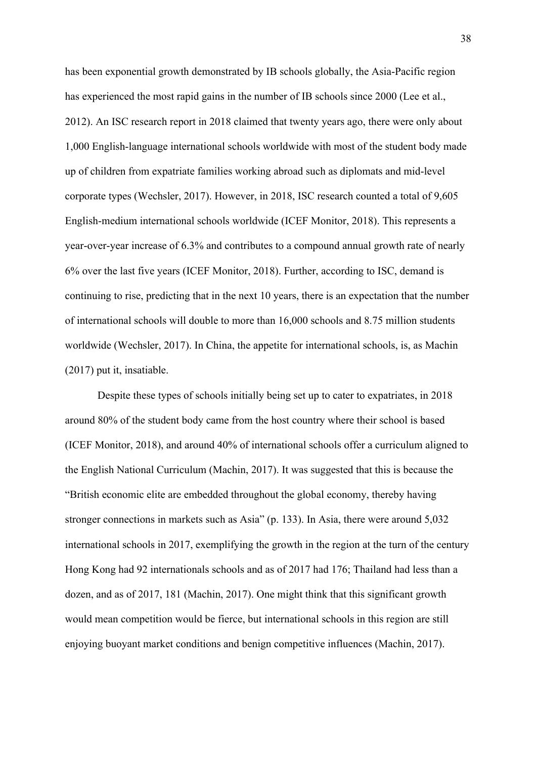has been exponential growth demonstrated by IB schools globally, the Asia-Pacific region has experienced the most rapid gains in the number of IB schools since 2000 (Lee et al., 2012). An ISC research report in 2018 claimed that twenty years ago, there were only about 1,000 English-language international schools worldwide with most of the student body made up of children from expatriate families working abroad such as diplomats and mid-level corporate types (Wechsler, 2017). However, in 2018, ISC research counted a total of 9,605 English-medium international schools worldwide (ICEF Monitor, 2018). This represents a year-over-year increase of 6.3% and contributes to a compound annual growth rate of nearly 6% over the last five years (ICEF Monitor, 2018). Further, according to ISC, demand is continuing to rise, predicting that in the next 10 years, there is an expectation that the number of international schools will double to more than 16,000 schools and 8.75 million students worldwide (Wechsler, 2017). In China, the appetite for international schools, is, as Machin (2017) put it, insatiable.

Despite these types of schools initially being set up to cater to expatriates, in 2018 around 80% of the student body came from the host country where their school is based (ICEF Monitor, 2018), and around 40% of international schools offer a curriculum aligned to the English National Curriculum (Machin, 2017). It was suggested that this is because the "British economic elite are embedded throughout the global economy, thereby having stronger connections in markets such as Asia" (p. 133). In Asia, there were around 5,032 international schools in 2017, exemplifying the growth in the region at the turn of the century Hong Kong had 92 internationals schools and as of 2017 had 176; Thailand had less than a dozen, and as of 2017, 181 (Machin, 2017). One might think that this significant growth would mean competition would be fierce, but international schools in this region are still enjoying buoyant market conditions and benign competitive influences (Machin, 2017).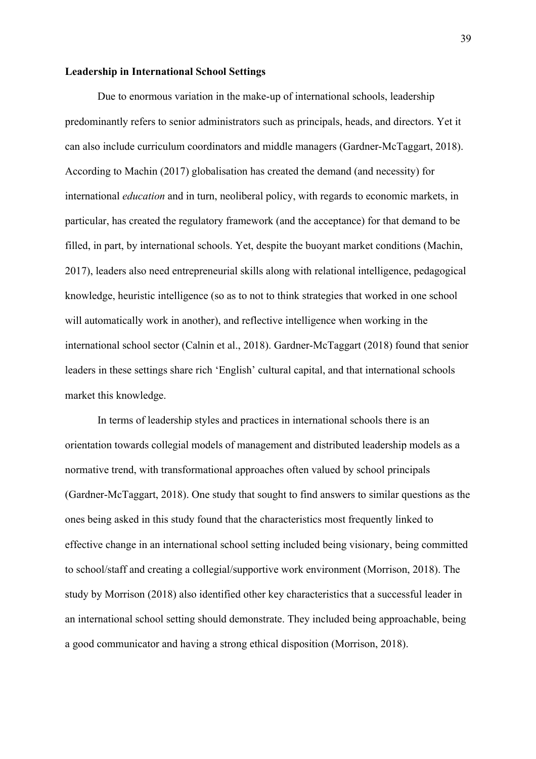#### **Leadership in International School Settings**

Due to enormous variation in the make-up of international schools, leadership predominantly refers to senior administrators such as principals, heads, and directors. Yet it can also include curriculum coordinators and middle managers (Gardner-McTaggart, 2018). According to Machin (2017) globalisation has created the demand (and necessity) for international *education* and in turn, neoliberal policy, with regards to economic markets, in particular, has created the regulatory framework (and the acceptance) for that demand to be filled, in part, by international schools. Yet, despite the buoyant market conditions (Machin, 2017), leaders also need entrepreneurial skills along with relational intelligence, pedagogical knowledge, heuristic intelligence (so as to not to think strategies that worked in one school will automatically work in another), and reflective intelligence when working in the international school sector (Calnin et al., 2018). Gardner-McTaggart (2018) found that senior leaders in these settings share rich 'English' cultural capital, and that international schools market this knowledge.

In terms of leadership styles and practices in international schools there is an orientation towards collegial models of management and distributed leadership models as a normative trend, with transformational approaches often valued by school principals (Gardner-McTaggart, 2018). One study that sought to find answers to similar questions as the ones being asked in this study found that the characteristics most frequently linked to effective change in an international school setting included being visionary, being committed to school/staff and creating a collegial/supportive work environment (Morrison, 2018). The study by Morrison (2018) also identified other key characteristics that a successful leader in an international school setting should demonstrate. They included being approachable, being a good communicator and having a strong ethical disposition (Morrison, 2018).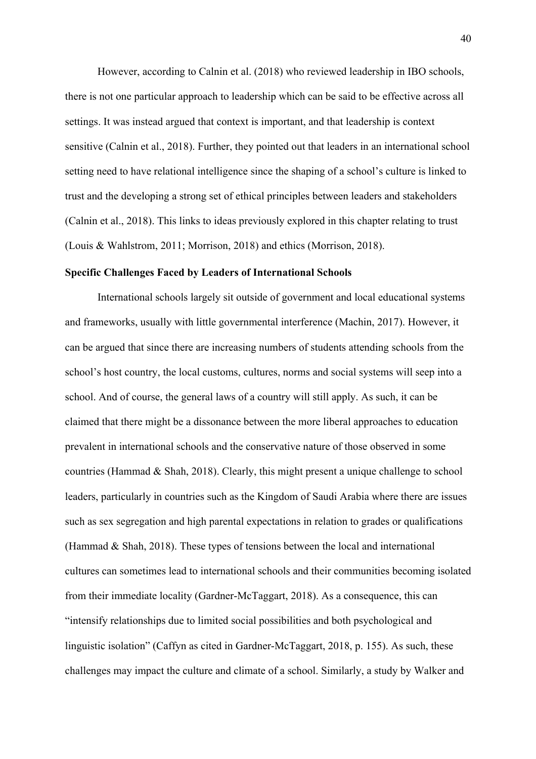However, according to Calnin et al. (2018) who reviewed leadership in IBO schools, there is not one particular approach to leadership which can be said to be effective across all settings. It was instead argued that context is important, and that leadership is context sensitive (Calnin et al., 2018). Further, they pointed out that leaders in an international school setting need to have relational intelligence since the shaping of a school's culture is linked to trust and the developing a strong set of ethical principles between leaders and stakeholders (Calnin et al., 2018). This links to ideas previously explored in this chapter relating to trust (Louis & Wahlstrom, 2011; Morrison, 2018) and ethics (Morrison, 2018).

# **Specific Challenges Faced by Leaders of International Schools**

International schools largely sit outside of government and local educational systems and frameworks, usually with little governmental interference (Machin, 2017). However, it can be argued that since there are increasing numbers of students attending schools from the school's host country, the local customs, cultures, norms and social systems will seep into a school. And of course, the general laws of a country will still apply. As such, it can be claimed that there might be a dissonance between the more liberal approaches to education prevalent in international schools and the conservative nature of those observed in some countries (Hammad & Shah, 2018). Clearly, this might present a unique challenge to school leaders, particularly in countries such as the Kingdom of Saudi Arabia where there are issues such as sex segregation and high parental expectations in relation to grades or qualifications (Hammad & Shah, 2018). These types of tensions between the local and international cultures can sometimes lead to international schools and their communities becoming isolated from their immediate locality (Gardner-McTaggart, 2018). As a consequence, this can "intensify relationships due to limited social possibilities and both psychological and linguistic isolation" (Caffyn as cited in Gardner-McTaggart, 2018, p. 155). As such, these challenges may impact the culture and climate of a school. Similarly, a study by Walker and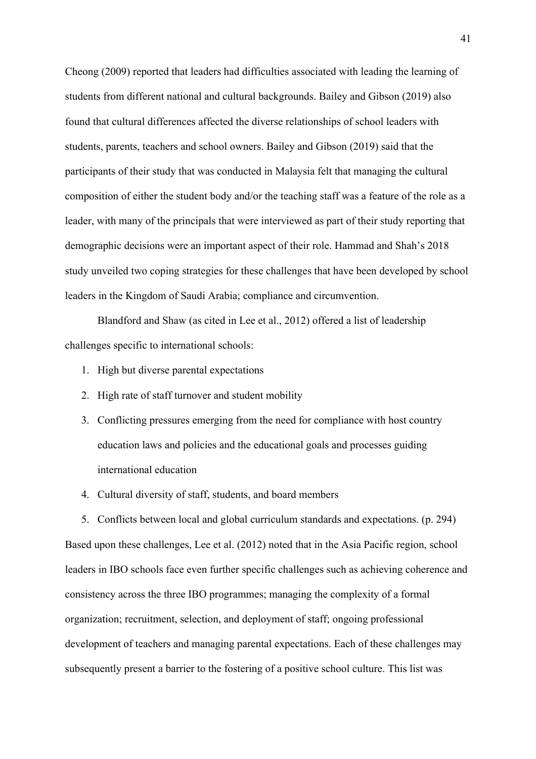Cheong (2009) reported that leaders had difficulties associated with leading the learning of students from different national and cultural backgrounds. Bailey and Gibson (2019) also found that cultural differences affected the diverse relationships of school leaders with students, parents, teachers and school owners. Bailey and Gibson (2019) said that the participants of their study that was conducted in Malaysia felt that managing the cultural composition of either the student body and/or the teaching staff was a feature of the role as a leader, with many of the principals that were interviewed as part of their study reporting that demographic decisions were an important aspect of their role. Hammad and Shah's 2018 study unveiled two coping strategies for these challenges that have been developed by school leaders in the Kingdom of Saudi Arabia; compliance and circumvention.

Blandford and Shaw (as cited in Lee et al., 2012) offered a list of leadership challenges specific to international schools:

- 1. High but diverse parental expectations
- 2. High rate of staff turnover and student mobility
- 3. Conflicting pressures emerging from the need for compliance with host country education laws and policies and the educational goals and processes guiding international education
- 4. Cultural diversity of staff, students, and board members

5. Conflicts between local and global curriculum standards and expectations. (p. 294) Based upon these challenges, Lee et al. (2012) noted that in the Asia Pacific region, school leaders in IBO schools face even further specific challenges such as achieving coherence and consistency across the three IBO programmes; managing the complexity of a formal organization; recruitment, selection, and deployment of staff; ongoing professional development of teachers and managing parental expectations. Each of these challenges may subsequently present a barrier to the fostering of a positive school culture. This list was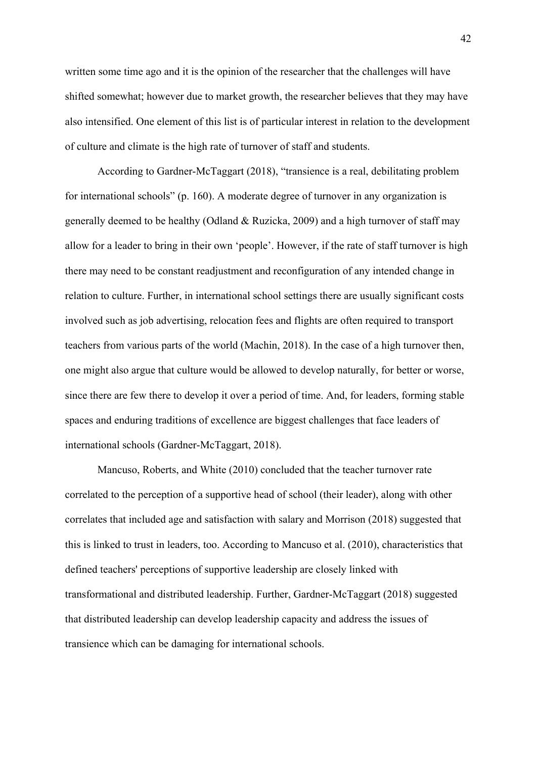written some time ago and it is the opinion of the researcher that the challenges will have shifted somewhat; however due to market growth, the researcher believes that they may have also intensified. One element of this list is of particular interest in relation to the development of culture and climate is the high rate of turnover of staff and students.

According to Gardner-McTaggart (2018), "transience is a real, debilitating problem for international schools" (p. 160). A moderate degree of turnover in any organization is generally deemed to be healthy (Odland & Ruzicka, 2009) and a high turnover of staff may allow for a leader to bring in their own 'people'. However, if the rate of staff turnover is high there may need to be constant readjustment and reconfiguration of any intended change in relation to culture. Further, in international school settings there are usually significant costs involved such as job advertising, relocation fees and flights are often required to transport teachers from various parts of the world (Machin, 2018). In the case of a high turnover then, one might also argue that culture would be allowed to develop naturally, for better or worse, since there are few there to develop it over a period of time. And, for leaders, forming stable spaces and enduring traditions of excellence are biggest challenges that face leaders of international schools (Gardner-McTaggart, 2018).

Mancuso, Roberts, and White (2010) concluded that the teacher turnover rate correlated to the perception of a supportive head of school (their leader), along with other correlates that included age and satisfaction with salary and Morrison (2018) suggested that this is linked to trust in leaders, too. According to Mancuso et al. (2010), characteristics that defined teachers' perceptions of supportive leadership are closely linked with transformational and distributed leadership. Further, Gardner-McTaggart (2018) suggested that distributed leadership can develop leadership capacity and address the issues of transience which can be damaging for international schools.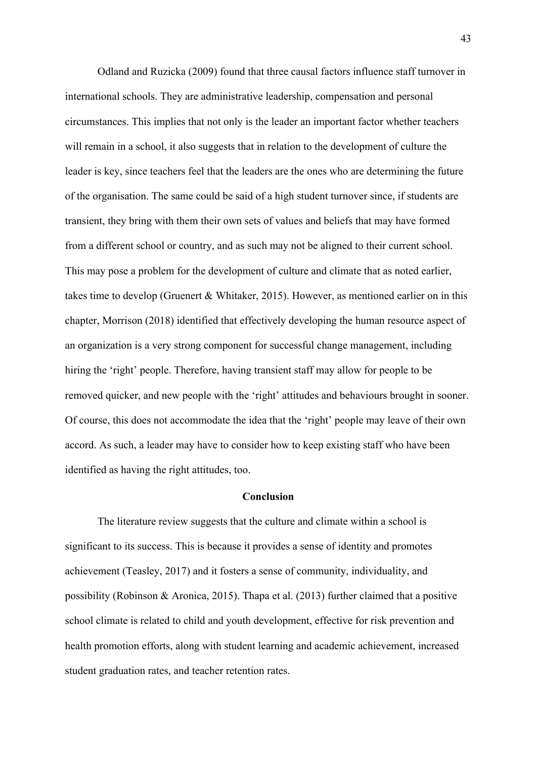Odland and Ruzicka (2009) found that three causal factors influence staff turnover in international schools. They are administrative leadership, compensation and personal circumstances. This implies that not only is the leader an important factor whether teachers will remain in a school, it also suggests that in relation to the development of culture the leader is key, since teachers feel that the leaders are the ones who are determining the future of the organisation. The same could be said of a high student turnover since, if students are transient, they bring with them their own sets of values and beliefs that may have formed from a different school or country, and as such may not be aligned to their current school. This may pose a problem for the development of culture and climate that as noted earlier, takes time to develop (Gruenert & Whitaker, 2015). However, as mentioned earlier on in this chapter, Morrison (2018) identified that effectively developing the human resource aspect of an organization is a very strong component for successful change management, including hiring the 'right' people. Therefore, having transient staff may allow for people to be removed quicker, and new people with the 'right' attitudes and behaviours brought in sooner. Of course, this does not accommodate the idea that the 'right' people may leave of their own accord. As such, a leader may have to consider how to keep existing staff who have been identified as having the right attitudes, too.

# **Conclusion**

The literature review suggests that the culture and climate within a school is significant to its success. This is because it provides a sense of identity and promotes achievement (Teasley, 2017) and it fosters a sense of community, individuality, and possibility (Robinson & Aronica, 2015). Thapa et al. (2013) further claimed that a positive school climate is related to child and youth development, effective for risk prevention and health promotion efforts, along with student learning and academic achievement, increased student graduation rates, and teacher retention rates.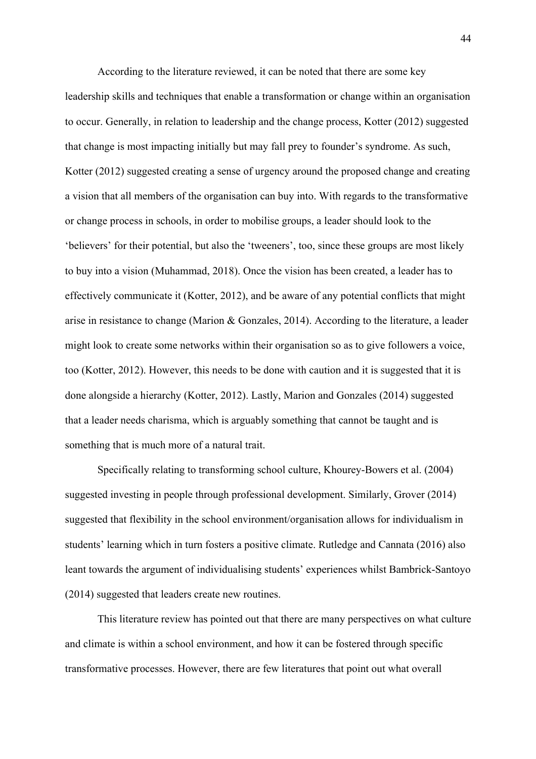According to the literature reviewed, it can be noted that there are some key leadership skills and techniques that enable a transformation or change within an organisation to occur. Generally, in relation to leadership and the change process, Kotter (2012) suggested that change is most impacting initially but may fall prey to founder's syndrome. As such, Kotter (2012) suggested creating a sense of urgency around the proposed change and creating a vision that all members of the organisation can buy into. With regards to the transformative or change process in schools, in order to mobilise groups, a leader should look to the 'believers' for their potential, but also the 'tweeners', too, since these groups are most likely to buy into a vision (Muhammad, 2018). Once the vision has been created, a leader has to effectively communicate it (Kotter, 2012), and be aware of any potential conflicts that might arise in resistance to change (Marion & Gonzales, 2014). According to the literature, a leader might look to create some networks within their organisation so as to give followers a voice, too (Kotter, 2012). However, this needs to be done with caution and it is suggested that it is done alongside a hierarchy (Kotter, 2012). Lastly, Marion and Gonzales (2014) suggested that a leader needs charisma, which is arguably something that cannot be taught and is something that is much more of a natural trait.

Specifically relating to transforming school culture, Khourey-Bowers et al. (2004) suggested investing in people through professional development. Similarly, Grover (2014) suggested that flexibility in the school environment/organisation allows for individualism in students' learning which in turn fosters a positive climate. Rutledge and Cannata (2016) also leant towards the argument of individualising students' experiences whilst Bambrick-Santoyo (2014) suggested that leaders create new routines.

This literature review has pointed out that there are many perspectives on what culture and climate is within a school environment, and how it can be fostered through specific transformative processes. However, there are few literatures that point out what overall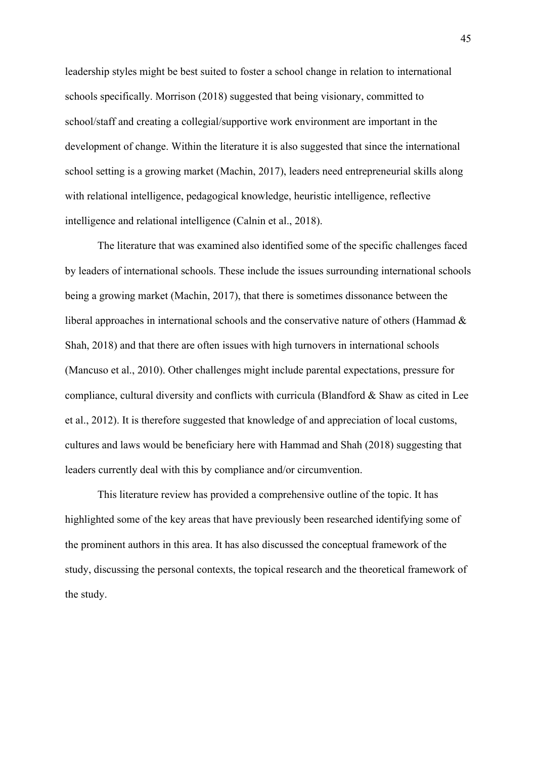leadership styles might be best suited to foster a school change in relation to international schools specifically. Morrison (2018) suggested that being visionary, committed to school/staff and creating a collegial/supportive work environment are important in the development of change. Within the literature it is also suggested that since the international school setting is a growing market (Machin, 2017), leaders need entrepreneurial skills along with relational intelligence, pedagogical knowledge, heuristic intelligence, reflective intelligence and relational intelligence (Calnin et al., 2018).

The literature that was examined also identified some of the specific challenges faced by leaders of international schools. These include the issues surrounding international schools being a growing market (Machin, 2017), that there is sometimes dissonance between the liberal approaches in international schools and the conservative nature of others (Hammad & Shah, 2018) and that there are often issues with high turnovers in international schools (Mancuso et al., 2010). Other challenges might include parental expectations, pressure for compliance, cultural diversity and conflicts with curricula (Blandford & Shaw as cited in Lee et al., 2012). It is therefore suggested that knowledge of and appreciation of local customs, cultures and laws would be beneficiary here with Hammad and Shah (2018) suggesting that leaders currently deal with this by compliance and/or circumvention.

This literature review has provided a comprehensive outline of the topic. It has highlighted some of the key areas that have previously been researched identifying some of the prominent authors in this area. It has also discussed the conceptual framework of the study, discussing the personal contexts, the topical research and the theoretical framework of the study.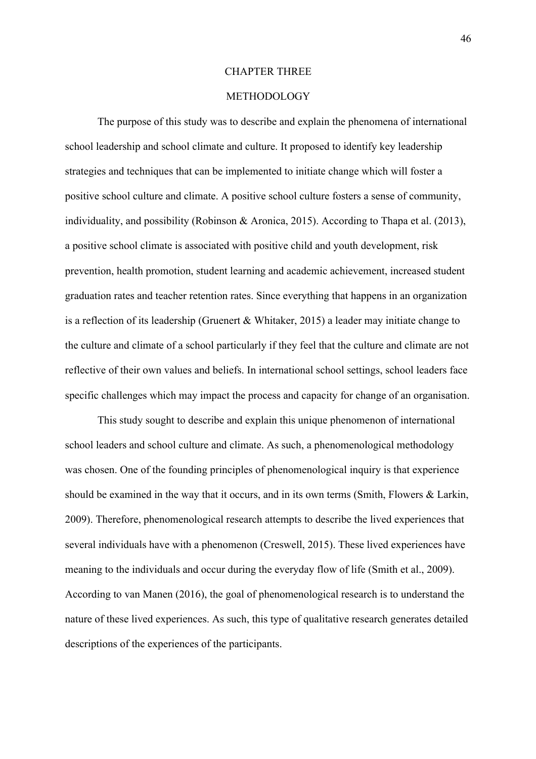## CHAPTER THREE

# METHODOLOGY

The purpose of this study was to describe and explain the phenomena of international school leadership and school climate and culture. It proposed to identify key leadership strategies and techniques that can be implemented to initiate change which will foster a positive school culture and climate. A positive school culture fosters a sense of community, individuality, and possibility (Robinson & Aronica, 2015). According to Thapa et al. (2013), a positive school climate is associated with positive child and youth development, risk prevention, health promotion, student learning and academic achievement, increased student graduation rates and teacher retention rates. Since everything that happens in an organization is a reflection of its leadership (Gruenert & Whitaker, 2015) a leader may initiate change to the culture and climate of a school particularly if they feel that the culture and climate are not reflective of their own values and beliefs. In international school settings, school leaders face specific challenges which may impact the process and capacity for change of an organisation.

This study sought to describe and explain this unique phenomenon of international school leaders and school culture and climate. As such, a phenomenological methodology was chosen. One of the founding principles of phenomenological inquiry is that experience should be examined in the way that it occurs, and in its own terms (Smith, Flowers & Larkin, 2009). Therefore, phenomenological research attempts to describe the lived experiences that several individuals have with a phenomenon (Creswell, 2015). These lived experiences have meaning to the individuals and occur during the everyday flow of life (Smith et al., 2009). According to van Manen (2016), the goal of phenomenological research is to understand the nature of these lived experiences. As such, this type of qualitative research generates detailed descriptions of the experiences of the participants.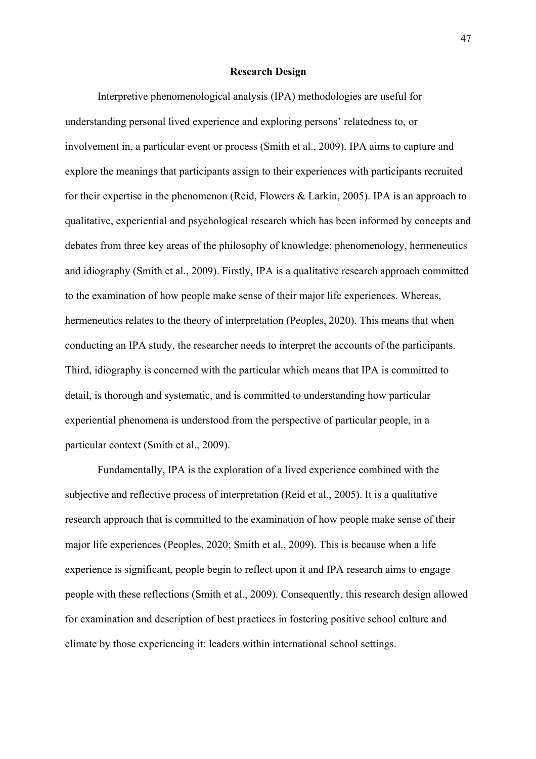# **Research Design**

Interpretive phenomenological analysis (IPA) methodologies are useful for understanding personal lived experience and exploring persons' relatedness to, or involvement in, a particular event or process (Smith et al., 2009). IPA aims to capture and explore the meanings that participants assign to their experiences with participants recruited for their expertise in the phenomenon (Reid, Flowers & Larkin, 2005). IPA is an approach to qualitative, experiential and psychological research which has been informed by concepts and debates from three key areas of the philosophy of knowledge: phenomenology, hermeneutics and idiography (Smith et al., 2009). Firstly, IPA is a qualitative research approach committed to the examination of how people make sense of their major life experiences. Whereas, hermeneutics relates to the theory of interpretation (Peoples, 2020). This means that when conducting an IPA study, the researcher needs to interpret the accounts of the participants. Third, idiography is concerned with the particular which means that IPA is committed to detail, is thorough and systematic, and is committed to understanding how particular experiential phenomena is understood from the perspective of particular people, in a particular context (Smith et al., 2009).

Fundamentally, IPA is the exploration of a lived experience combined with the subjective and reflective process of interpretation (Reid et al., 2005). It is a qualitative research approach that is committed to the examination of how people make sense of their major life experiences (Peoples, 2020; Smith et al., 2009). This is because when a life experience is significant, people begin to reflect upon it and IPA research aims to engage people with these reflections (Smith et al., 2009). Consequently, this research design allowed for examination and description of best practices in fostering positive school culture and climate by those experiencing it: leaders within international school settings.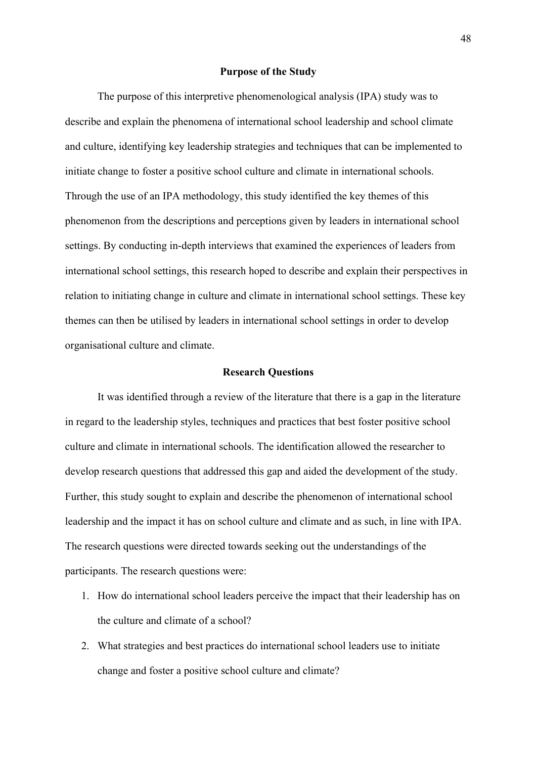# **Purpose of the Study**

The purpose of this interpretive phenomenological analysis (IPA) study was to describe and explain the phenomena of international school leadership and school climate and culture, identifying key leadership strategies and techniques that can be implemented to initiate change to foster a positive school culture and climate in international schools. Through the use of an IPA methodology, this study identified the key themes of this phenomenon from the descriptions and perceptions given by leaders in international school settings. By conducting in-depth interviews that examined the experiences of leaders from international school settings, this research hoped to describe and explain their perspectives in relation to initiating change in culture and climate in international school settings. These key themes can then be utilised by leaders in international school settings in order to develop organisational culture and climate.

## **Research Questions**

It was identified through a review of the literature that there is a gap in the literature in regard to the leadership styles, techniques and practices that best foster positive school culture and climate in international schools. The identification allowed the researcher to develop research questions that addressed this gap and aided the development of the study. Further, this study sought to explain and describe the phenomenon of international school leadership and the impact it has on school culture and climate and as such, in line with IPA. The research questions were directed towards seeking out the understandings of the participants. The research questions were:

- 1. How do international school leaders perceive the impact that their leadership has on the culture and climate of a school?
- 2. What strategies and best practices do international school leaders use to initiate change and foster a positive school culture and climate?

48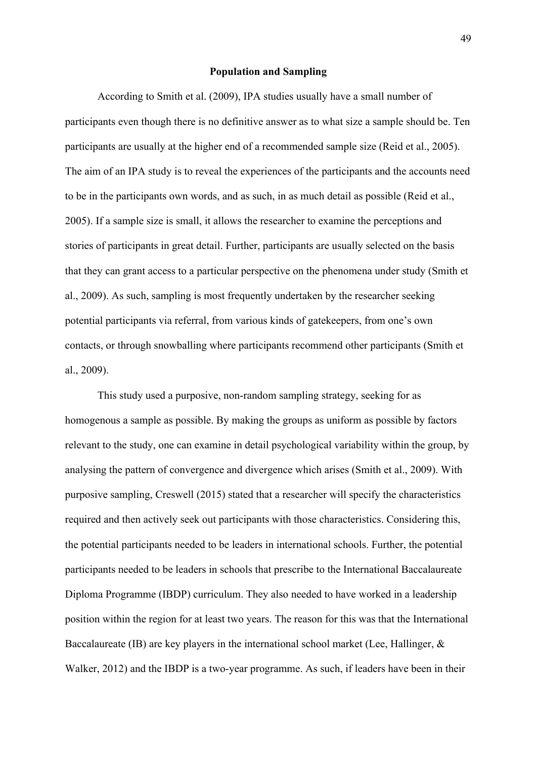## **Population and Sampling**

According to Smith et al. (2009), IPA studies usually have a small number of participants even though there is no definitive answer as to what size a sample should be. Ten participants are usually at the higher end of a recommended sample size (Reid et al., 2005). The aim of an IPA study is to reveal the experiences of the participants and the accounts need to be in the participants own words, and as such, in as much detail as possible (Reid et al., 2005). If a sample size is small, it allows the researcher to examine the perceptions and stories of participants in great detail. Further, participants are usually selected on the basis that they can grant access to a particular perspective on the phenomena under study (Smith et al., 2009). As such, sampling is most frequently undertaken by the researcher seeking potential participants via referral, from various kinds of gatekeepers, from one's own contacts, or through snowballing where participants recommend other participants (Smith et al., 2009).

This study used a purposive, non-random sampling strategy, seeking for as homogenous a sample as possible. By making the groups as uniform as possible by factors relevant to the study, one can examine in detail psychological variability within the group, by analysing the pattern of convergence and divergence which arises (Smith et al., 2009). With purposive sampling, Creswell (2015) stated that a researcher will specify the characteristics required and then actively seek out participants with those characteristics. Considering this, the potential participants needed to be leaders in international schools. Further, the potential participants needed to be leaders in schools that prescribe to the International Baccalaureate Diploma Programme (IBDP) curriculum. They also needed to have worked in a leadership position within the region for at least two years. The reason for this was that the International Baccalaureate (IB) are key players in the international school market (Lee, Hallinger, & Walker, 2012) and the IBDP is a two-year programme. As such, if leaders have been in their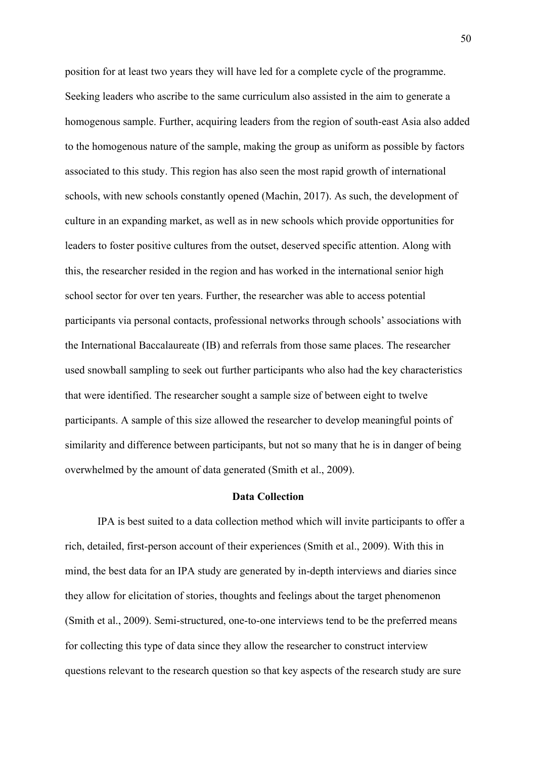position for at least two years they will have led for a complete cycle of the programme. Seeking leaders who ascribe to the same curriculum also assisted in the aim to generate a homogenous sample. Further, acquiring leaders from the region of south-east Asia also added to the homogenous nature of the sample, making the group as uniform as possible by factors associated to this study. This region has also seen the most rapid growth of international schools, with new schools constantly opened (Machin, 2017). As such, the development of culture in an expanding market, as well as in new schools which provide opportunities for leaders to foster positive cultures from the outset, deserved specific attention. Along with this, the researcher resided in the region and has worked in the international senior high school sector for over ten years. Further, the researcher was able to access potential participants via personal contacts, professional networks through schools' associations with the International Baccalaureate (IB) and referrals from those same places. The researcher used snowball sampling to seek out further participants who also had the key characteristics that were identified. The researcher sought a sample size of between eight to twelve participants. A sample of this size allowed the researcher to develop meaningful points of similarity and difference between participants, but not so many that he is in danger of being overwhelmed by the amount of data generated (Smith et al., 2009).

#### **Data Collection**

IPA is best suited to a data collection method which will invite participants to offer a rich, detailed, first-person account of their experiences (Smith et al., 2009). With this in mind, the best data for an IPA study are generated by in-depth interviews and diaries since they allow for elicitation of stories, thoughts and feelings about the target phenomenon (Smith et al., 2009). Semi-structured, one-to-one interviews tend to be the preferred means for collecting this type of data since they allow the researcher to construct interview questions relevant to the research question so that key aspects of the research study are sure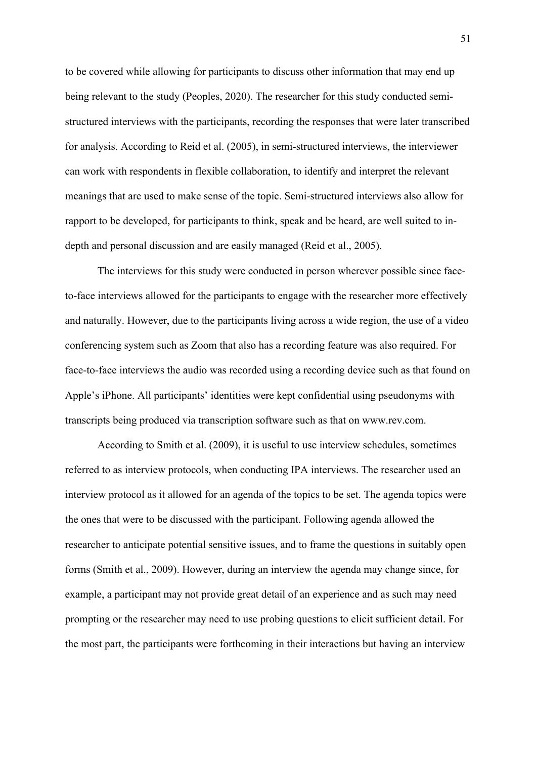to be covered while allowing for participants to discuss other information that may end up being relevant to the study (Peoples, 2020). The researcher for this study conducted semistructured interviews with the participants, recording the responses that were later transcribed for analysis. According to Reid et al. (2005), in semi-structured interviews, the interviewer can work with respondents in flexible collaboration, to identify and interpret the relevant meanings that are used to make sense of the topic. Semi-structured interviews also allow for rapport to be developed, for participants to think, speak and be heard, are well suited to indepth and personal discussion and are easily managed (Reid et al., 2005).

The interviews for this study were conducted in person wherever possible since faceto-face interviews allowed for the participants to engage with the researcher more effectively and naturally. However, due to the participants living across a wide region, the use of a video conferencing system such as Zoom that also has a recording feature was also required. For face-to-face interviews the audio was recorded using a recording device such as that found on Apple's iPhone. All participants' identities were kept confidential using pseudonyms with transcripts being produced via transcription software such as that on www.rev.com.

According to Smith et al. (2009), it is useful to use interview schedules, sometimes referred to as interview protocols, when conducting IPA interviews. The researcher used an interview protocol as it allowed for an agenda of the topics to be set. The agenda topics were the ones that were to be discussed with the participant. Following agenda allowed the researcher to anticipate potential sensitive issues, and to frame the questions in suitably open forms (Smith et al., 2009). However, during an interview the agenda may change since, for example, a participant may not provide great detail of an experience and as such may need prompting or the researcher may need to use probing questions to elicit sufficient detail. For the most part, the participants were forthcoming in their interactions but having an interview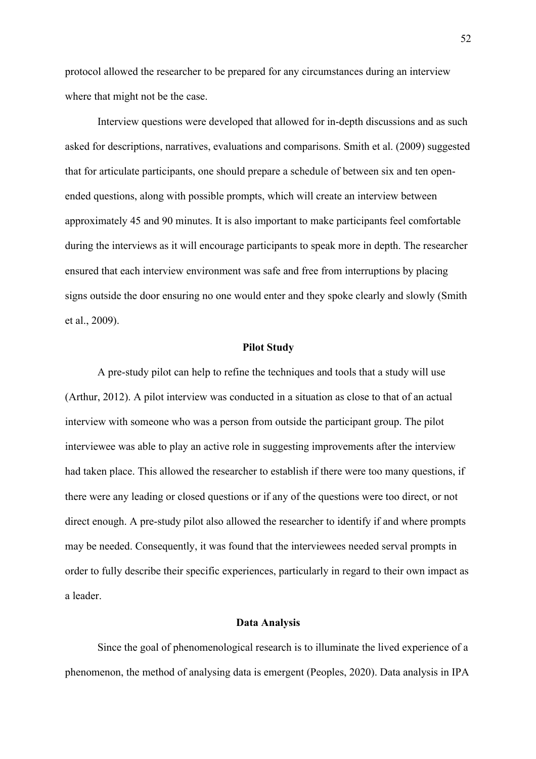protocol allowed the researcher to be prepared for any circumstances during an interview where that might not be the case.

Interview questions were developed that allowed for in-depth discussions and as such asked for descriptions, narratives, evaluations and comparisons. Smith et al. (2009) suggested that for articulate participants, one should prepare a schedule of between six and ten openended questions, along with possible prompts, which will create an interview between approximately 45 and 90 minutes. It is also important to make participants feel comfortable during the interviews as it will encourage participants to speak more in depth. The researcher ensured that each interview environment was safe and free from interruptions by placing signs outside the door ensuring no one would enter and they spoke clearly and slowly (Smith et al., 2009).

# **Pilot Study**

A pre-study pilot can help to refine the techniques and tools that a study will use (Arthur, 2012). A pilot interview was conducted in a situation as close to that of an actual interview with someone who was a person from outside the participant group. The pilot interviewee was able to play an active role in suggesting improvements after the interview had taken place. This allowed the researcher to establish if there were too many questions, if there were any leading or closed questions or if any of the questions were too direct, or not direct enough. A pre-study pilot also allowed the researcher to identify if and where prompts may be needed. Consequently, it was found that the interviewees needed serval prompts in order to fully describe their specific experiences, particularly in regard to their own impact as a leader.

# **Data Analysis**

Since the goal of phenomenological research is to illuminate the lived experience of a phenomenon, the method of analysing data is emergent (Peoples, 2020). Data analysis in IPA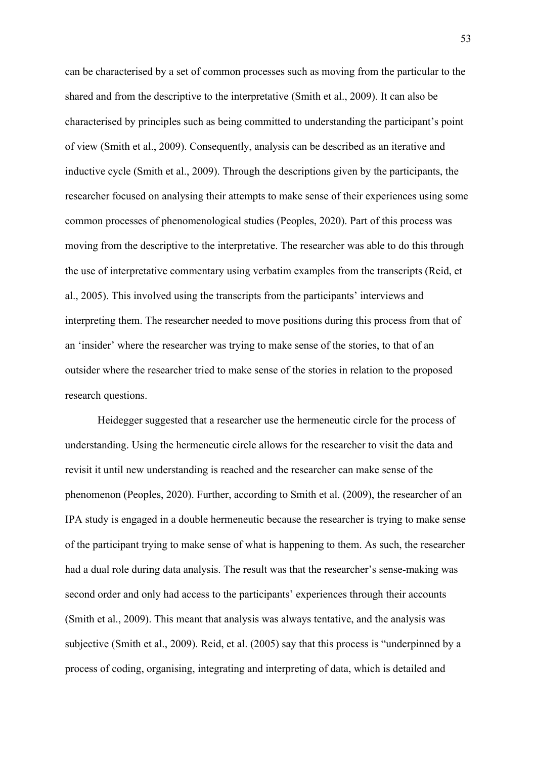can be characterised by a set of common processes such as moving from the particular to the shared and from the descriptive to the interpretative (Smith et al., 2009). It can also be characterised by principles such as being committed to understanding the participant's point of view (Smith et al., 2009). Consequently, analysis can be described as an iterative and inductive cycle (Smith et al., 2009). Through the descriptions given by the participants, the researcher focused on analysing their attempts to make sense of their experiences using some common processes of phenomenological studies (Peoples, 2020). Part of this process was moving from the descriptive to the interpretative. The researcher was able to do this through the use of interpretative commentary using verbatim examples from the transcripts (Reid, et al., 2005). This involved using the transcripts from the participants' interviews and interpreting them. The researcher needed to move positions during this process from that of an 'insider' where the researcher was trying to make sense of the stories, to that of an outsider where the researcher tried to make sense of the stories in relation to the proposed research questions.

Heidegger suggested that a researcher use the hermeneutic circle for the process of understanding. Using the hermeneutic circle allows for the researcher to visit the data and revisit it until new understanding is reached and the researcher can make sense of the phenomenon (Peoples, 2020). Further, according to Smith et al. (2009), the researcher of an IPA study is engaged in a double hermeneutic because the researcher is trying to make sense of the participant trying to make sense of what is happening to them. As such, the researcher had a dual role during data analysis. The result was that the researcher's sense-making was second order and only had access to the participants' experiences through their accounts (Smith et al., 2009). This meant that analysis was always tentative, and the analysis was subjective (Smith et al., 2009). Reid, et al. (2005) say that this process is "underpinned by a process of coding, organising, integrating and interpreting of data, which is detailed and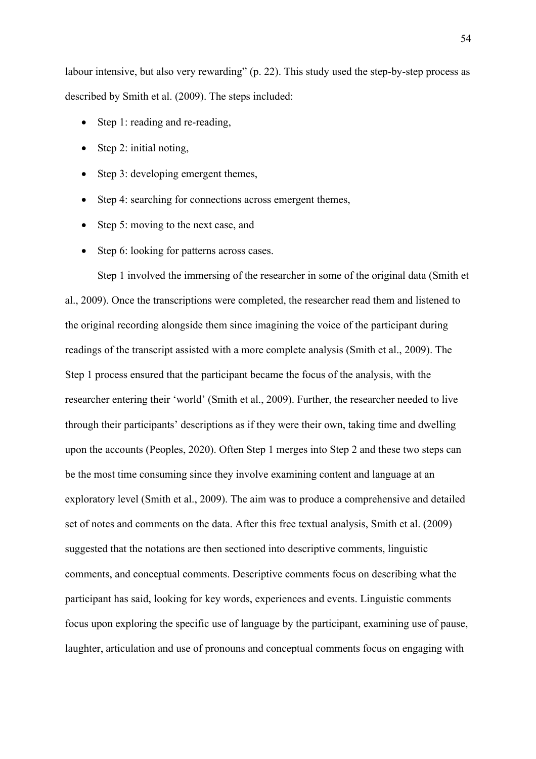labour intensive, but also very rewarding" (p. 22). This study used the step-by-step process as described by Smith et al. (2009). The steps included:

- Step 1: reading and re-reading,
- Step 2: initial noting,
- Step 3: developing emergent themes,
- Step 4: searching for connections across emergent themes,
- Step 5: moving to the next case, and
- Step 6: looking for patterns across cases.

Step 1 involved the immersing of the researcher in some of the original data (Smith et al., 2009). Once the transcriptions were completed, the researcher read them and listened to the original recording alongside them since imagining the voice of the participant during readings of the transcript assisted with a more complete analysis (Smith et al., 2009). The Step 1 process ensured that the participant became the focus of the analysis, with the researcher entering their 'world' (Smith et al., 2009). Further, the researcher needed to live through their participants' descriptions as if they were their own, taking time and dwelling upon the accounts (Peoples, 2020). Often Step 1 merges into Step 2 and these two steps can be the most time consuming since they involve examining content and language at an exploratory level (Smith et al., 2009). The aim was to produce a comprehensive and detailed set of notes and comments on the data. After this free textual analysis, Smith et al. (2009) suggested that the notations are then sectioned into descriptive comments, linguistic comments, and conceptual comments. Descriptive comments focus on describing what the participant has said, looking for key words, experiences and events. Linguistic comments focus upon exploring the specific use of language by the participant, examining use of pause, laughter, articulation and use of pronouns and conceptual comments focus on engaging with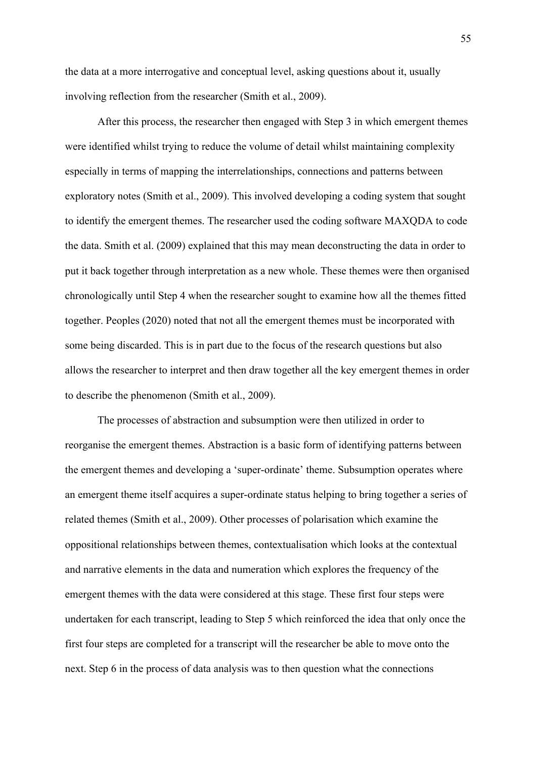the data at a more interrogative and conceptual level, asking questions about it, usually involving reflection from the researcher (Smith et al., 2009).

After this process, the researcher then engaged with Step 3 in which emergent themes were identified whilst trying to reduce the volume of detail whilst maintaining complexity especially in terms of mapping the interrelationships, connections and patterns between exploratory notes (Smith et al., 2009). This involved developing a coding system that sought to identify the emergent themes. The researcher used the coding software MAXQDA to code the data. Smith et al. (2009) explained that this may mean deconstructing the data in order to put it back together through interpretation as a new whole. These themes were then organised chronologically until Step 4 when the researcher sought to examine how all the themes fitted together. Peoples (2020) noted that not all the emergent themes must be incorporated with some being discarded. This is in part due to the focus of the research questions but also allows the researcher to interpret and then draw together all the key emergent themes in order to describe the phenomenon (Smith et al., 2009).

The processes of abstraction and subsumption were then utilized in order to reorganise the emergent themes. Abstraction is a basic form of identifying patterns between the emergent themes and developing a 'super-ordinate' theme. Subsumption operates where an emergent theme itself acquires a super-ordinate status helping to bring together a series of related themes (Smith et al., 2009). Other processes of polarisation which examine the oppositional relationships between themes, contextualisation which looks at the contextual and narrative elements in the data and numeration which explores the frequency of the emergent themes with the data were considered at this stage. These first four steps were undertaken for each transcript, leading to Step 5 which reinforced the idea that only once the first four steps are completed for a transcript will the researcher be able to move onto the next. Step 6 in the process of data analysis was to then question what the connections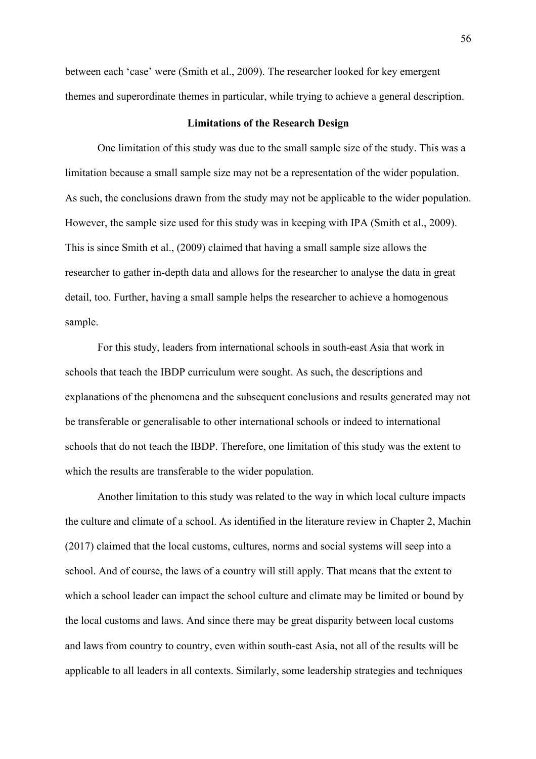between each 'case' were (Smith et al., 2009). The researcher looked for key emergent themes and superordinate themes in particular, while trying to achieve a general description.

# **Limitations of the Research Design**

One limitation of this study was due to the small sample size of the study. This was a limitation because a small sample size may not be a representation of the wider population. As such, the conclusions drawn from the study may not be applicable to the wider population. However, the sample size used for this study was in keeping with IPA (Smith et al., 2009). This is since Smith et al., (2009) claimed that having a small sample size allows the researcher to gather in-depth data and allows for the researcher to analyse the data in great detail, too. Further, having a small sample helps the researcher to achieve a homogenous sample.

For this study, leaders from international schools in south-east Asia that work in schools that teach the IBDP curriculum were sought. As such, the descriptions and explanations of the phenomena and the subsequent conclusions and results generated may not be transferable or generalisable to other international schools or indeed to international schools that do not teach the IBDP. Therefore, one limitation of this study was the extent to which the results are transferable to the wider population.

Another limitation to this study was related to the way in which local culture impacts the culture and climate of a school. As identified in the literature review in Chapter 2, Machin (2017) claimed that the local customs, cultures, norms and social systems will seep into a school. And of course, the laws of a country will still apply. That means that the extent to which a school leader can impact the school culture and climate may be limited or bound by the local customs and laws. And since there may be great disparity between local customs and laws from country to country, even within south-east Asia, not all of the results will be applicable to all leaders in all contexts. Similarly, some leadership strategies and techniques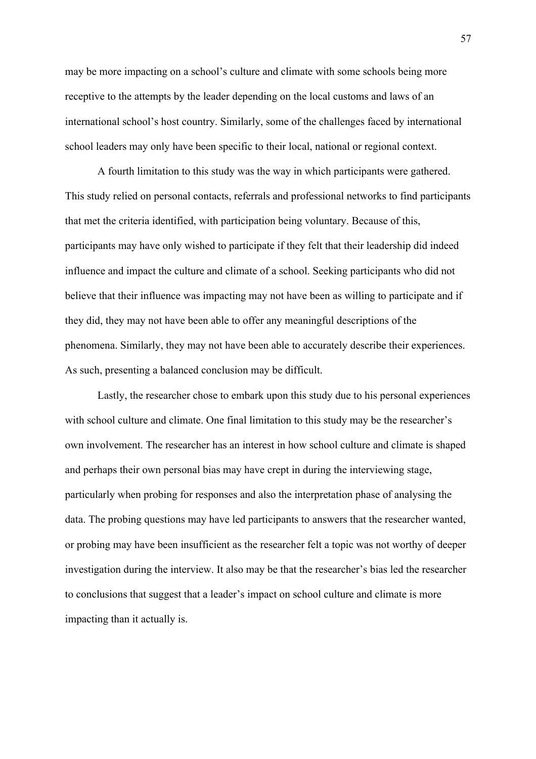may be more impacting on a school's culture and climate with some schools being more receptive to the attempts by the leader depending on the local customs and laws of an international school's host country. Similarly, some of the challenges faced by international school leaders may only have been specific to their local, national or regional context.

A fourth limitation to this study was the way in which participants were gathered. This study relied on personal contacts, referrals and professional networks to find participants that met the criteria identified, with participation being voluntary. Because of this, participants may have only wished to participate if they felt that their leadership did indeed influence and impact the culture and climate of a school. Seeking participants who did not believe that their influence was impacting may not have been as willing to participate and if they did, they may not have been able to offer any meaningful descriptions of the phenomena. Similarly, they may not have been able to accurately describe their experiences. As such, presenting a balanced conclusion may be difficult.

Lastly, the researcher chose to embark upon this study due to his personal experiences with school culture and climate. One final limitation to this study may be the researcher's own involvement. The researcher has an interest in how school culture and climate is shaped and perhaps their own personal bias may have crept in during the interviewing stage, particularly when probing for responses and also the interpretation phase of analysing the data. The probing questions may have led participants to answers that the researcher wanted, or probing may have been insufficient as the researcher felt a topic was not worthy of deeper investigation during the interview. It also may be that the researcher's bias led the researcher to conclusions that suggest that a leader's impact on school culture and climate is more impacting than it actually is.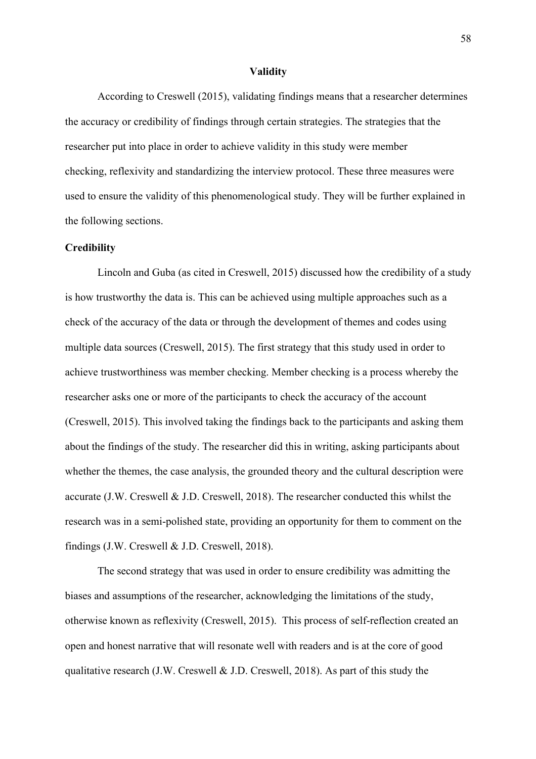#### **Validity**

According to Creswell (2015), validating findings means that a researcher determines the accuracy or credibility of findings through certain strategies. The strategies that the researcher put into place in order to achieve validity in this study were member checking, reflexivity and standardizing the interview protocol. These three measures were used to ensure the validity of this phenomenological study. They will be further explained in the following sections.

# **Credibility**

Lincoln and Guba (as cited in Creswell, 2015) discussed how the credibility of a study is how trustworthy the data is. This can be achieved using multiple approaches such as a check of the accuracy of the data or through the development of themes and codes using multiple data sources (Creswell, 2015). The first strategy that this study used in order to achieve trustworthiness was member checking. Member checking is a process whereby the researcher asks one or more of the participants to check the accuracy of the account (Creswell, 2015). This involved taking the findings back to the participants and asking them about the findings of the study. The researcher did this in writing, asking participants about whether the themes, the case analysis, the grounded theory and the cultural description were accurate (J.W. Creswell & J.D. Creswell, 2018). The researcher conducted this whilst the research was in a semi-polished state, providing an opportunity for them to comment on the findings (J.W. Creswell & J.D. Creswell, 2018).

The second strategy that was used in order to ensure credibility was admitting the biases and assumptions of the researcher, acknowledging the limitations of the study, otherwise known as reflexivity (Creswell, 2015). This process of self-reflection created an open and honest narrative that will resonate well with readers and is at the core of good qualitative research (J.W. Creswell & J.D. Creswell, 2018). As part of this study the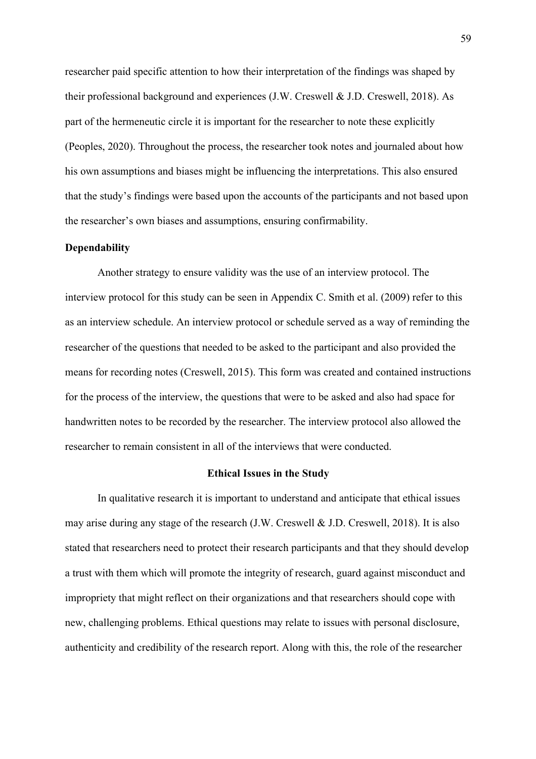researcher paid specific attention to how their interpretation of the findings was shaped by their professional background and experiences (J.W. Creswell & J.D. Creswell, 2018). As part of the hermeneutic circle it is important for the researcher to note these explicitly (Peoples, 2020). Throughout the process, the researcher took notes and journaled about how his own assumptions and biases might be influencing the interpretations. This also ensured that the study's findings were based upon the accounts of the participants and not based upon the researcher's own biases and assumptions, ensuring confirmability.

# **Dependability**

Another strategy to ensure validity was the use of an interview protocol. The interview protocol for this study can be seen in Appendix C. Smith et al. (2009) refer to this as an interview schedule. An interview protocol or schedule served as a way of reminding the researcher of the questions that needed to be asked to the participant and also provided the means for recording notes (Creswell, 2015). This form was created and contained instructions for the process of the interview, the questions that were to be asked and also had space for handwritten notes to be recorded by the researcher. The interview protocol also allowed the researcher to remain consistent in all of the interviews that were conducted.

# **Ethical Issues in the Study**

In qualitative research it is important to understand and anticipate that ethical issues may arise during any stage of the research (J.W. Creswell & J.D. Creswell, 2018). It is also stated that researchers need to protect their research participants and that they should develop a trust with them which will promote the integrity of research, guard against misconduct and impropriety that might reflect on their organizations and that researchers should cope with new, challenging problems. Ethical questions may relate to issues with personal disclosure, authenticity and credibility of the research report. Along with this, the role of the researcher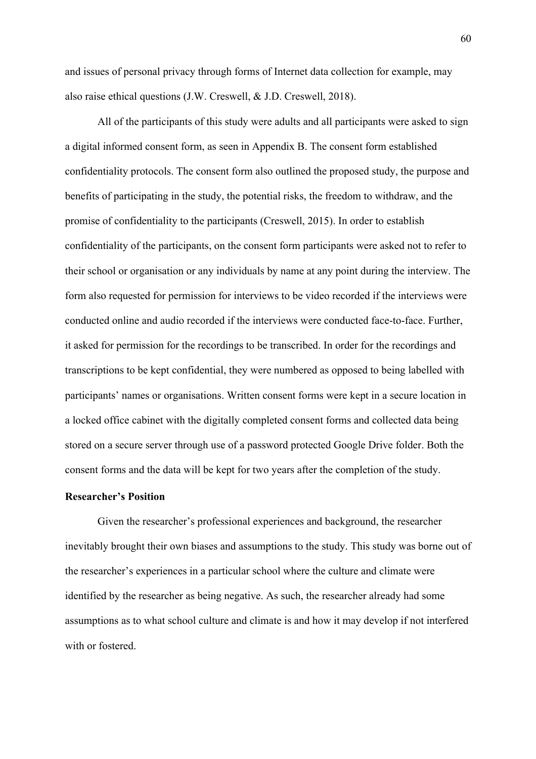and issues of personal privacy through forms of Internet data collection for example, may also raise ethical questions (J.W. Creswell, & J.D. Creswell, 2018).

All of the participants of this study were adults and all participants were asked to sign a digital informed consent form, as seen in Appendix B. The consent form established confidentiality protocols. The consent form also outlined the proposed study, the purpose and benefits of participating in the study, the potential risks, the freedom to withdraw, and the promise of confidentiality to the participants (Creswell, 2015). In order to establish confidentiality of the participants, on the consent form participants were asked not to refer to their school or organisation or any individuals by name at any point during the interview. The form also requested for permission for interviews to be video recorded if the interviews were conducted online and audio recorded if the interviews were conducted face-to-face. Further, it asked for permission for the recordings to be transcribed. In order for the recordings and transcriptions to be kept confidential, they were numbered as opposed to being labelled with participants' names or organisations. Written consent forms were kept in a secure location in a locked office cabinet with the digitally completed consent forms and collected data being stored on a secure server through use of a password protected Google Drive folder. Both the consent forms and the data will be kept for two years after the completion of the study.

# **Researcher's Position**

Given the researcher's professional experiences and background, the researcher inevitably brought their own biases and assumptions to the study. This study was borne out of the researcher's experiences in a particular school where the culture and climate were identified by the researcher as being negative. As such, the researcher already had some assumptions as to what school culture and climate is and how it may develop if not interfered with or fostered.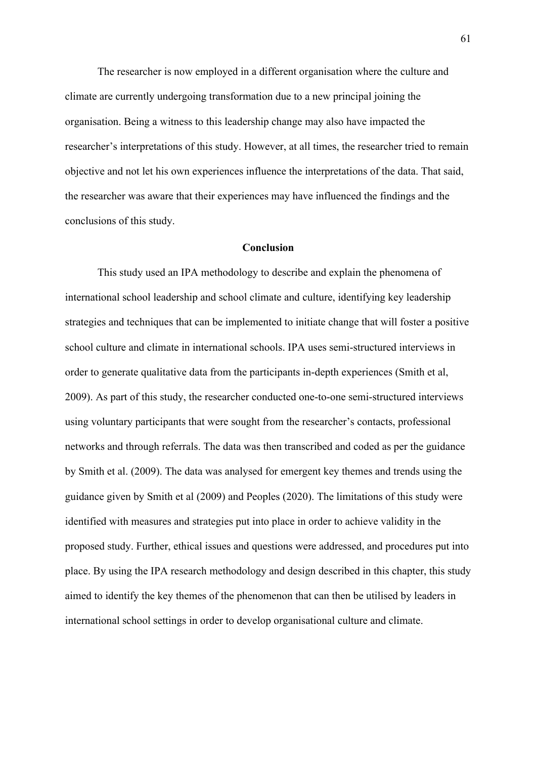The researcher is now employed in a different organisation where the culture and climate are currently undergoing transformation due to a new principal joining the organisation. Being a witness to this leadership change may also have impacted the researcher's interpretations of this study. However, at all times, the researcher tried to remain objective and not let his own experiences influence the interpretations of the data. That said, the researcher was aware that their experiences may have influenced the findings and the conclusions of this study.

## **Conclusion**

This study used an IPA methodology to describe and explain the phenomena of international school leadership and school climate and culture, identifying key leadership strategies and techniques that can be implemented to initiate change that will foster a positive school culture and climate in international schools. IPA uses semi-structured interviews in order to generate qualitative data from the participants in-depth experiences (Smith et al, 2009). As part of this study, the researcher conducted one-to-one semi-structured interviews using voluntary participants that were sought from the researcher's contacts, professional networks and through referrals. The data was then transcribed and coded as per the guidance by Smith et al. (2009). The data was analysed for emergent key themes and trends using the guidance given by Smith et al (2009) and Peoples (2020). The limitations of this study were identified with measures and strategies put into place in order to achieve validity in the proposed study. Further, ethical issues and questions were addressed, and procedures put into place. By using the IPA research methodology and design described in this chapter, this study aimed to identify the key themes of the phenomenon that can then be utilised by leaders in international school settings in order to develop organisational culture and climate.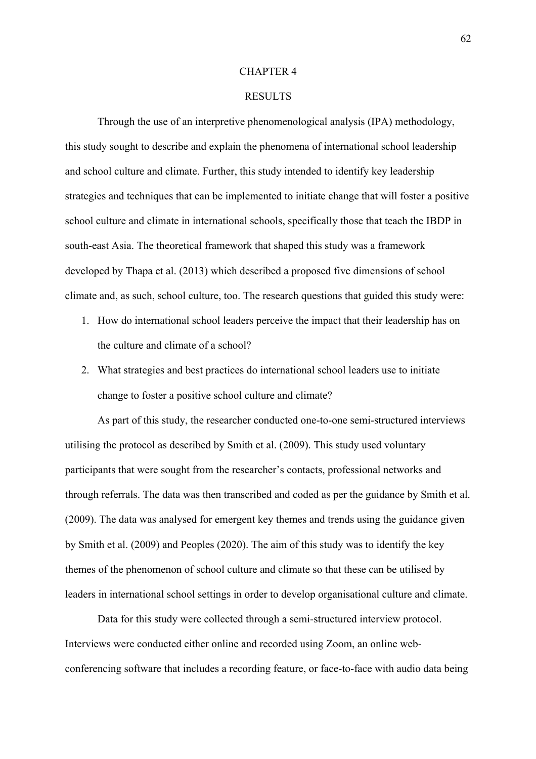#### CHAPTER 4

### RESULTS

Through the use of an interpretive phenomenological analysis (IPA) methodology, this study sought to describe and explain the phenomena of international school leadership and school culture and climate. Further, this study intended to identify key leadership strategies and techniques that can be implemented to initiate change that will foster a positive school culture and climate in international schools, specifically those that teach the IBDP in south-east Asia. The theoretical framework that shaped this study was a framework developed by Thapa et al. (2013) which described a proposed five dimensions of school climate and, as such, school culture, too. The research questions that guided this study were:

- 1. How do international school leaders perceive the impact that their leadership has on the culture and climate of a school?
- 2. What strategies and best practices do international school leaders use to initiate change to foster a positive school culture and climate?

As part of this study, the researcher conducted one-to-one semi-structured interviews utilising the protocol as described by Smith et al. (2009). This study used voluntary participants that were sought from the researcher's contacts, professional networks and through referrals. The data was then transcribed and coded as per the guidance by Smith et al. (2009). The data was analysed for emergent key themes and trends using the guidance given by Smith et al. (2009) and Peoples (2020). The aim of this study was to identify the key themes of the phenomenon of school culture and climate so that these can be utilised by leaders in international school settings in order to develop organisational culture and climate.

Data for this study were collected through a semi-structured interview protocol. Interviews were conducted either online and recorded using Zoom, an online webconferencing software that includes a recording feature, or face-to-face with audio data being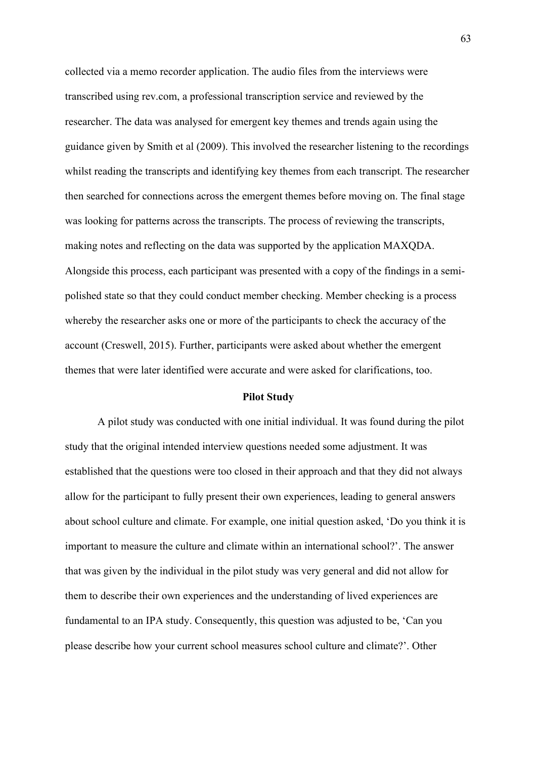collected via a memo recorder application. The audio files from the interviews were transcribed using rev.com, a professional transcription service and reviewed by the researcher. The data was analysed for emergent key themes and trends again using the guidance given by Smith et al (2009). This involved the researcher listening to the recordings whilst reading the transcripts and identifying key themes from each transcript. The researcher then searched for connections across the emergent themes before moving on. The final stage was looking for patterns across the transcripts. The process of reviewing the transcripts, making notes and reflecting on the data was supported by the application MAXQDA. Alongside this process, each participant was presented with a copy of the findings in a semipolished state so that they could conduct member checking. Member checking is a process whereby the researcher asks one or more of the participants to check the accuracy of the account (Creswell, 2015). Further, participants were asked about whether the emergent themes that were later identified were accurate and were asked for clarifications, too.

#### **Pilot Study**

A pilot study was conducted with one initial individual. It was found during the pilot study that the original intended interview questions needed some adjustment. It was established that the questions were too closed in their approach and that they did not always allow for the participant to fully present their own experiences, leading to general answers about school culture and climate. For example, one initial question asked, 'Do you think it is important to measure the culture and climate within an international school?'. The answer that was given by the individual in the pilot study was very general and did not allow for them to describe their own experiences and the understanding of lived experiences are fundamental to an IPA study. Consequently, this question was adjusted to be, 'Can you please describe how your current school measures school culture and climate?'. Other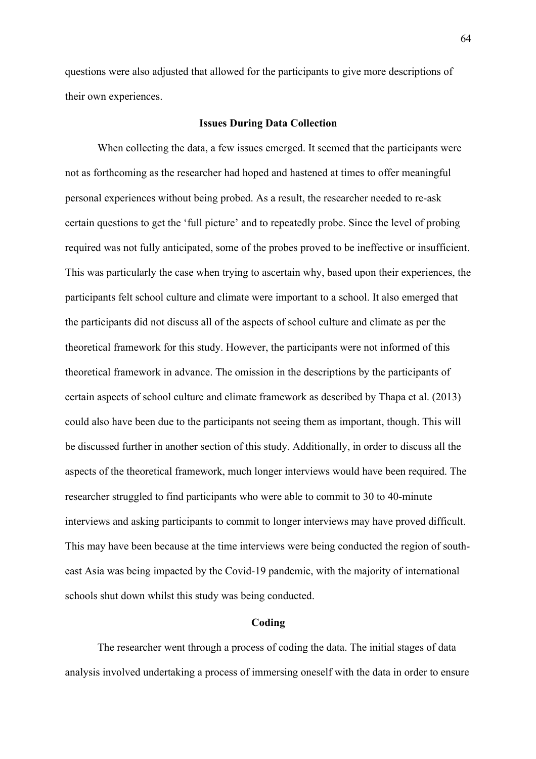questions were also adjusted that allowed for the participants to give more descriptions of their own experiences.

#### **Issues During Data Collection**

When collecting the data, a few issues emerged. It seemed that the participants were not as forthcoming as the researcher had hoped and hastened at times to offer meaningful personal experiences without being probed. As a result, the researcher needed to re-ask certain questions to get the 'full picture' and to repeatedly probe. Since the level of probing required was not fully anticipated, some of the probes proved to be ineffective or insufficient. This was particularly the case when trying to ascertain why, based upon their experiences, the participants felt school culture and climate were important to a school. It also emerged that the participants did not discuss all of the aspects of school culture and climate as per the theoretical framework for this study. However, the participants were not informed of this theoretical framework in advance. The omission in the descriptions by the participants of certain aspects of school culture and climate framework as described by Thapa et al. (2013) could also have been due to the participants not seeing them as important, though. This will be discussed further in another section of this study. Additionally, in order to discuss all the aspects of the theoretical framework, much longer interviews would have been required. The researcher struggled to find participants who were able to commit to 30 to 40-minute interviews and asking participants to commit to longer interviews may have proved difficult. This may have been because at the time interviews were being conducted the region of southeast Asia was being impacted by the Covid-19 pandemic, with the majority of international schools shut down whilst this study was being conducted.

#### **Coding**

The researcher went through a process of coding the data. The initial stages of data analysis involved undertaking a process of immersing oneself with the data in order to ensure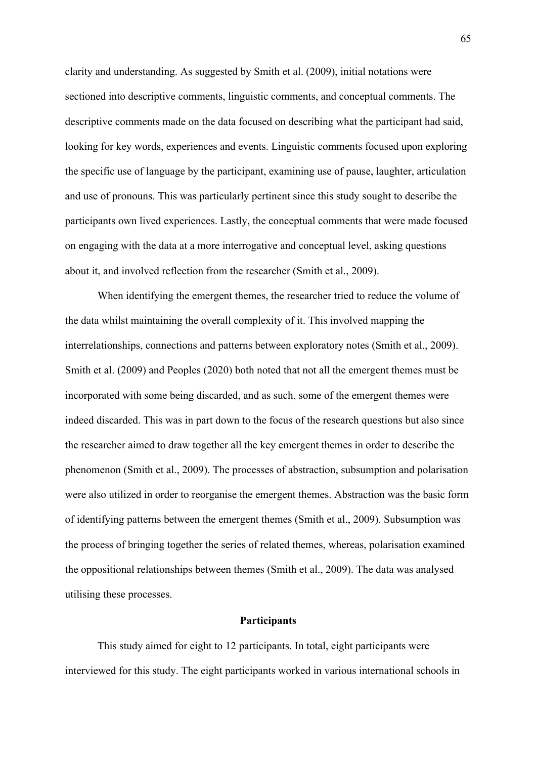clarity and understanding. As suggested by Smith et al. (2009), initial notations were sectioned into descriptive comments, linguistic comments, and conceptual comments. The descriptive comments made on the data focused on describing what the participant had said, looking for key words, experiences and events. Linguistic comments focused upon exploring the specific use of language by the participant, examining use of pause, laughter, articulation and use of pronouns. This was particularly pertinent since this study sought to describe the participants own lived experiences. Lastly, the conceptual comments that were made focused on engaging with the data at a more interrogative and conceptual level, asking questions about it, and involved reflection from the researcher (Smith et al., 2009).

When identifying the emergent themes, the researcher tried to reduce the volume of the data whilst maintaining the overall complexity of it. This involved mapping the interrelationships, connections and patterns between exploratory notes (Smith et al., 2009). Smith et al. (2009) and Peoples (2020) both noted that not all the emergent themes must be incorporated with some being discarded, and as such, some of the emergent themes were indeed discarded. This was in part down to the focus of the research questions but also since the researcher aimed to draw together all the key emergent themes in order to describe the phenomenon (Smith et al., 2009). The processes of abstraction, subsumption and polarisation were also utilized in order to reorganise the emergent themes. Abstraction was the basic form of identifying patterns between the emergent themes (Smith et al., 2009). Subsumption was the process of bringing together the series of related themes, whereas, polarisation examined the oppositional relationships between themes (Smith et al., 2009). The data was analysed utilising these processes.

### **Participants**

This study aimed for eight to 12 participants. In total, eight participants were interviewed for this study. The eight participants worked in various international schools in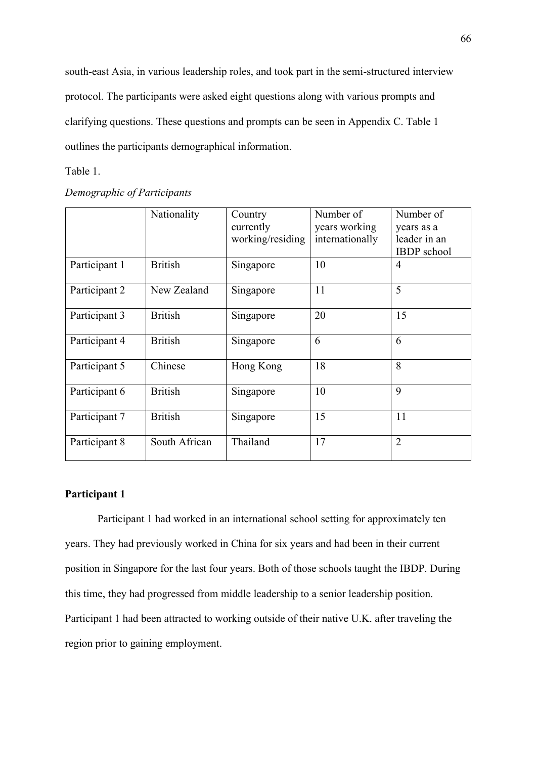south-east Asia, in various leadership roles, and took part in the semi-structured interview protocol. The participants were asked eight questions along with various prompts and clarifying questions. These questions and prompts can be seen in Appendix C. Table 1 outlines the participants demographical information.

#### Table 1.

|               | Nationality    | Country                       | Number of                        | Number of                  |
|---------------|----------------|-------------------------------|----------------------------------|----------------------------|
|               |                | currently<br>working/residing | years working<br>internationally | years as a<br>leader in an |
|               |                |                               |                                  | <b>IBDP</b> school         |
| Participant 1 | <b>British</b> | Singapore                     | 10                               | 4                          |
| Participant 2 | New Zealand    | Singapore                     | 11                               | 5                          |
| Participant 3 | <b>British</b> | Singapore                     | 20                               | 15                         |
| Participant 4 | <b>British</b> | Singapore                     | 6                                | 6                          |
| Participant 5 | Chinese        | Hong Kong                     | 18                               | 8                          |
| Participant 6 | <b>British</b> | Singapore                     | 10                               | 9                          |
| Participant 7 | <b>British</b> | Singapore                     | 15                               | 11                         |
| Participant 8 | South African  | Thailand                      | 17                               | $\overline{2}$             |

# **Participant 1**

Participant 1 had worked in an international school setting for approximately ten years. They had previously worked in China for six years and had been in their current position in Singapore for the last four years. Both of those schools taught the IBDP. During this time, they had progressed from middle leadership to a senior leadership position. Participant 1 had been attracted to working outside of their native U.K. after traveling the region prior to gaining employment.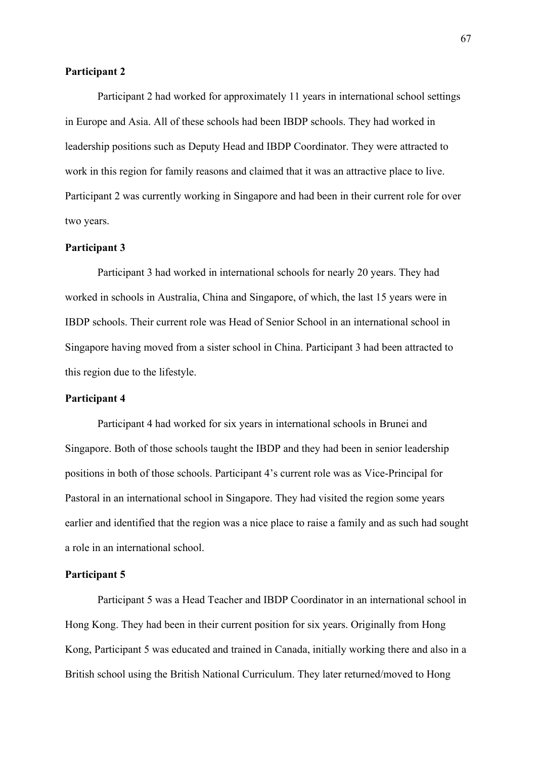#### **Participant 2**

Participant 2 had worked for approximately 11 years in international school settings in Europe and Asia. All of these schools had been IBDP schools. They had worked in leadership positions such as Deputy Head and IBDP Coordinator. They were attracted to work in this region for family reasons and claimed that it was an attractive place to live. Participant 2 was currently working in Singapore and had been in their current role for over two years.

## **Participant 3**

Participant 3 had worked in international schools for nearly 20 years. They had worked in schools in Australia, China and Singapore, of which, the last 15 years were in IBDP schools. Their current role was Head of Senior School in an international school in Singapore having moved from a sister school in China. Participant 3 had been attracted to this region due to the lifestyle.

## **Participant 4**

Participant 4 had worked for six years in international schools in Brunei and Singapore. Both of those schools taught the IBDP and they had been in senior leadership positions in both of those schools. Participant 4's current role was as Vice-Principal for Pastoral in an international school in Singapore. They had visited the region some years earlier and identified that the region was a nice place to raise a family and as such had sought a role in an international school.

#### **Participant 5**

Participant 5 was a Head Teacher and IBDP Coordinator in an international school in Hong Kong. They had been in their current position for six years. Originally from Hong Kong, Participant 5 was educated and trained in Canada, initially working there and also in a British school using the British National Curriculum. They later returned/moved to Hong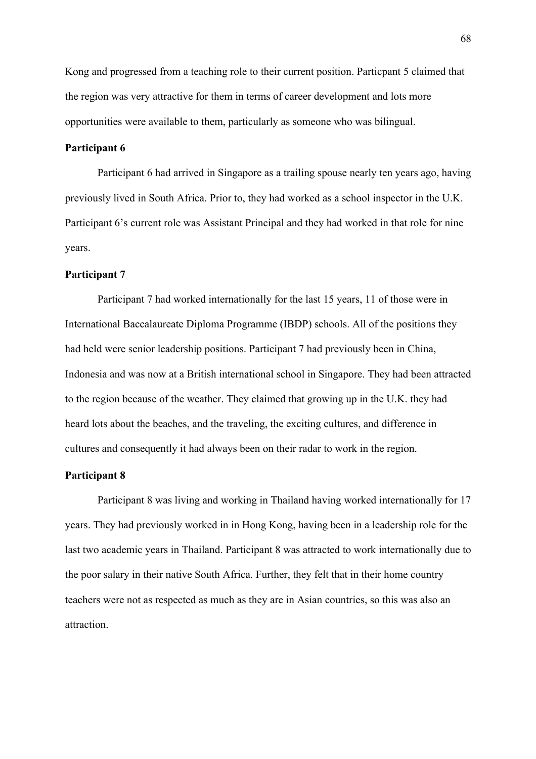Kong and progressed from a teaching role to their current position. Particpant 5 claimed that the region was very attractive for them in terms of career development and lots more opportunities were available to them, particularly as someone who was bilingual.

# **Participant 6**

Participant 6 had arrived in Singapore as a trailing spouse nearly ten years ago, having previously lived in South Africa. Prior to, they had worked as a school inspector in the U.K. Participant 6's current role was Assistant Principal and they had worked in that role for nine years.

#### **Participant 7**

Participant 7 had worked internationally for the last 15 years, 11 of those were in International Baccalaureate Diploma Programme (IBDP) schools. All of the positions they had held were senior leadership positions. Participant 7 had previously been in China, Indonesia and was now at a British international school in Singapore. They had been attracted to the region because of the weather. They claimed that growing up in the U.K. they had heard lots about the beaches, and the traveling, the exciting cultures, and difference in cultures and consequently it had always been on their radar to work in the region.

#### **Participant 8**

Participant 8 was living and working in Thailand having worked internationally for 17 years. They had previously worked in in Hong Kong, having been in a leadership role for the last two academic years in Thailand. Participant 8 was attracted to work internationally due to the poor salary in their native South Africa. Further, they felt that in their home country teachers were not as respected as much as they are in Asian countries, so this was also an attraction.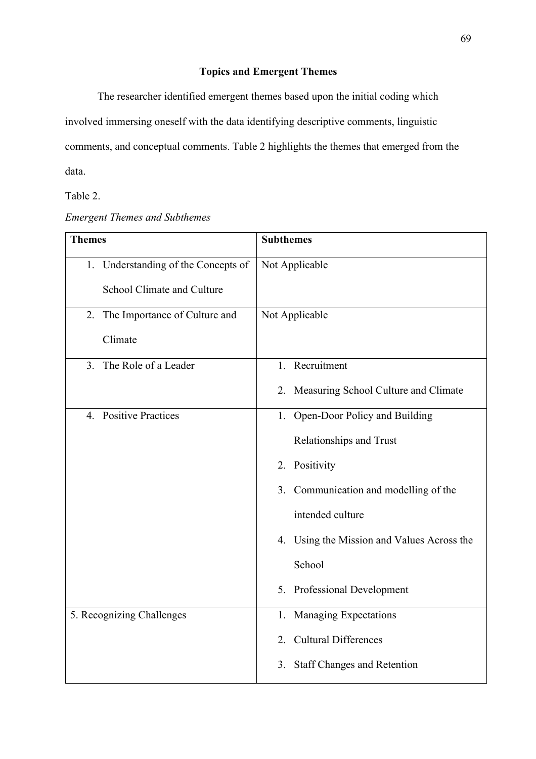# **Topics and Emergent Themes**

The researcher identified emergent themes based upon the initial coding which involved immersing oneself with the data identifying descriptive comments, linguistic comments, and conceptual comments. Table 2 highlights the themes that emerged from the data.

Table 2.

| <b>Emergent Themes and Subthemes</b> |
|--------------------------------------|
|--------------------------------------|

| <b>Themes</b>                       | <b>Subthemes</b>                           |  |  |
|-------------------------------------|--------------------------------------------|--|--|
| 1. Understanding of the Concepts of | Not Applicable                             |  |  |
| School Climate and Culture          |                                            |  |  |
| 2. The Importance of Culture and    | Not Applicable                             |  |  |
| Climate                             |                                            |  |  |
| The Role of a Leader<br>3.          | 1. Recruitment                             |  |  |
|                                     | 2. Measuring School Culture and Climate    |  |  |
| 4. Positive Practices               | 1. Open-Door Policy and Building           |  |  |
|                                     | Relationships and Trust                    |  |  |
|                                     | 2. Positivity                              |  |  |
|                                     | 3. Communication and modelling of the      |  |  |
|                                     | intended culture                           |  |  |
|                                     | 4. Using the Mission and Values Across the |  |  |
|                                     | School                                     |  |  |
|                                     | 5. Professional Development                |  |  |
| 5. Recognizing Challenges           | 1. Managing Expectations                   |  |  |
|                                     | 2. Cultural Differences                    |  |  |
|                                     | <b>Staff Changes and Retention</b><br>3.   |  |  |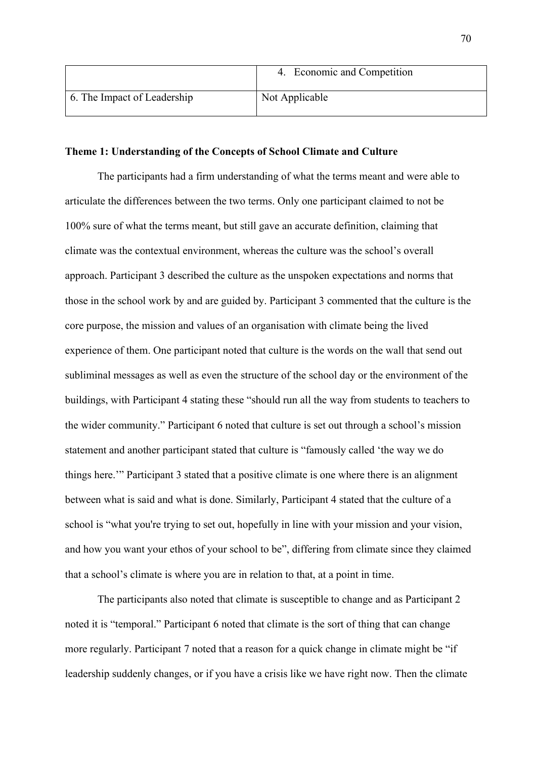|                             | Economic and Competition |
|-----------------------------|--------------------------|
| 6. The Impact of Leadership | Not Applicable           |

#### **Theme 1: Understanding of the Concepts of School Climate and Culture**

The participants had a firm understanding of what the terms meant and were able to articulate the differences between the two terms. Only one participant claimed to not be 100% sure of what the terms meant, but still gave an accurate definition, claiming that climate was the contextual environment, whereas the culture was the school's overall approach. Participant 3 described the culture as the unspoken expectations and norms that those in the school work by and are guided by. Participant 3 commented that the culture is the core purpose, the mission and values of an organisation with climate being the lived experience of them. One participant noted that culture is the words on the wall that send out subliminal messages as well as even the structure of the school day or the environment of the buildings, with Participant 4 stating these "should run all the way from students to teachers to the wider community." Participant 6 noted that culture is set out through a school's mission statement and another participant stated that culture is "famously called 'the way we do things here.'" Participant 3 stated that a positive climate is one where there is an alignment between what is said and what is done. Similarly, Participant 4 stated that the culture of a school is "what you're trying to set out, hopefully in line with your mission and your vision, and how you want your ethos of your school to be", differing from climate since they claimed that a school's climate is where you are in relation to that, at a point in time.

The participants also noted that climate is susceptible to change and as Participant 2 noted it is "temporal." Participant 6 noted that climate is the sort of thing that can change more regularly. Participant 7 noted that a reason for a quick change in climate might be "if leadership suddenly changes, or if you have a crisis like we have right now. Then the climate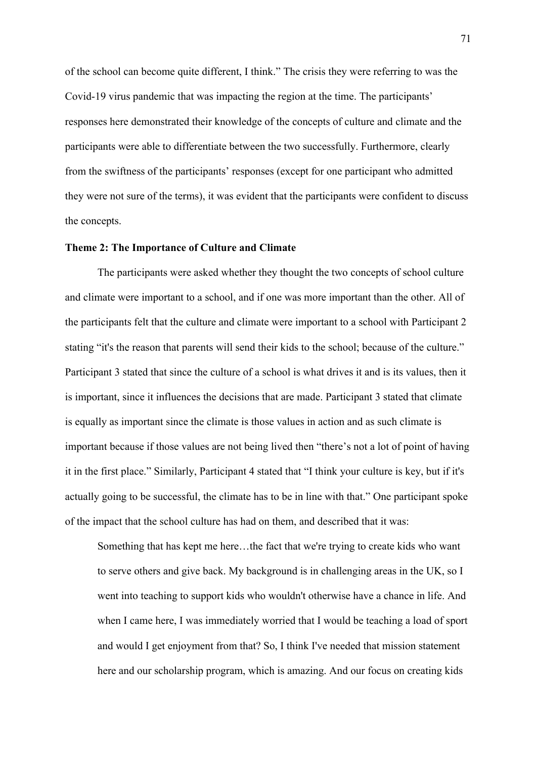of the school can become quite different, I think." The crisis they were referring to was the Covid-19 virus pandemic that was impacting the region at the time. The participants' responses here demonstrated their knowledge of the concepts of culture and climate and the participants were able to differentiate between the two successfully. Furthermore, clearly from the swiftness of the participants' responses (except for one participant who admitted they were not sure of the terms), it was evident that the participants were confident to discuss the concepts.

#### **Theme 2: The Importance of Culture and Climate**

The participants were asked whether they thought the two concepts of school culture and climate were important to a school, and if one was more important than the other. All of the participants felt that the culture and climate were important to a school with Participant 2 stating "it's the reason that parents will send their kids to the school; because of the culture." Participant 3 stated that since the culture of a school is what drives it and is its values, then it is important, since it influences the decisions that are made. Participant 3 stated that climate is equally as important since the climate is those values in action and as such climate is important because if those values are not being lived then "there's not a lot of point of having it in the first place." Similarly, Participant 4 stated that "I think your culture is key, but if it's actually going to be successful, the climate has to be in line with that." One participant spoke of the impact that the school culture has had on them, and described that it was:

Something that has kept me here…the fact that we're trying to create kids who want to serve others and give back. My background is in challenging areas in the UK, so I went into teaching to support kids who wouldn't otherwise have a chance in life. And when I came here, I was immediately worried that I would be teaching a load of sport and would I get enjoyment from that? So, I think I've needed that mission statement here and our scholarship program, which is amazing. And our focus on creating kids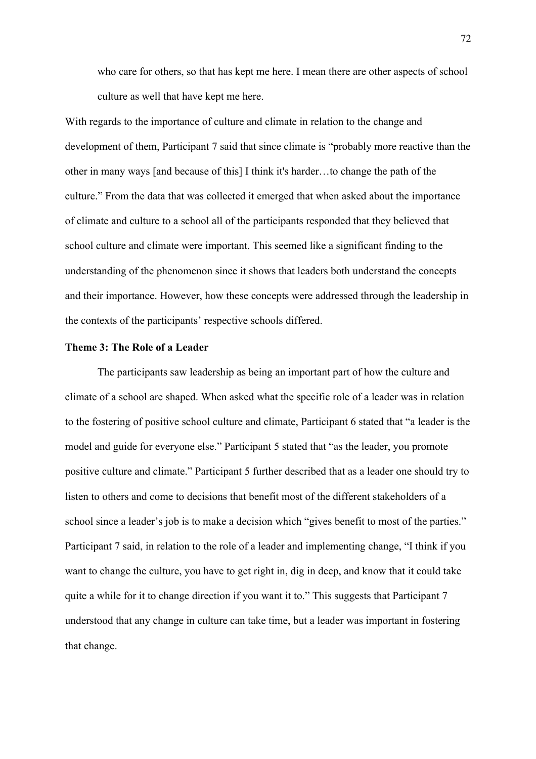who care for others, so that has kept me here. I mean there are other aspects of school culture as well that have kept me here.

With regards to the importance of culture and climate in relation to the change and development of them, Participant 7 said that since climate is "probably more reactive than the other in many ways [and because of this] I think it's harder…to change the path of the culture." From the data that was collected it emerged that when asked about the importance of climate and culture to a school all of the participants responded that they believed that school culture and climate were important. This seemed like a significant finding to the understanding of the phenomenon since it shows that leaders both understand the concepts and their importance. However, how these concepts were addressed through the leadership in the contexts of the participants' respective schools differed.

## **Theme 3: The Role of a Leader**

The participants saw leadership as being an important part of how the culture and climate of a school are shaped. When asked what the specific role of a leader was in relation to the fostering of positive school culture and climate, Participant 6 stated that "a leader is the model and guide for everyone else." Participant 5 stated that "as the leader, you promote positive culture and climate." Participant 5 further described that as a leader one should try to listen to others and come to decisions that benefit most of the different stakeholders of a school since a leader's job is to make a decision which "gives benefit to most of the parties." Participant 7 said, in relation to the role of a leader and implementing change, "I think if you want to change the culture, you have to get right in, dig in deep, and know that it could take quite a while for it to change direction if you want it to." This suggests that Participant 7 understood that any change in culture can take time, but a leader was important in fostering that change.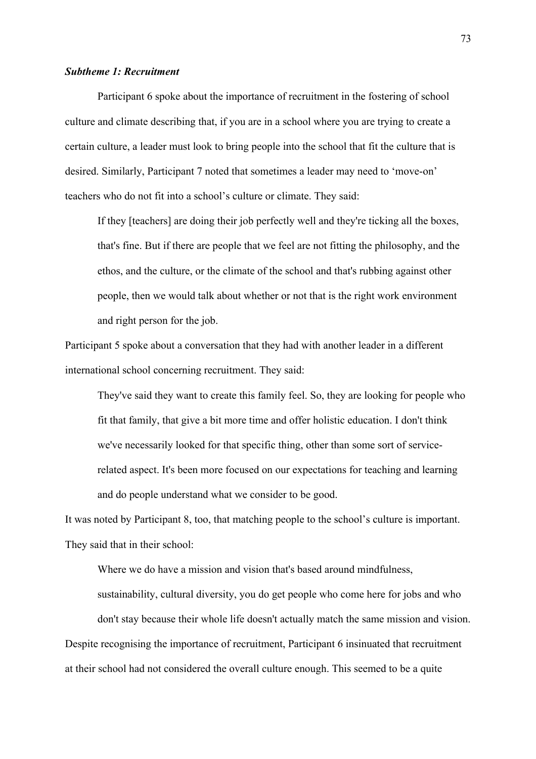#### *Subtheme 1: Recruitment*

Participant 6 spoke about the importance of recruitment in the fostering of school culture and climate describing that, if you are in a school where you are trying to create a certain culture, a leader must look to bring people into the school that fit the culture that is desired. Similarly, Participant 7 noted that sometimes a leader may need to 'move-on' teachers who do not fit into a school's culture or climate. They said:

If they [teachers] are doing their job perfectly well and they're ticking all the boxes, that's fine. But if there are people that we feel are not fitting the philosophy, and the ethos, and the culture, or the climate of the school and that's rubbing against other people, then we would talk about whether or not that is the right work environment and right person for the job.

Participant 5 spoke about a conversation that they had with another leader in a different international school concerning recruitment. They said:

They've said they want to create this family feel. So, they are looking for people who fit that family, that give a bit more time and offer holistic education. I don't think we've necessarily looked for that specific thing, other than some sort of servicerelated aspect. It's been more focused on our expectations for teaching and learning and do people understand what we consider to be good.

It was noted by Participant 8, too, that matching people to the school's culture is important. They said that in their school:

Where we do have a mission and vision that's based around mindfulness, sustainability, cultural diversity, you do get people who come here for jobs and who don't stay because their whole life doesn't actually match the same mission and vision. Despite recognising the importance of recruitment, Participant 6 insinuated that recruitment at their school had not considered the overall culture enough. This seemed to be a quite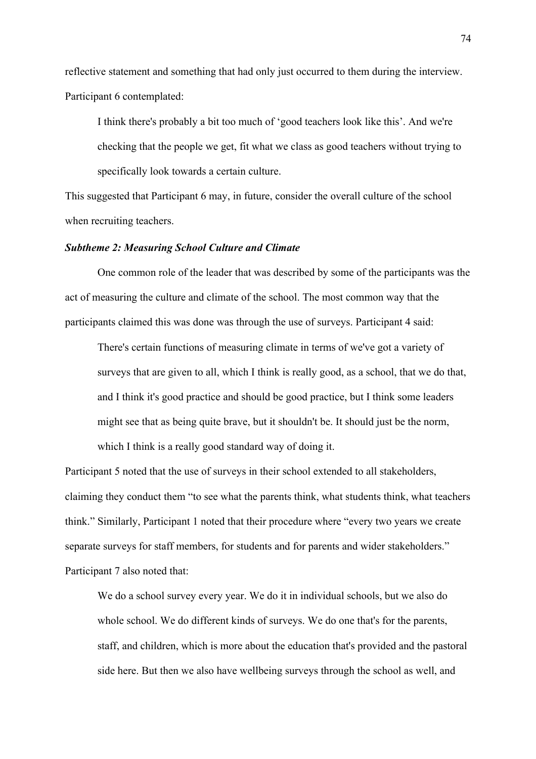reflective statement and something that had only just occurred to them during the interview. Participant 6 contemplated:

I think there's probably a bit too much of 'good teachers look like this'. And we're checking that the people we get, fit what we class as good teachers without trying to specifically look towards a certain culture.

This suggested that Participant 6 may, in future, consider the overall culture of the school when recruiting teachers.

### *Subtheme 2: Measuring School Culture and Climate*

One common role of the leader that was described by some of the participants was the act of measuring the culture and climate of the school. The most common way that the participants claimed this was done was through the use of surveys. Participant 4 said:

There's certain functions of measuring climate in terms of we've got a variety of surveys that are given to all, which I think is really good, as a school, that we do that, and I think it's good practice and should be good practice, but I think some leaders might see that as being quite brave, but it shouldn't be. It should just be the norm, which I think is a really good standard way of doing it.

Participant 5 noted that the use of surveys in their school extended to all stakeholders, claiming they conduct them "to see what the parents think, what students think, what teachers think." Similarly, Participant 1 noted that their procedure where "every two years we create separate surveys for staff members, for students and for parents and wider stakeholders." Participant 7 also noted that:

We do a school survey every year. We do it in individual schools, but we also do whole school. We do different kinds of surveys. We do one that's for the parents, staff, and children, which is more about the education that's provided and the pastoral side here. But then we also have wellbeing surveys through the school as well, and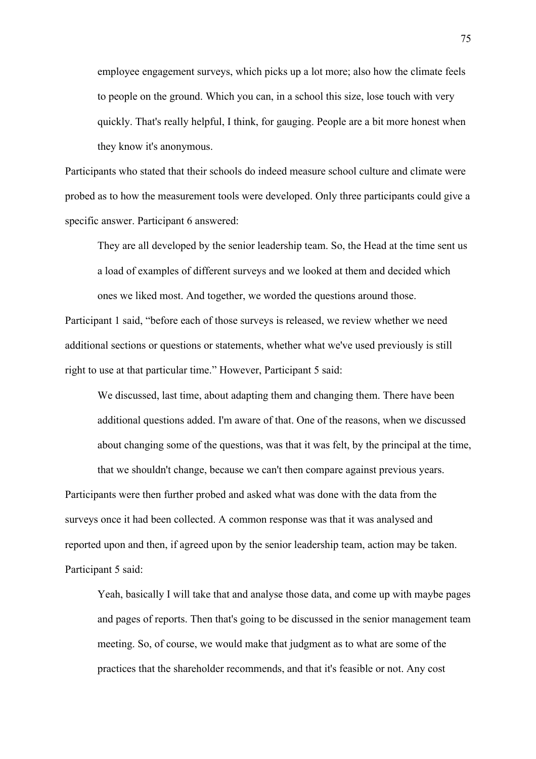employee engagement surveys, which picks up a lot more; also how the climate feels to people on the ground. Which you can, in a school this size, lose touch with very quickly. That's really helpful, I think, for gauging. People are a bit more honest when they know it's anonymous.

Participants who stated that their schools do indeed measure school culture and climate were probed as to how the measurement tools were developed. Only three participants could give a specific answer. Participant 6 answered:

They are all developed by the senior leadership team. So, the Head at the time sent us a load of examples of different surveys and we looked at them and decided which ones we liked most. And together, we worded the questions around those.

Participant 1 said, "before each of those surveys is released, we review whether we need additional sections or questions or statements, whether what we've used previously is still right to use at that particular time." However, Participant 5 said:

We discussed, last time, about adapting them and changing them. There have been additional questions added. I'm aware of that. One of the reasons, when we discussed about changing some of the questions, was that it was felt, by the principal at the time, that we shouldn't change, because we can't then compare against previous years.

Participants were then further probed and asked what was done with the data from the surveys once it had been collected. A common response was that it was analysed and reported upon and then, if agreed upon by the senior leadership team, action may be taken. Participant 5 said:

Yeah, basically I will take that and analyse those data, and come up with maybe pages and pages of reports. Then that's going to be discussed in the senior management team meeting. So, of course, we would make that judgment as to what are some of the practices that the shareholder recommends, and that it's feasible or not. Any cost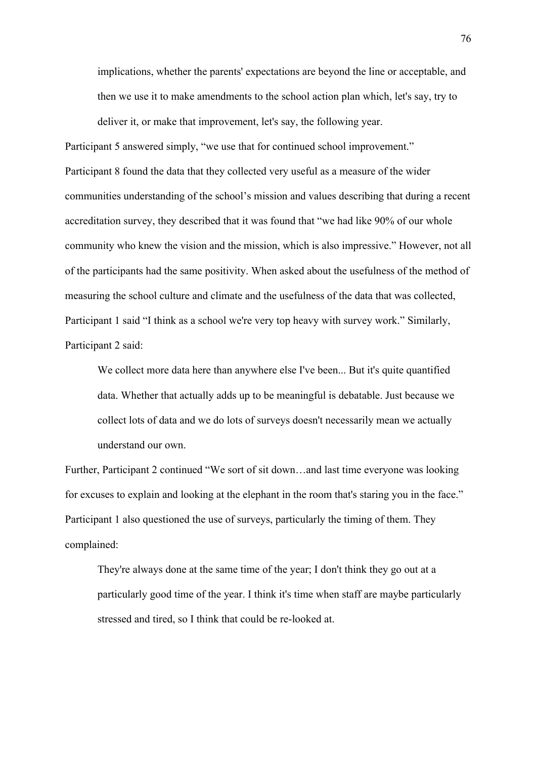implications, whether the parents' expectations are beyond the line or acceptable, and then we use it to make amendments to the school action plan which, let's say, try to deliver it, or make that improvement, let's say, the following year.

Participant 5 answered simply, "we use that for continued school improvement." Participant 8 found the data that they collected very useful as a measure of the wider communities understanding of the school's mission and values describing that during a recent accreditation survey, they described that it was found that "we had like 90% of our whole community who knew the vision and the mission, which is also impressive." However, not all of the participants had the same positivity. When asked about the usefulness of the method of measuring the school culture and climate and the usefulness of the data that was collected, Participant 1 said "I think as a school we're very top heavy with survey work." Similarly, Participant 2 said:

We collect more data here than anywhere else I've been... But it's quite quantified data. Whether that actually adds up to be meaningful is debatable. Just because we collect lots of data and we do lots of surveys doesn't necessarily mean we actually understand our own.

Further, Participant 2 continued "We sort of sit down…and last time everyone was looking for excuses to explain and looking at the elephant in the room that's staring you in the face." Participant 1 also questioned the use of surveys, particularly the timing of them. They complained:

They're always done at the same time of the year; I don't think they go out at a particularly good time of the year. I think it's time when staff are maybe particularly stressed and tired, so I think that could be re-looked at.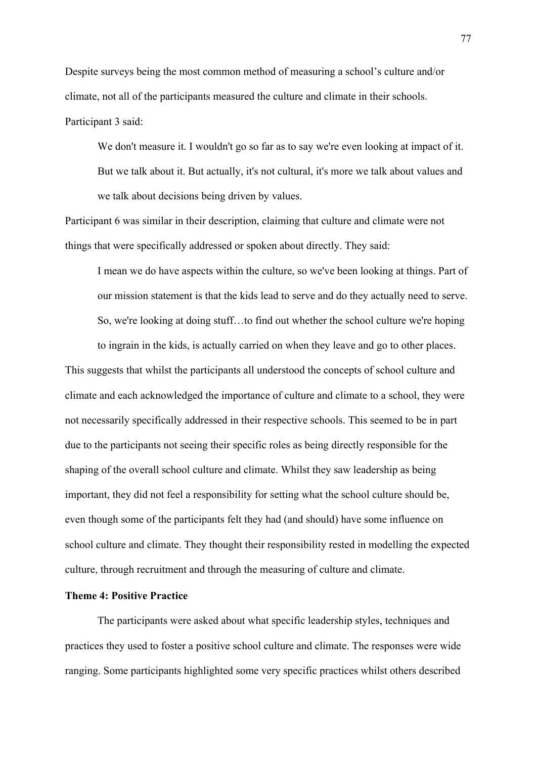Despite surveys being the most common method of measuring a school's culture and/or climate, not all of the participants measured the culture and climate in their schools. Participant 3 said:

We don't measure it. I wouldn't go so far as to say we're even looking at impact of it. But we talk about it. But actually, it's not cultural, it's more we talk about values and we talk about decisions being driven by values.

Participant 6 was similar in their description, claiming that culture and climate were not things that were specifically addressed or spoken about directly. They said:

I mean we do have aspects within the culture, so we've been looking at things. Part of our mission statement is that the kids lead to serve and do they actually need to serve. So, we're looking at doing stuff…to find out whether the school culture we're hoping to ingrain in the kids, is actually carried on when they leave and go to other places.

This suggests that whilst the participants all understood the concepts of school culture and climate and each acknowledged the importance of culture and climate to a school, they were not necessarily specifically addressed in their respective schools. This seemed to be in part due to the participants not seeing their specific roles as being directly responsible for the shaping of the overall school culture and climate. Whilst they saw leadership as being important, they did not feel a responsibility for setting what the school culture should be, even though some of the participants felt they had (and should) have some influence on school culture and climate. They thought their responsibility rested in modelling the expected culture, through recruitment and through the measuring of culture and climate.

# **Theme 4: Positive Practice**

The participants were asked about what specific leadership styles, techniques and practices they used to foster a positive school culture and climate. The responses were wide ranging. Some participants highlighted some very specific practices whilst others described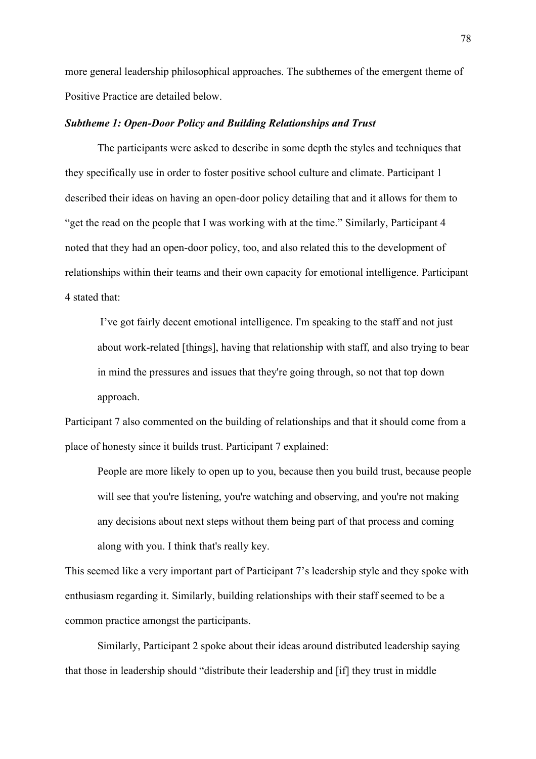more general leadership philosophical approaches. The subthemes of the emergent theme of Positive Practice are detailed below.

# *Subtheme 1: Open-Door Policy and Building Relationships and Trust*

The participants were asked to describe in some depth the styles and techniques that they specifically use in order to foster positive school culture and climate. Participant 1 described their ideas on having an open-door policy detailing that and it allows for them to "get the read on the people that I was working with at the time." Similarly, Participant 4 noted that they had an open-door policy, too, and also related this to the development of relationships within their teams and their own capacity for emotional intelligence. Participant 4 stated that:

I've got fairly decent emotional intelligence. I'm speaking to the staff and not just about work-related [things], having that relationship with staff, and also trying to bear in mind the pressures and issues that they're going through, so not that top down approach.

Participant 7 also commented on the building of relationships and that it should come from a place of honesty since it builds trust. Participant 7 explained:

People are more likely to open up to you, because then you build trust, because people will see that you're listening, you're watching and observing, and you're not making any decisions about next steps without them being part of that process and coming along with you. I think that's really key.

This seemed like a very important part of Participant 7's leadership style and they spoke with enthusiasm regarding it. Similarly, building relationships with their staff seemed to be a common practice amongst the participants.

Similarly, Participant 2 spoke about their ideas around distributed leadership saying that those in leadership should "distribute their leadership and [if] they trust in middle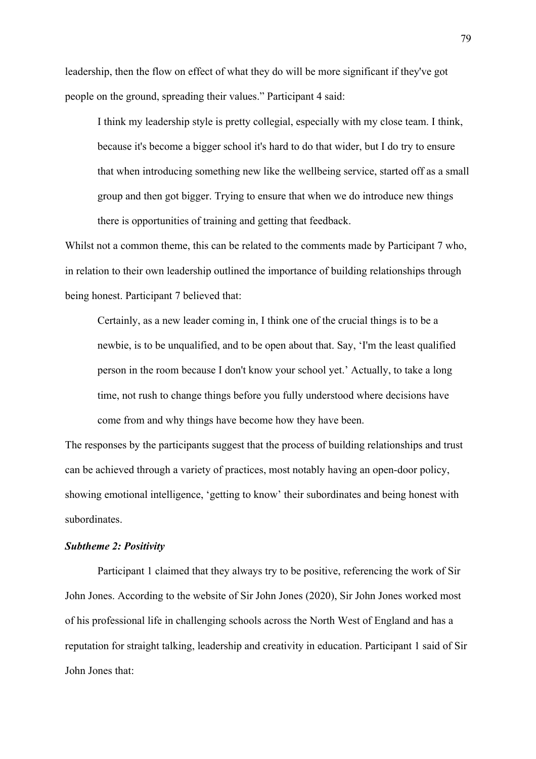leadership, then the flow on effect of what they do will be more significant if they've got people on the ground, spreading their values." Participant 4 said:

I think my leadership style is pretty collegial, especially with my close team. I think, because it's become a bigger school it's hard to do that wider, but I do try to ensure that when introducing something new like the wellbeing service, started off as a small group and then got bigger. Trying to ensure that when we do introduce new things there is opportunities of training and getting that feedback.

Whilst not a common theme, this can be related to the comments made by Participant 7 who, in relation to their own leadership outlined the importance of building relationships through being honest. Participant 7 believed that:

Certainly, as a new leader coming in, I think one of the crucial things is to be a newbie, is to be unqualified, and to be open about that. Say, 'I'm the least qualified person in the room because I don't know your school yet.' Actually, to take a long time, not rush to change things before you fully understood where decisions have come from and why things have become how they have been.

The responses by the participants suggest that the process of building relationships and trust can be achieved through a variety of practices, most notably having an open-door policy, showing emotional intelligence, 'getting to know' their subordinates and being honest with subordinates.

#### *Subtheme 2: Positivity*

Participant 1 claimed that they always try to be positive, referencing the work of Sir John Jones. According to the website of Sir John Jones (2020), Sir John Jones worked most of his professional life in challenging schools across the North West of England and has a reputation for straight talking, leadership and creativity in education. Participant 1 said of Sir John Jones that: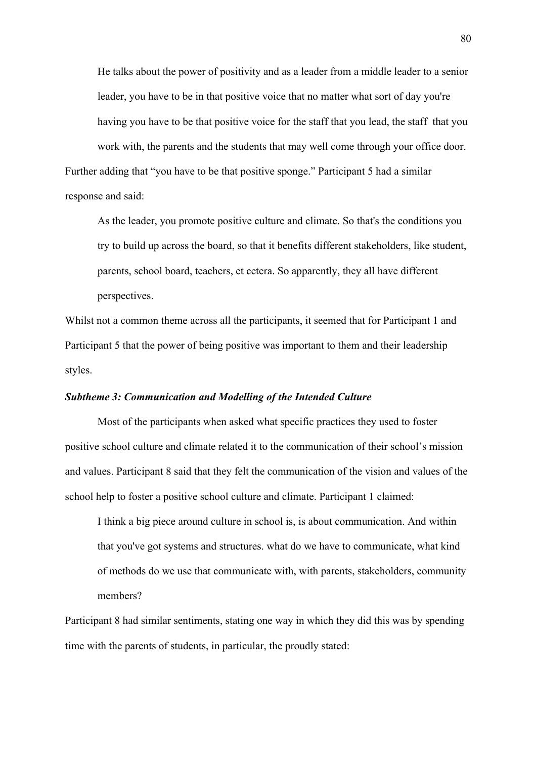He talks about the power of positivity and as a leader from a middle leader to a senior leader, you have to be in that positive voice that no matter what sort of day you're having you have to be that positive voice for the staff that you lead, the staff that you work with, the parents and the students that may well come through your office door. Further adding that "you have to be that positive sponge." Participant 5 had a similar response and said:

As the leader, you promote positive culture and climate. So that's the conditions you try to build up across the board, so that it benefits different stakeholders, like student, parents, school board, teachers, et cetera. So apparently, they all have different perspectives.

Whilst not a common theme across all the participants, it seemed that for Participant 1 and Participant 5 that the power of being positive was important to them and their leadership styles.

## *Subtheme 3: Communication and Modelling of the Intended Culture*

Most of the participants when asked what specific practices they used to foster positive school culture and climate related it to the communication of their school's mission and values. Participant 8 said that they felt the communication of the vision and values of the school help to foster a positive school culture and climate. Participant 1 claimed:

I think a big piece around culture in school is, is about communication. And within that you've got systems and structures. what do we have to communicate, what kind of methods do we use that communicate with, with parents, stakeholders, community members?

Participant 8 had similar sentiments, stating one way in which they did this was by spending time with the parents of students, in particular, the proudly stated: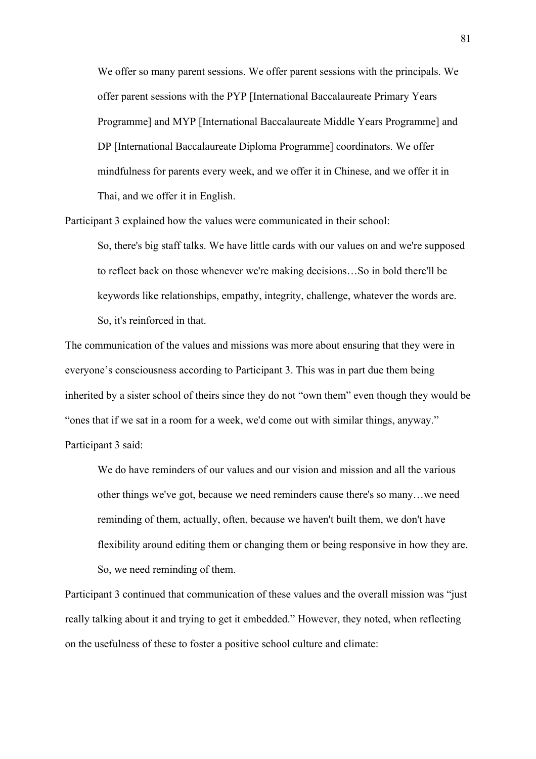We offer so many parent sessions. We offer parent sessions with the principals. We offer parent sessions with the PYP [International Baccalaureate Primary Years Programme] and MYP [International Baccalaureate Middle Years Programme] and DP [International Baccalaureate Diploma Programme] coordinators. We offer mindfulness for parents every week, and we offer it in Chinese, and we offer it in Thai, and we offer it in English.

Participant 3 explained how the values were communicated in their school:

So, there's big staff talks. We have little cards with our values on and we're supposed to reflect back on those whenever we're making decisions…So in bold there'll be keywords like relationships, empathy, integrity, challenge, whatever the words are. So, it's reinforced in that.

The communication of the values and missions was more about ensuring that they were in everyone's consciousness according to Participant 3. This was in part due them being inherited by a sister school of theirs since they do not "own them" even though they would be "ones that if we sat in a room for a week, we'd come out with similar things, anyway." Participant 3 said:

We do have reminders of our values and our vision and mission and all the various other things we've got, because we need reminders cause there's so many…we need reminding of them, actually, often, because we haven't built them, we don't have flexibility around editing them or changing them or being responsive in how they are. So, we need reminding of them.

Participant 3 continued that communication of these values and the overall mission was "just really talking about it and trying to get it embedded." However, they noted, when reflecting on the usefulness of these to foster a positive school culture and climate: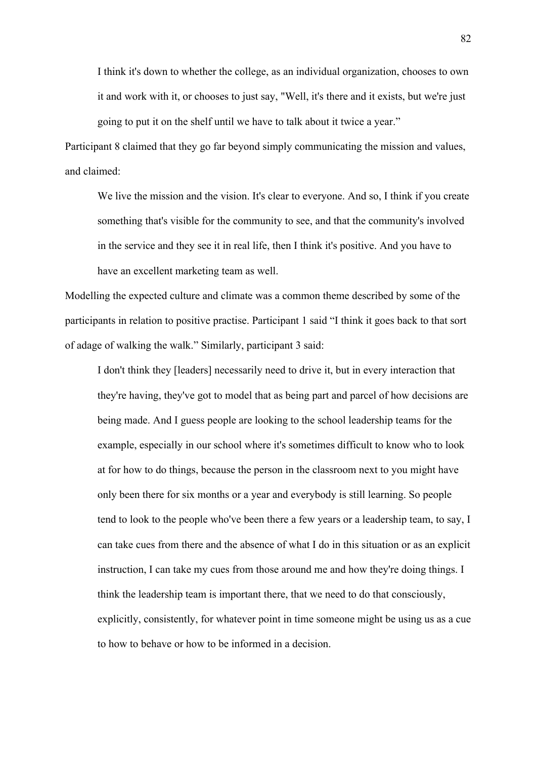I think it's down to whether the college, as an individual organization, chooses to own it and work with it, or chooses to just say, "Well, it's there and it exists, but we're just going to put it on the shelf until we have to talk about it twice a year."

Participant 8 claimed that they go far beyond simply communicating the mission and values, and claimed:

We live the mission and the vision. It's clear to everyone. And so, I think if you create something that's visible for the community to see, and that the community's involved in the service and they see it in real life, then I think it's positive. And you have to have an excellent marketing team as well.

Modelling the expected culture and climate was a common theme described by some of the participants in relation to positive practise. Participant 1 said "I think it goes back to that sort of adage of walking the walk." Similarly, participant 3 said:

I don't think they [leaders] necessarily need to drive it, but in every interaction that they're having, they've got to model that as being part and parcel of how decisions are being made. And I guess people are looking to the school leadership teams for the example, especially in our school where it's sometimes difficult to know who to look at for how to do things, because the person in the classroom next to you might have only been there for six months or a year and everybody is still learning. So people tend to look to the people who've been there a few years or a leadership team, to say, I can take cues from there and the absence of what I do in this situation or as an explicit instruction, I can take my cues from those around me and how they're doing things. I think the leadership team is important there, that we need to do that consciously, explicitly, consistently, for whatever point in time someone might be using us as a cue to how to behave or how to be informed in a decision.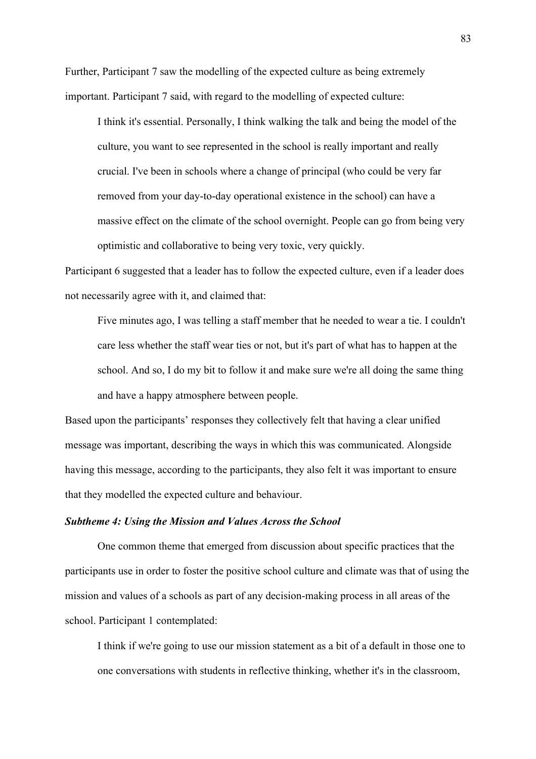Further, Participant 7 saw the modelling of the expected culture as being extremely important. Participant 7 said, with regard to the modelling of expected culture:

I think it's essential. Personally, I think walking the talk and being the model of the culture, you want to see represented in the school is really important and really crucial. I've been in schools where a change of principal (who could be very far removed from your day-to-day operational existence in the school) can have a massive effect on the climate of the school overnight. People can go from being very optimistic and collaborative to being very toxic, very quickly.

Participant 6 suggested that a leader has to follow the expected culture, even if a leader does not necessarily agree with it, and claimed that:

Five minutes ago, I was telling a staff member that he needed to wear a tie. I couldn't care less whether the staff wear ties or not, but it's part of what has to happen at the school. And so, I do my bit to follow it and make sure we're all doing the same thing and have a happy atmosphere between people.

Based upon the participants' responses they collectively felt that having a clear unified message was important, describing the ways in which this was communicated. Alongside having this message, according to the participants, they also felt it was important to ensure that they modelled the expected culture and behaviour.

#### *Subtheme 4: Using the Mission and Values Across the School*

One common theme that emerged from discussion about specific practices that the participants use in order to foster the positive school culture and climate was that of using the mission and values of a schools as part of any decision-making process in all areas of the school. Participant 1 contemplated:

I think if we're going to use our mission statement as a bit of a default in those one to one conversations with students in reflective thinking, whether it's in the classroom,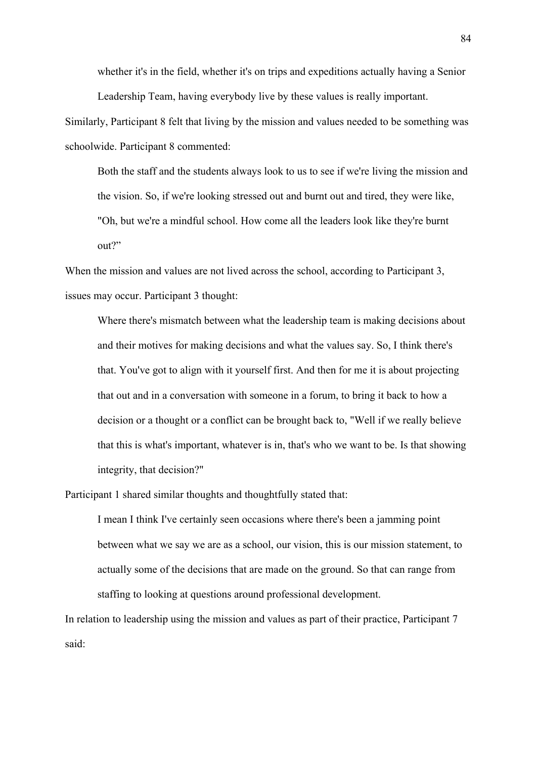whether it's in the field, whether it's on trips and expeditions actually having a Senior Leadership Team, having everybody live by these values is really important.

Similarly, Participant 8 felt that living by the mission and values needed to be something was schoolwide. Participant 8 commented:

Both the staff and the students always look to us to see if we're living the mission and the vision. So, if we're looking stressed out and burnt out and tired, they were like, "Oh, but we're a mindful school. How come all the leaders look like they're burnt out?"

When the mission and values are not lived across the school, according to Participant 3, issues may occur. Participant 3 thought:

Where there's mismatch between what the leadership team is making decisions about and their motives for making decisions and what the values say. So, I think there's that. You've got to align with it yourself first. And then for me it is about projecting that out and in a conversation with someone in a forum, to bring it back to how a decision or a thought or a conflict can be brought back to, "Well if we really believe that this is what's important, whatever is in, that's who we want to be. Is that showing integrity, that decision?"

Participant 1 shared similar thoughts and thoughtfully stated that:

I mean I think I've certainly seen occasions where there's been a jamming point between what we say we are as a school, our vision, this is our mission statement, to actually some of the decisions that are made on the ground. So that can range from staffing to looking at questions around professional development.

In relation to leadership using the mission and values as part of their practice, Participant 7 said: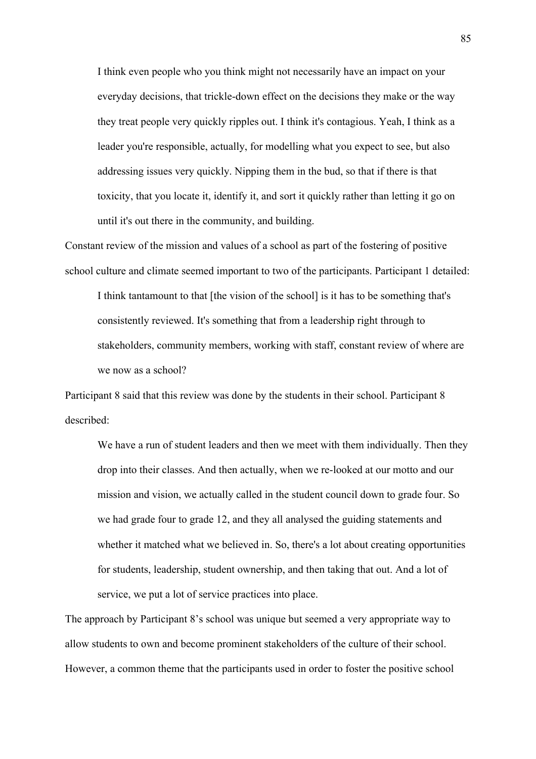I think even people who you think might not necessarily have an impact on your everyday decisions, that trickle-down effect on the decisions they make or the way they treat people very quickly ripples out. I think it's contagious. Yeah, I think as a leader you're responsible, actually, for modelling what you expect to see, but also addressing issues very quickly. Nipping them in the bud, so that if there is that toxicity, that you locate it, identify it, and sort it quickly rather than letting it go on until it's out there in the community, and building.

Constant review of the mission and values of a school as part of the fostering of positive school culture and climate seemed important to two of the participants. Participant 1 detailed:

I think tantamount to that [the vision of the school] is it has to be something that's consistently reviewed. It's something that from a leadership right through to stakeholders, community members, working with staff, constant review of where are we now as a school?

Participant 8 said that this review was done by the students in their school. Participant 8 described:

We have a run of student leaders and then we meet with them individually. Then they drop into their classes. And then actually, when we re-looked at our motto and our mission and vision, we actually called in the student council down to grade four. So we had grade four to grade 12, and they all analysed the guiding statements and whether it matched what we believed in. So, there's a lot about creating opportunities for students, leadership, student ownership, and then taking that out. And a lot of service, we put a lot of service practices into place.

The approach by Participant 8's school was unique but seemed a very appropriate way to allow students to own and become prominent stakeholders of the culture of their school. However, a common theme that the participants used in order to foster the positive school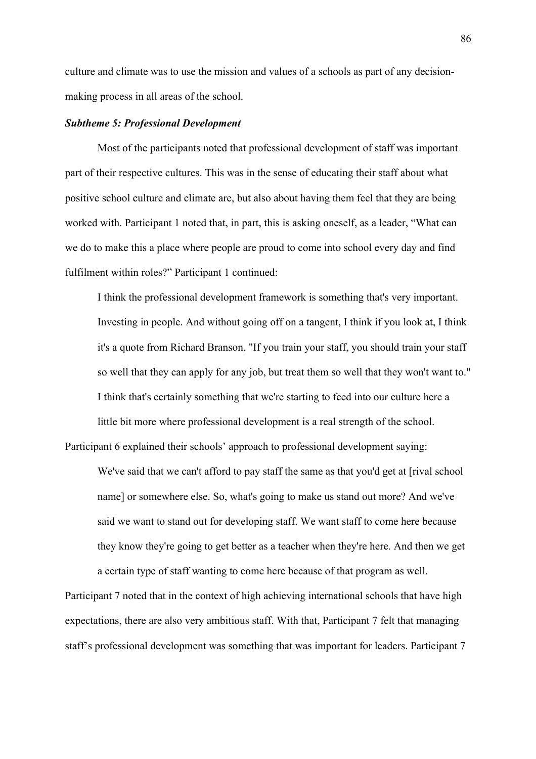culture and climate was to use the mission and values of a schools as part of any decisionmaking process in all areas of the school.

# *Subtheme 5: Professional Development*

Most of the participants noted that professional development of staff was important part of their respective cultures. This was in the sense of educating their staff about what positive school culture and climate are, but also about having them feel that they are being worked with. Participant 1 noted that, in part, this is asking oneself, as a leader, "What can we do to make this a place where people are proud to come into school every day and find fulfilment within roles?" Participant 1 continued:

I think the professional development framework is something that's very important. Investing in people. And without going off on a tangent, I think if you look at, I think it's a quote from Richard Branson, "If you train your staff, you should train your staff so well that they can apply for any job, but treat them so well that they won't want to." I think that's certainly something that we're starting to feed into our culture here a little bit more where professional development is a real strength of the school.

Participant 6 explained their schools' approach to professional development saying:

We've said that we can't afford to pay staff the same as that you'd get at [rival school name] or somewhere else. So, what's going to make us stand out more? And we've said we want to stand out for developing staff. We want staff to come here because they know they're going to get better as a teacher when they're here. And then we get a certain type of staff wanting to come here because of that program as well.

Participant 7 noted that in the context of high achieving international schools that have high expectations, there are also very ambitious staff. With that, Participant 7 felt that managing staff's professional development was something that was important for leaders. Participant 7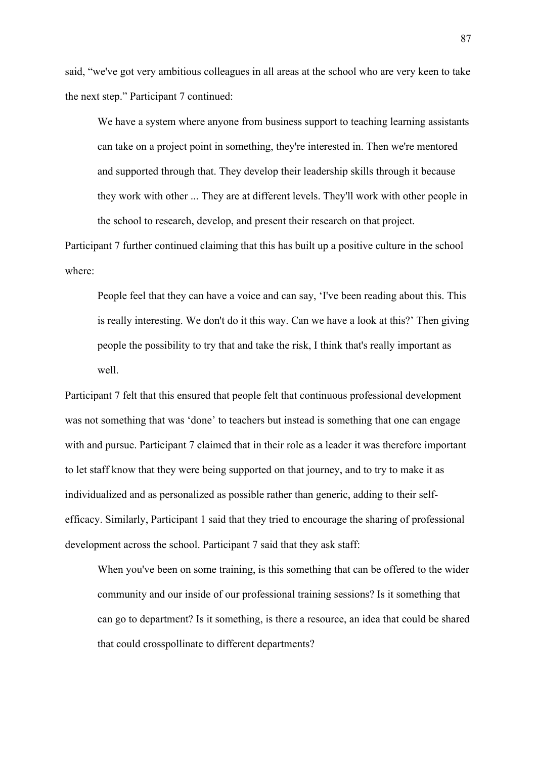said, "we've got very ambitious colleagues in all areas at the school who are very keen to take the next step." Participant 7 continued:

We have a system where anyone from business support to teaching learning assistants can take on a project point in something, they're interested in. Then we're mentored and supported through that. They develop their leadership skills through it because they work with other ... They are at different levels. They'll work with other people in the school to research, develop, and present their research on that project.

Participant 7 further continued claiming that this has built up a positive culture in the school where:

People feel that they can have a voice and can say, 'I've been reading about this. This is really interesting. We don't do it this way. Can we have a look at this?' Then giving people the possibility to try that and take the risk, I think that's really important as well.

Participant 7 felt that this ensured that people felt that continuous professional development was not something that was 'done' to teachers but instead is something that one can engage with and pursue. Participant 7 claimed that in their role as a leader it was therefore important to let staff know that they were being supported on that journey, and to try to make it as individualized and as personalized as possible rather than generic, adding to their selfefficacy. Similarly, Participant 1 said that they tried to encourage the sharing of professional development across the school. Participant 7 said that they ask staff:

When you've been on some training, is this something that can be offered to the wider community and our inside of our professional training sessions? Is it something that can go to department? Is it something, is there a resource, an idea that could be shared that could crosspollinate to different departments?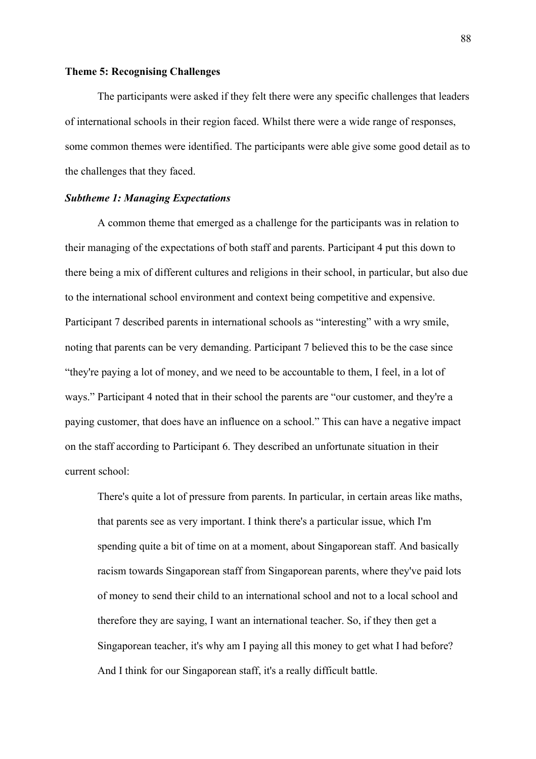## **Theme 5: Recognising Challenges**

The participants were asked if they felt there were any specific challenges that leaders of international schools in their region faced. Whilst there were a wide range of responses, some common themes were identified. The participants were able give some good detail as to the challenges that they faced.

### *Subtheme 1: Managing Expectations*

A common theme that emerged as a challenge for the participants was in relation to their managing of the expectations of both staff and parents. Participant 4 put this down to there being a mix of different cultures and religions in their school, in particular, but also due to the international school environment and context being competitive and expensive. Participant 7 described parents in international schools as "interesting" with a wry smile, noting that parents can be very demanding. Participant 7 believed this to be the case since "they're paying a lot of money, and we need to be accountable to them, I feel, in a lot of ways." Participant 4 noted that in their school the parents are "our customer, and they're a paying customer, that does have an influence on a school." This can have a negative impact on the staff according to Participant 6. They described an unfortunate situation in their current school:

There's quite a lot of pressure from parents. In particular, in certain areas like maths, that parents see as very important. I think there's a particular issue, which I'm spending quite a bit of time on at a moment, about Singaporean staff. And basically racism towards Singaporean staff from Singaporean parents, where they've paid lots of money to send their child to an international school and not to a local school and therefore they are saying, I want an international teacher. So, if they then get a Singaporean teacher, it's why am I paying all this money to get what I had before? And I think for our Singaporean staff, it's a really difficult battle.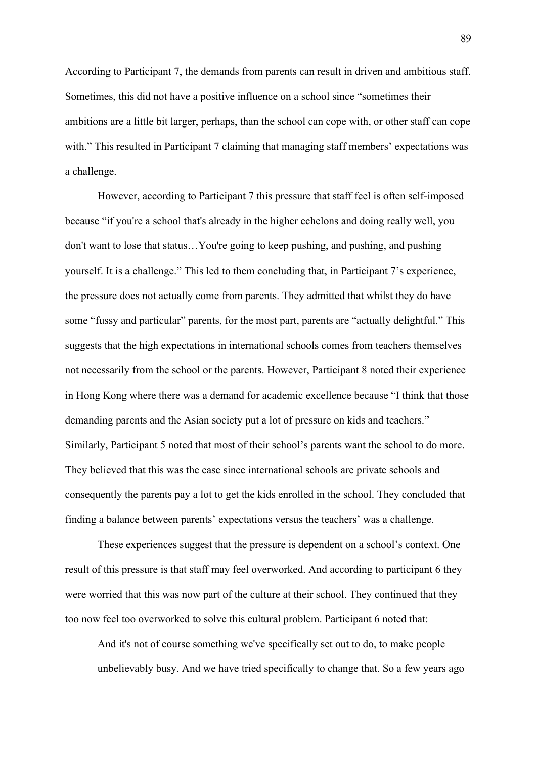According to Participant 7, the demands from parents can result in driven and ambitious staff. Sometimes, this did not have a positive influence on a school since "sometimes their ambitions are a little bit larger, perhaps, than the school can cope with, or other staff can cope with." This resulted in Participant 7 claiming that managing staff members' expectations was a challenge.

However, according to Participant 7 this pressure that staff feel is often self-imposed because "if you're a school that's already in the higher echelons and doing really well, you don't want to lose that status…You're going to keep pushing, and pushing, and pushing yourself. It is a challenge." This led to them concluding that, in Participant 7's experience, the pressure does not actually come from parents. They admitted that whilst they do have some "fussy and particular" parents, for the most part, parents are "actually delightful." This suggests that the high expectations in international schools comes from teachers themselves not necessarily from the school or the parents. However, Participant 8 noted their experience in Hong Kong where there was a demand for academic excellence because "I think that those demanding parents and the Asian society put a lot of pressure on kids and teachers." Similarly, Participant 5 noted that most of their school's parents want the school to do more. They believed that this was the case since international schools are private schools and consequently the parents pay a lot to get the kids enrolled in the school. They concluded that finding a balance between parents' expectations versus the teachers' was a challenge.

These experiences suggest that the pressure is dependent on a school's context. One result of this pressure is that staff may feel overworked. And according to participant 6 they were worried that this was now part of the culture at their school. They continued that they too now feel too overworked to solve this cultural problem. Participant 6 noted that:

And it's not of course something we've specifically set out to do, to make people unbelievably busy. And we have tried specifically to change that. So a few years ago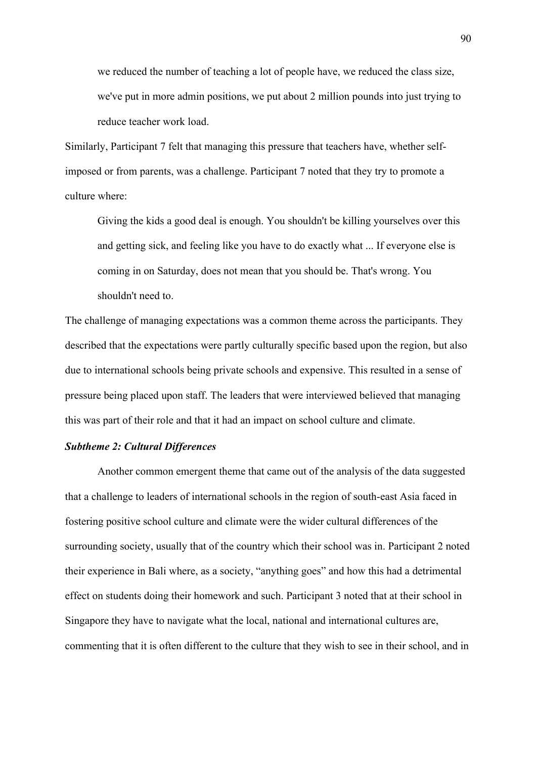we reduced the number of teaching a lot of people have, we reduced the class size, we've put in more admin positions, we put about 2 million pounds into just trying to reduce teacher work load.

Similarly, Participant 7 felt that managing this pressure that teachers have, whether selfimposed or from parents, was a challenge. Participant 7 noted that they try to promote a culture where:

Giving the kids a good deal is enough. You shouldn't be killing yourselves over this and getting sick, and feeling like you have to do exactly what ... If everyone else is coming in on Saturday, does not mean that you should be. That's wrong. You shouldn't need to.

The challenge of managing expectations was a common theme across the participants. They described that the expectations were partly culturally specific based upon the region, but also due to international schools being private schools and expensive. This resulted in a sense of pressure being placed upon staff. The leaders that were interviewed believed that managing this was part of their role and that it had an impact on school culture and climate.

#### *Subtheme 2: Cultural Differences*

Another common emergent theme that came out of the analysis of the data suggested that a challenge to leaders of international schools in the region of south-east Asia faced in fostering positive school culture and climate were the wider cultural differences of the surrounding society, usually that of the country which their school was in. Participant 2 noted their experience in Bali where, as a society, "anything goes" and how this had a detrimental effect on students doing their homework and such. Participant 3 noted that at their school in Singapore they have to navigate what the local, national and international cultures are, commenting that it is often different to the culture that they wish to see in their school, and in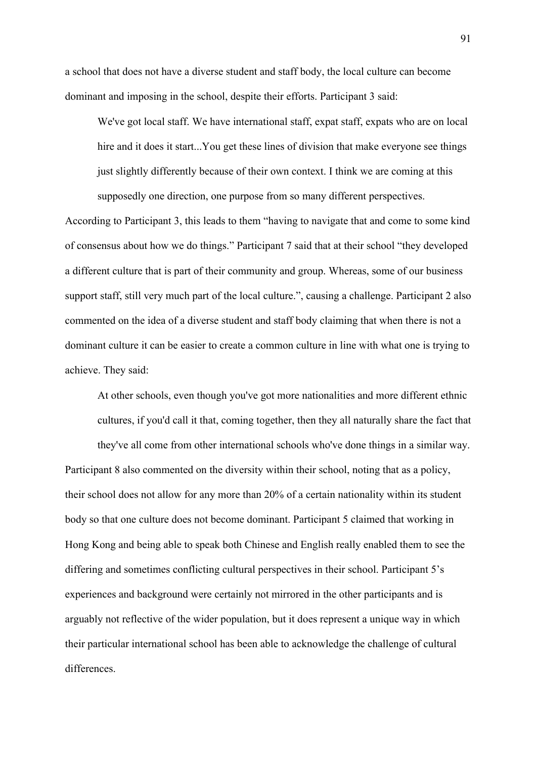a school that does not have a diverse student and staff body, the local culture can become dominant and imposing in the school, despite their efforts. Participant 3 said:

We've got local staff. We have international staff, expat staff, expats who are on local hire and it does it start...You get these lines of division that make everyone see things just slightly differently because of their own context. I think we are coming at this

supposedly one direction, one purpose from so many different perspectives. According to Participant 3, this leads to them "having to navigate that and come to some kind

of consensus about how we do things." Participant 7 said that at their school "they developed a different culture that is part of their community and group. Whereas, some of our business support staff, still very much part of the local culture.", causing a challenge. Participant 2 also commented on the idea of a diverse student and staff body claiming that when there is not a dominant culture it can be easier to create a common culture in line with what one is trying to achieve. They said:

At other schools, even though you've got more nationalities and more different ethnic cultures, if you'd call it that, coming together, then they all naturally share the fact that

they've all come from other international schools who've done things in a similar way. Participant 8 also commented on the diversity within their school, noting that as a policy, their school does not allow for any more than 20% of a certain nationality within its student body so that one culture does not become dominant. Participant 5 claimed that working in Hong Kong and being able to speak both Chinese and English really enabled them to see the differing and sometimes conflicting cultural perspectives in their school. Participant 5's experiences and background were certainly not mirrored in the other participants and is arguably not reflective of the wider population, but it does represent a unique way in which their particular international school has been able to acknowledge the challenge of cultural differences.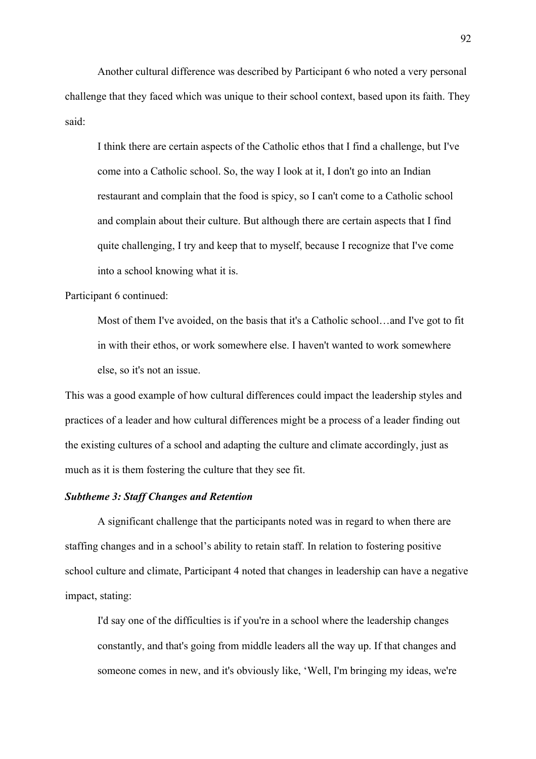Another cultural difference was described by Participant 6 who noted a very personal challenge that they faced which was unique to their school context, based upon its faith. They said:

I think there are certain aspects of the Catholic ethos that I find a challenge, but I've come into a Catholic school. So, the way I look at it, I don't go into an Indian restaurant and complain that the food is spicy, so I can't come to a Catholic school and complain about their culture. But although there are certain aspects that I find quite challenging, I try and keep that to myself, because I recognize that I've come into a school knowing what it is.

#### Participant 6 continued:

Most of them I've avoided, on the basis that it's a Catholic school…and I've got to fit in with their ethos, or work somewhere else. I haven't wanted to work somewhere else, so it's not an issue.

This was a good example of how cultural differences could impact the leadership styles and practices of a leader and how cultural differences might be a process of a leader finding out the existing cultures of a school and adapting the culture and climate accordingly, just as much as it is them fostering the culture that they see fit.

## *Subtheme 3: Staff Changes and Retention*

A significant challenge that the participants noted was in regard to when there are staffing changes and in a school's ability to retain staff. In relation to fostering positive school culture and climate, Participant 4 noted that changes in leadership can have a negative impact, stating:

I'd say one of the difficulties is if you're in a school where the leadership changes constantly, and that's going from middle leaders all the way up. If that changes and someone comes in new, and it's obviously like, 'Well, I'm bringing my ideas, we're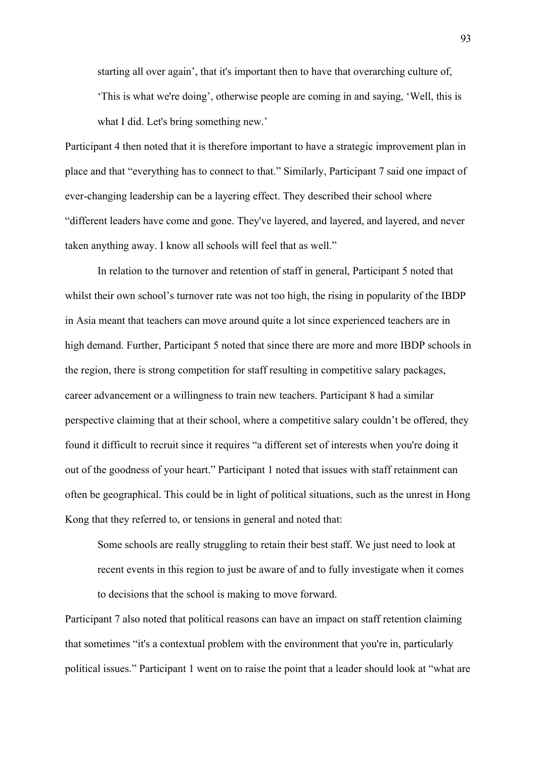starting all over again', that it's important then to have that overarching culture of, 'This is what we're doing', otherwise people are coming in and saying, 'Well, this is what I did. Let's bring something new.'

Participant 4 then noted that it is therefore important to have a strategic improvement plan in place and that "everything has to connect to that." Similarly, Participant 7 said one impact of ever-changing leadership can be a layering effect. They described their school where "different leaders have come and gone. They've layered, and layered, and layered, and never taken anything away. I know all schools will feel that as well."

In relation to the turnover and retention of staff in general, Participant 5 noted that whilst their own school's turnover rate was not too high, the rising in popularity of the IBDP in Asia meant that teachers can move around quite a lot since experienced teachers are in high demand. Further, Participant 5 noted that since there are more and more IBDP schools in the region, there is strong competition for staff resulting in competitive salary packages, career advancement or a willingness to train new teachers. Participant 8 had a similar perspective claiming that at their school, where a competitive salary couldn't be offered, they found it difficult to recruit since it requires "a different set of interests when you're doing it out of the goodness of your heart." Participant 1 noted that issues with staff retainment can often be geographical. This could be in light of political situations, such as the unrest in Hong Kong that they referred to, or tensions in general and noted that:

Some schools are really struggling to retain their best staff. We just need to look at recent events in this region to just be aware of and to fully investigate when it comes to decisions that the school is making to move forward.

Participant 7 also noted that political reasons can have an impact on staff retention claiming that sometimes "it's a contextual problem with the environment that you're in, particularly political issues." Participant 1 went on to raise the point that a leader should look at "what are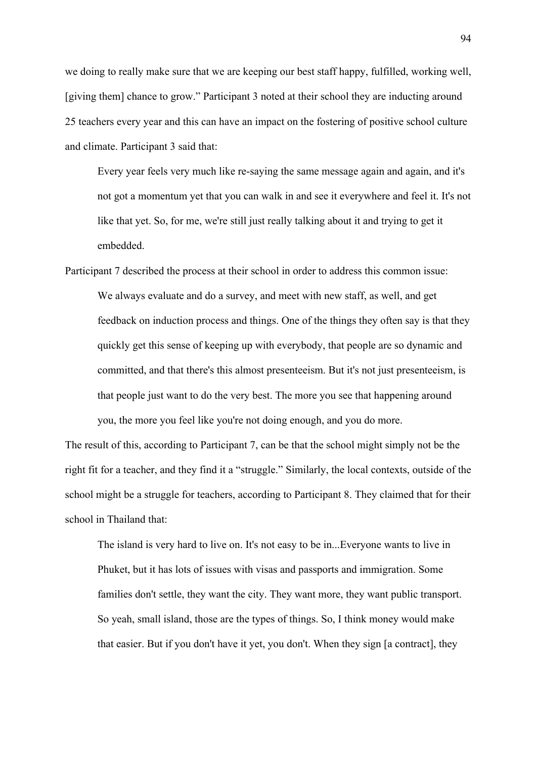we doing to really make sure that we are keeping our best staff happy, fulfilled, working well, [giving them] chance to grow." Participant 3 noted at their school they are inducting around 25 teachers every year and this can have an impact on the fostering of positive school culture and climate. Participant 3 said that:

Every year feels very much like re-saying the same message again and again, and it's not got a momentum yet that you can walk in and see it everywhere and feel it. It's not like that yet. So, for me, we're still just really talking about it and trying to get it embedded.

Participant 7 described the process at their school in order to address this common issue: We always evaluate and do a survey, and meet with new staff, as well, and get feedback on induction process and things. One of the things they often say is that they quickly get this sense of keeping up with everybody, that people are so dynamic and committed, and that there's this almost presenteeism. But it's not just presenteeism, is that people just want to do the very best. The more you see that happening around you, the more you feel like you're not doing enough, and you do more.

The result of this, according to Participant 7, can be that the school might simply not be the right fit for a teacher, and they find it a "struggle." Similarly, the local contexts, outside of the school might be a struggle for teachers, according to Participant 8. They claimed that for their school in Thailand that:

The island is very hard to live on. It's not easy to be in...Everyone wants to live in Phuket, but it has lots of issues with visas and passports and immigration. Some families don't settle, they want the city. They want more, they want public transport. So yeah, small island, those are the types of things. So, I think money would make that easier. But if you don't have it yet, you don't. When they sign [a contract], they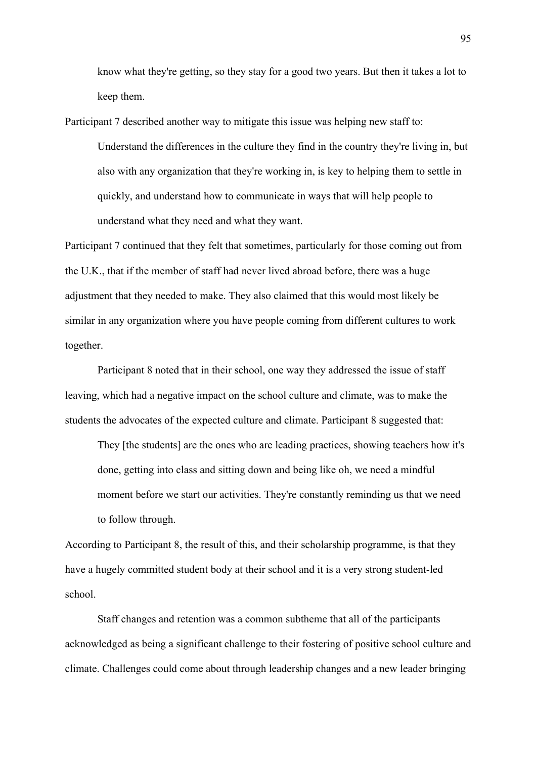know what they're getting, so they stay for a good two years. But then it takes a lot to keep them.

Participant 7 described another way to mitigate this issue was helping new staff to: Understand the differences in the culture they find in the country they're living in, but also with any organization that they're working in, is key to helping them to settle in quickly, and understand how to communicate in ways that will help people to understand what they need and what they want.

Participant 7 continued that they felt that sometimes, particularly for those coming out from the U.K., that if the member of staff had never lived abroad before, there was a huge adjustment that they needed to make. They also claimed that this would most likely be similar in any organization where you have people coming from different cultures to work together.

Participant 8 noted that in their school, one way they addressed the issue of staff leaving, which had a negative impact on the school culture and climate, was to make the students the advocates of the expected culture and climate. Participant 8 suggested that:

They [the students] are the ones who are leading practices, showing teachers how it's done, getting into class and sitting down and being like oh, we need a mindful moment before we start our activities. They're constantly reminding us that we need to follow through.

According to Participant 8, the result of this, and their scholarship programme, is that they have a hugely committed student body at their school and it is a very strong student-led school.

Staff changes and retention was a common subtheme that all of the participants acknowledged as being a significant challenge to their fostering of positive school culture and climate. Challenges could come about through leadership changes and a new leader bringing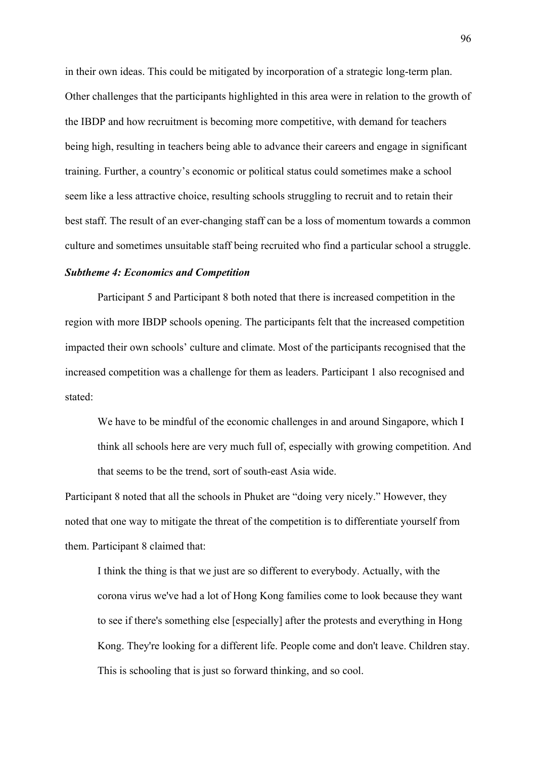in their own ideas. This could be mitigated by incorporation of a strategic long-term plan. Other challenges that the participants highlighted in this area were in relation to the growth of the IBDP and how recruitment is becoming more competitive, with demand for teachers being high, resulting in teachers being able to advance their careers and engage in significant training. Further, a country's economic or political status could sometimes make a school seem like a less attractive choice, resulting schools struggling to recruit and to retain their best staff. The result of an ever-changing staff can be a loss of momentum towards a common culture and sometimes unsuitable staff being recruited who find a particular school a struggle.

# *Subtheme 4: Economics and Competition*

Participant 5 and Participant 8 both noted that there is increased competition in the region with more IBDP schools opening. The participants felt that the increased competition impacted their own schools' culture and climate. Most of the participants recognised that the increased competition was a challenge for them as leaders. Participant 1 also recognised and stated:

We have to be mindful of the economic challenges in and around Singapore, which I think all schools here are very much full of, especially with growing competition. And that seems to be the trend, sort of south-east Asia wide.

Participant 8 noted that all the schools in Phuket are "doing very nicely." However, they noted that one way to mitigate the threat of the competition is to differentiate yourself from them. Participant 8 claimed that:

I think the thing is that we just are so different to everybody. Actually, with the corona virus we've had a lot of Hong Kong families come to look because they want to see if there's something else [especially] after the protests and everything in Hong Kong. They're looking for a different life. People come and don't leave. Children stay. This is schooling that is just so forward thinking, and so cool.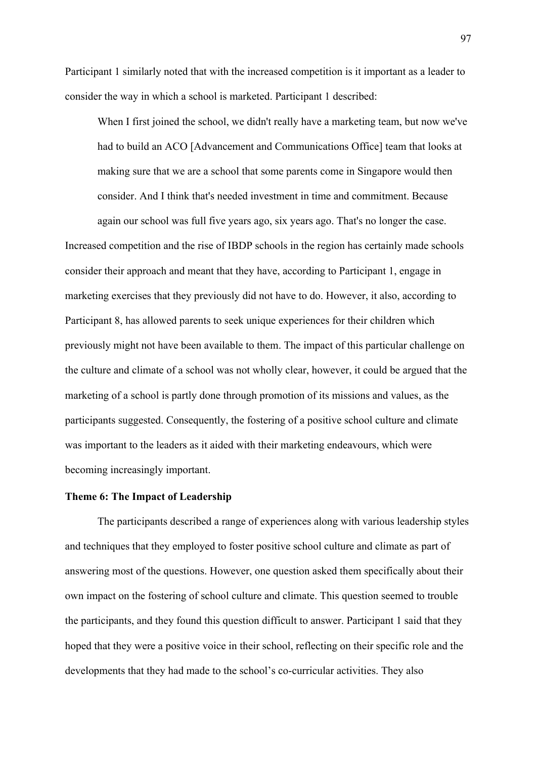Participant 1 similarly noted that with the increased competition is it important as a leader to consider the way in which a school is marketed. Participant 1 described:

When I first joined the school, we didn't really have a marketing team, but now we've had to build an ACO [Advancement and Communications Office] team that looks at making sure that we are a school that some parents come in Singapore would then consider. And I think that's needed investment in time and commitment. Because again our school was full five years ago, six years ago. That's no longer the case.

Increased competition and the rise of IBDP schools in the region has certainly made schools consider their approach and meant that they have, according to Participant 1, engage in marketing exercises that they previously did not have to do. However, it also, according to Participant 8, has allowed parents to seek unique experiences for their children which previously might not have been available to them. The impact of this particular challenge on the culture and climate of a school was not wholly clear, however, it could be argued that the marketing of a school is partly done through promotion of its missions and values, as the participants suggested. Consequently, the fostering of a positive school culture and climate was important to the leaders as it aided with their marketing endeavours, which were becoming increasingly important.

## **Theme 6: The Impact of Leadership**

The participants described a range of experiences along with various leadership styles and techniques that they employed to foster positive school culture and climate as part of answering most of the questions. However, one question asked them specifically about their own impact on the fostering of school culture and climate. This question seemed to trouble the participants, and they found this question difficult to answer. Participant 1 said that they hoped that they were a positive voice in their school, reflecting on their specific role and the developments that they had made to the school's co-curricular activities. They also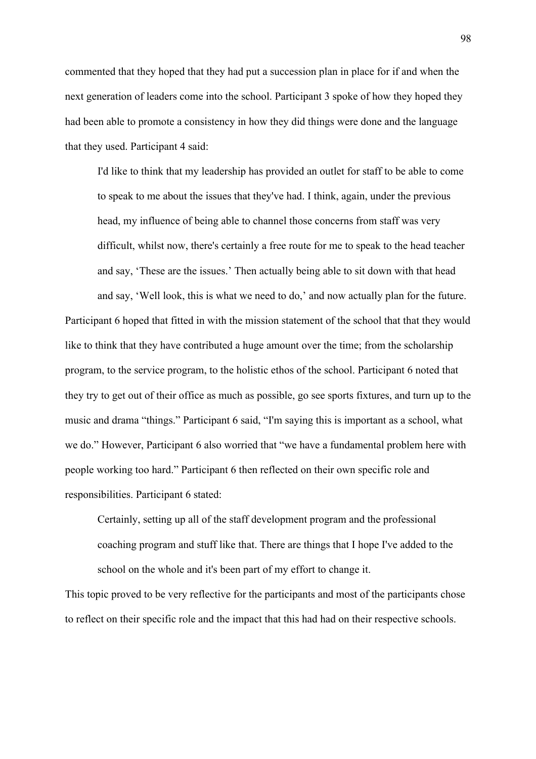commented that they hoped that they had put a succession plan in place for if and when the next generation of leaders come into the school. Participant 3 spoke of how they hoped they had been able to promote a consistency in how they did things were done and the language that they used. Participant 4 said:

I'd like to think that my leadership has provided an outlet for staff to be able to come to speak to me about the issues that they've had. I think, again, under the previous head, my influence of being able to channel those concerns from staff was very difficult, whilst now, there's certainly a free route for me to speak to the head teacher and say, 'These are the issues.' Then actually being able to sit down with that head and say, 'Well look, this is what we need to do,' and now actually plan for the future.

Participant 6 hoped that fitted in with the mission statement of the school that that they would like to think that they have contributed a huge amount over the time; from the scholarship program, to the service program, to the holistic ethos of the school. Participant 6 noted that they try to get out of their office as much as possible, go see sports fixtures, and turn up to the music and drama "things." Participant 6 said, "I'm saying this is important as a school, what we do." However, Participant 6 also worried that "we have a fundamental problem here with people working too hard." Participant 6 then reflected on their own specific role and responsibilities. Participant 6 stated:

Certainly, setting up all of the staff development program and the professional coaching program and stuff like that. There are things that I hope I've added to the school on the whole and it's been part of my effort to change it.

This topic proved to be very reflective for the participants and most of the participants chose to reflect on their specific role and the impact that this had had on their respective schools.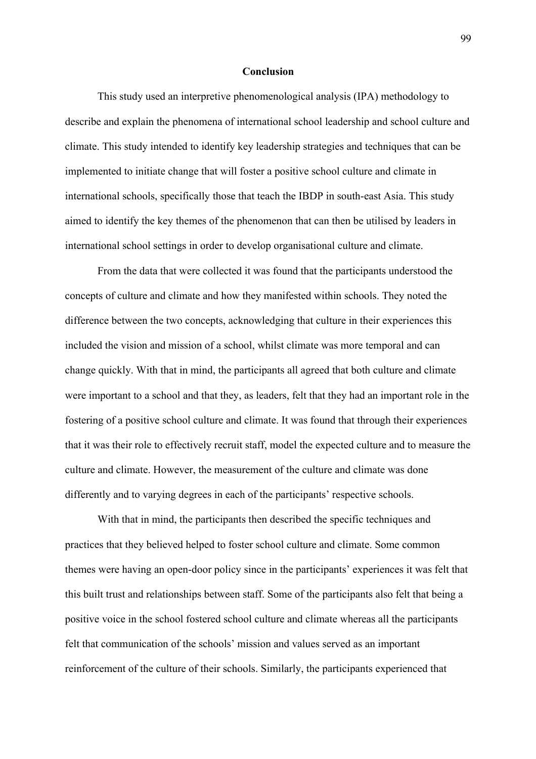### **Conclusion**

This study used an interpretive phenomenological analysis (IPA) methodology to describe and explain the phenomena of international school leadership and school culture and climate. This study intended to identify key leadership strategies and techniques that can be implemented to initiate change that will foster a positive school culture and climate in international schools, specifically those that teach the IBDP in south-east Asia. This study aimed to identify the key themes of the phenomenon that can then be utilised by leaders in international school settings in order to develop organisational culture and climate.

From the data that were collected it was found that the participants understood the concepts of culture and climate and how they manifested within schools. They noted the difference between the two concepts, acknowledging that culture in their experiences this included the vision and mission of a school, whilst climate was more temporal and can change quickly. With that in mind, the participants all agreed that both culture and climate were important to a school and that they, as leaders, felt that they had an important role in the fostering of a positive school culture and climate. It was found that through their experiences that it was their role to effectively recruit staff, model the expected culture and to measure the culture and climate. However, the measurement of the culture and climate was done differently and to varying degrees in each of the participants' respective schools.

With that in mind, the participants then described the specific techniques and practices that they believed helped to foster school culture and climate. Some common themes were having an open-door policy since in the participants' experiences it was felt that this built trust and relationships between staff. Some of the participants also felt that being a positive voice in the school fostered school culture and climate whereas all the participants felt that communication of the schools' mission and values served as an important reinforcement of the culture of their schools. Similarly, the participants experienced that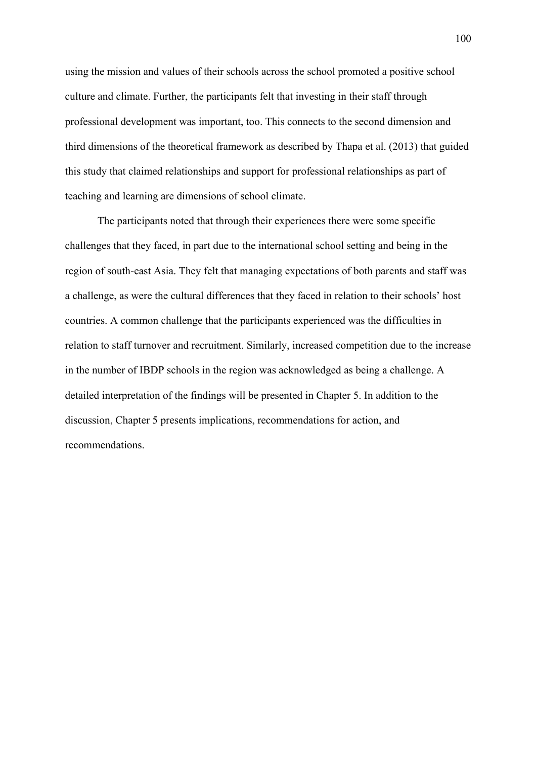using the mission and values of their schools across the school promoted a positive school culture and climate. Further, the participants felt that investing in their staff through professional development was important, too. This connects to the second dimension and third dimensions of the theoretical framework as described by Thapa et al. (2013) that guided this study that claimed relationships and support for professional relationships as part of teaching and learning are dimensions of school climate.

The participants noted that through their experiences there were some specific challenges that they faced, in part due to the international school setting and being in the region of south-east Asia. They felt that managing expectations of both parents and staff was a challenge, as were the cultural differences that they faced in relation to their schools' host countries. A common challenge that the participants experienced was the difficulties in relation to staff turnover and recruitment. Similarly, increased competition due to the increase in the number of IBDP schools in the region was acknowledged as being a challenge. A detailed interpretation of the findings will be presented in Chapter 5. In addition to the discussion, Chapter 5 presents implications, recommendations for action, and recommendations.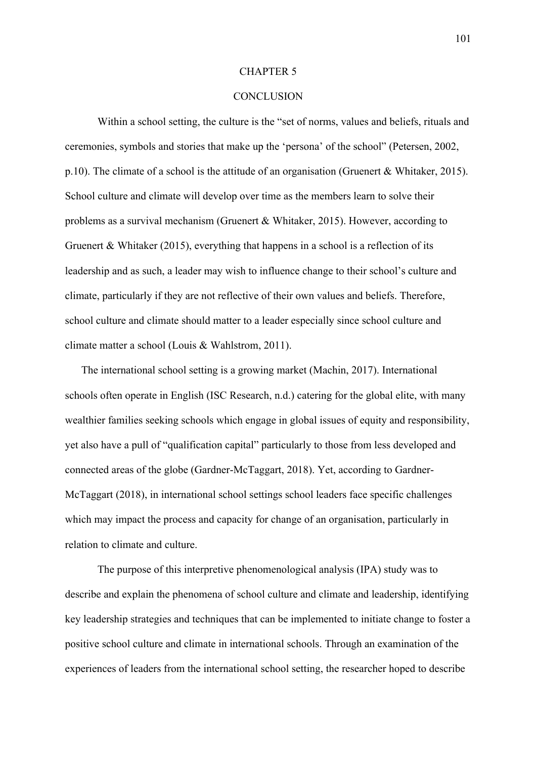#### CHAPTER 5

#### **CONCLUSION**

Within a school setting, the culture is the "set of norms, values and beliefs, rituals and ceremonies, symbols and stories that make up the 'persona' of the school" (Petersen, 2002, p.10). The climate of a school is the attitude of an organisation (Gruenert & Whitaker, 2015). School culture and climate will develop over time as the members learn to solve their problems as a survival mechanism (Gruenert & Whitaker, 2015). However, according to Gruenert & Whitaker (2015), everything that happens in a school is a reflection of its leadership and as such, a leader may wish to influence change to their school's culture and climate, particularly if they are not reflective of their own values and beliefs. Therefore, school culture and climate should matter to a leader especially since school culture and climate matter a school (Louis & Wahlstrom, 2011).

The international school setting is a growing market (Machin, 2017). International schools often operate in English (ISC Research, n.d.) catering for the global elite, with many wealthier families seeking schools which engage in global issues of equity and responsibility, yet also have a pull of "qualification capital" particularly to those from less developed and connected areas of the globe (Gardner-McTaggart, 2018). Yet, according to Gardner-McTaggart (2018), in international school settings school leaders face specific challenges which may impact the process and capacity for change of an organisation, particularly in relation to climate and culture.

The purpose of this interpretive phenomenological analysis (IPA) study was to describe and explain the phenomena of school culture and climate and leadership, identifying key leadership strategies and techniques that can be implemented to initiate change to foster a positive school culture and climate in international schools. Through an examination of the experiences of leaders from the international school setting, the researcher hoped to describe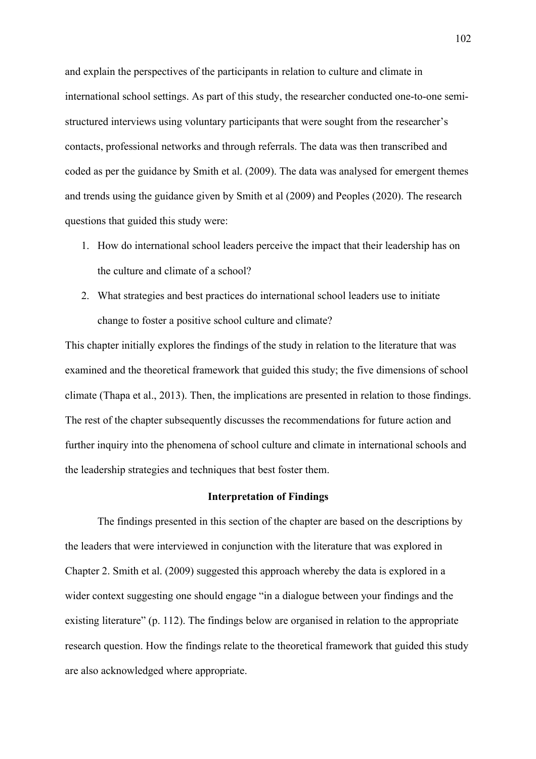and explain the perspectives of the participants in relation to culture and climate in international school settings. As part of this study, the researcher conducted one-to-one semistructured interviews using voluntary participants that were sought from the researcher's contacts, professional networks and through referrals. The data was then transcribed and coded as per the guidance by Smith et al. (2009). The data was analysed for emergent themes and trends using the guidance given by Smith et al (2009) and Peoples (2020). The research questions that guided this study were:

- 1. How do international school leaders perceive the impact that their leadership has on the culture and climate of a school?
- 2. What strategies and best practices do international school leaders use to initiate change to foster a positive school culture and climate?

This chapter initially explores the findings of the study in relation to the literature that was examined and the theoretical framework that guided this study; the five dimensions of school climate (Thapa et al., 2013). Then, the implications are presented in relation to those findings. The rest of the chapter subsequently discusses the recommendations for future action and further inquiry into the phenomena of school culture and climate in international schools and the leadership strategies and techniques that best foster them.

### **Interpretation of Findings**

The findings presented in this section of the chapter are based on the descriptions by the leaders that were interviewed in conjunction with the literature that was explored in Chapter 2. Smith et al. (2009) suggested this approach whereby the data is explored in a wider context suggesting one should engage "in a dialogue between your findings and the existing literature" (p. 112). The findings below are organised in relation to the appropriate research question. How the findings relate to the theoretical framework that guided this study are also acknowledged where appropriate.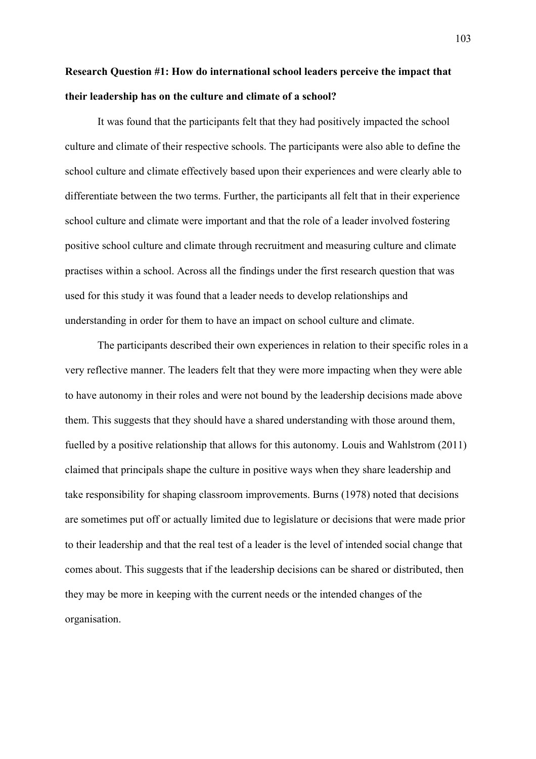## **Research Question #1: How do international school leaders perceive the impact that their leadership has on the culture and climate of a school?**

It was found that the participants felt that they had positively impacted the school culture and climate of their respective schools. The participants were also able to define the school culture and climate effectively based upon their experiences and were clearly able to differentiate between the two terms. Further, the participants all felt that in their experience school culture and climate were important and that the role of a leader involved fostering positive school culture and climate through recruitment and measuring culture and climate practises within a school. Across all the findings under the first research question that was used for this study it was found that a leader needs to develop relationships and understanding in order for them to have an impact on school culture and climate.

The participants described their own experiences in relation to their specific roles in a very reflective manner. The leaders felt that they were more impacting when they were able to have autonomy in their roles and were not bound by the leadership decisions made above them. This suggests that they should have a shared understanding with those around them, fuelled by a positive relationship that allows for this autonomy. Louis and Wahlstrom (2011) claimed that principals shape the culture in positive ways when they share leadership and take responsibility for shaping classroom improvements. Burns (1978) noted that decisions are sometimes put off or actually limited due to legislature or decisions that were made prior to their leadership and that the real test of a leader is the level of intended social change that comes about. This suggests that if the leadership decisions can be shared or distributed, then they may be more in keeping with the current needs or the intended changes of the organisation.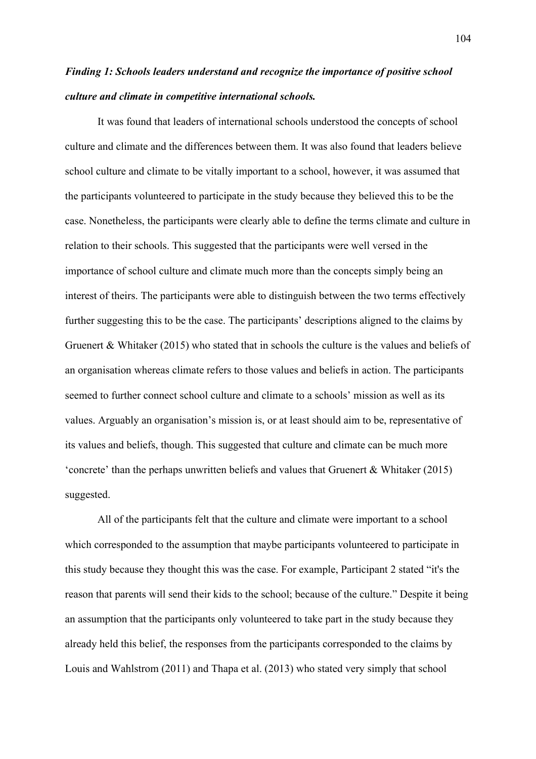# *Finding 1: Schools leaders understand and recognize the importance of positive school culture and climate in competitive international schools.*

It was found that leaders of international schools understood the concepts of school culture and climate and the differences between them. It was also found that leaders believe school culture and climate to be vitally important to a school, however, it was assumed that the participants volunteered to participate in the study because they believed this to be the case. Nonetheless, the participants were clearly able to define the terms climate and culture in relation to their schools. This suggested that the participants were well versed in the importance of school culture and climate much more than the concepts simply being an interest of theirs. The participants were able to distinguish between the two terms effectively further suggesting this to be the case. The participants' descriptions aligned to the claims by Gruenert & Whitaker (2015) who stated that in schools the culture is the values and beliefs of an organisation whereas climate refers to those values and beliefs in action. The participants seemed to further connect school culture and climate to a schools' mission as well as its values. Arguably an organisation's mission is, or at least should aim to be, representative of its values and beliefs, though. This suggested that culture and climate can be much more 'concrete' than the perhaps unwritten beliefs and values that Gruenert & Whitaker (2015) suggested.

All of the participants felt that the culture and climate were important to a school which corresponded to the assumption that maybe participants volunteered to participate in this study because they thought this was the case. For example, Participant 2 stated "it's the reason that parents will send their kids to the school; because of the culture." Despite it being an assumption that the participants only volunteered to take part in the study because they already held this belief, the responses from the participants corresponded to the claims by Louis and Wahlstrom (2011) and Thapa et al. (2013) who stated very simply that school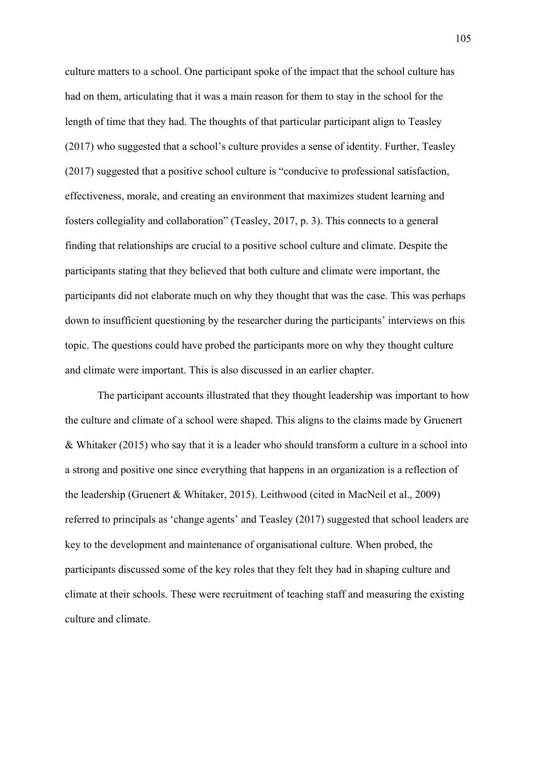culture matters to a school. One participant spoke of the impact that the school culture has had on them, articulating that it was a main reason for them to stay in the school for the length of time that they had. The thoughts of that particular participant align to Teasley (2017) who suggested that a school's culture provides a sense of identity. Further, Teasley (2017) suggested that a positive school culture is "conducive to professional satisfaction, effectiveness, morale, and creating an environment that maximizes student learning and fosters collegiality and collaboration" (Teasley, 2017, p. 3). This connects to a general finding that relationships are crucial to a positive school culture and climate. Despite the participants stating that they believed that both culture and climate were important, the participants did not elaborate much on why they thought that was the case. This was perhaps down to insufficient questioning by the researcher during the participants' interviews on this topic. The questions could have probed the participants more on why they thought culture and climate were important. This is also discussed in an earlier chapter.

The participant accounts illustrated that they thought leadership was important to how the culture and climate of a school were shaped. This aligns to the claims made by Gruenert & Whitaker (2015) who say that it is a leader who should transform a culture in a school into a strong and positive one since everything that happens in an organization is a reflection of the leadership (Gruenert & Whitaker, 2015). Leithwood (cited in MacNeil et al., 2009) referred to principals as 'change agents' and Teasley (2017) suggested that school leaders are key to the development and maintenance of organisational culture. When probed, the participants discussed some of the key roles that they felt they had in shaping culture and climate at their schools. These were recruitment of teaching staff and measuring the existing culture and climate.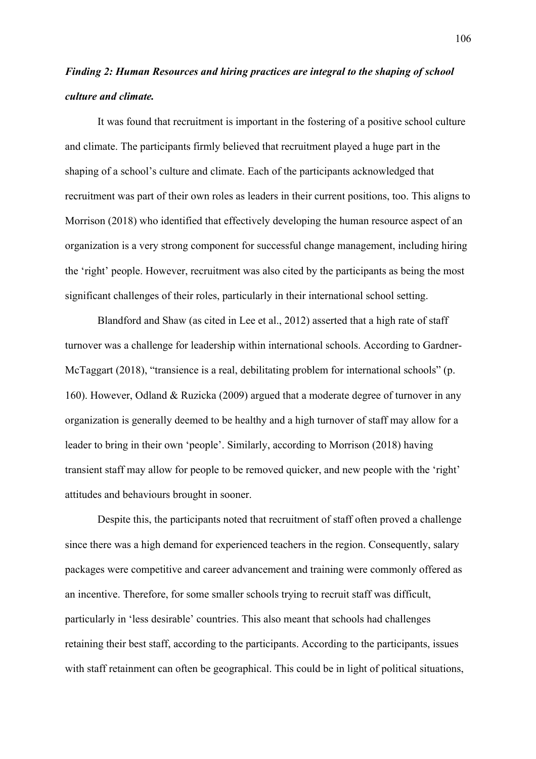## *Finding 2: Human Resources and hiring practices are integral to the shaping of school culture and climate.*

It was found that recruitment is important in the fostering of a positive school culture and climate. The participants firmly believed that recruitment played a huge part in the shaping of a school's culture and climate. Each of the participants acknowledged that recruitment was part of their own roles as leaders in their current positions, too. This aligns to Morrison (2018) who identified that effectively developing the human resource aspect of an organization is a very strong component for successful change management, including hiring the 'right' people. However, recruitment was also cited by the participants as being the most significant challenges of their roles, particularly in their international school setting.

Blandford and Shaw (as cited in Lee et al., 2012) asserted that a high rate of staff turnover was a challenge for leadership within international schools. According to Gardner-McTaggart (2018), "transience is a real, debilitating problem for international schools" (p. 160). However, Odland & Ruzicka (2009) argued that a moderate degree of turnover in any organization is generally deemed to be healthy and a high turnover of staff may allow for a leader to bring in their own 'people'. Similarly, according to Morrison (2018) having transient staff may allow for people to be removed quicker, and new people with the 'right' attitudes and behaviours brought in sooner.

Despite this, the participants noted that recruitment of staff often proved a challenge since there was a high demand for experienced teachers in the region. Consequently, salary packages were competitive and career advancement and training were commonly offered as an incentive. Therefore, for some smaller schools trying to recruit staff was difficult, particularly in 'less desirable' countries. This also meant that schools had challenges retaining their best staff, according to the participants. According to the participants, issues with staff retainment can often be geographical. This could be in light of political situations,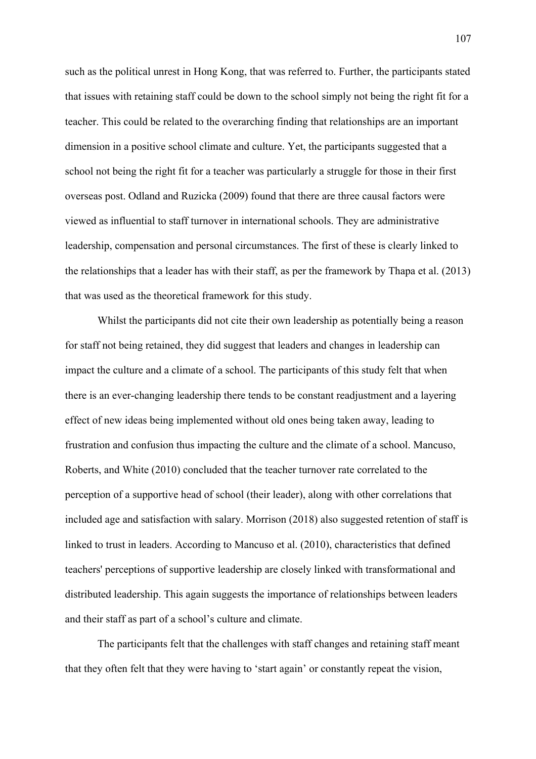such as the political unrest in Hong Kong, that was referred to. Further, the participants stated that issues with retaining staff could be down to the school simply not being the right fit for a teacher. This could be related to the overarching finding that relationships are an important dimension in a positive school climate and culture. Yet, the participants suggested that a school not being the right fit for a teacher was particularly a struggle for those in their first overseas post. Odland and Ruzicka (2009) found that there are three causal factors were viewed as influential to staff turnover in international schools. They are administrative leadership, compensation and personal circumstances. The first of these is clearly linked to the relationships that a leader has with their staff, as per the framework by Thapa et al. (2013) that was used as the theoretical framework for this study.

Whilst the participants did not cite their own leadership as potentially being a reason for staff not being retained, they did suggest that leaders and changes in leadership can impact the culture and a climate of a school. The participants of this study felt that when there is an ever-changing leadership there tends to be constant readjustment and a layering effect of new ideas being implemented without old ones being taken away, leading to frustration and confusion thus impacting the culture and the climate of a school. Mancuso, Roberts, and White (2010) concluded that the teacher turnover rate correlated to the perception of a supportive head of school (their leader), along with other correlations that included age and satisfaction with salary. Morrison (2018) also suggested retention of staff is linked to trust in leaders. According to Mancuso et al. (2010), characteristics that defined teachers' perceptions of supportive leadership are closely linked with transformational and distributed leadership. This again suggests the importance of relationships between leaders and their staff as part of a school's culture and climate.

The participants felt that the challenges with staff changes and retaining staff meant that they often felt that they were having to 'start again' or constantly repeat the vision,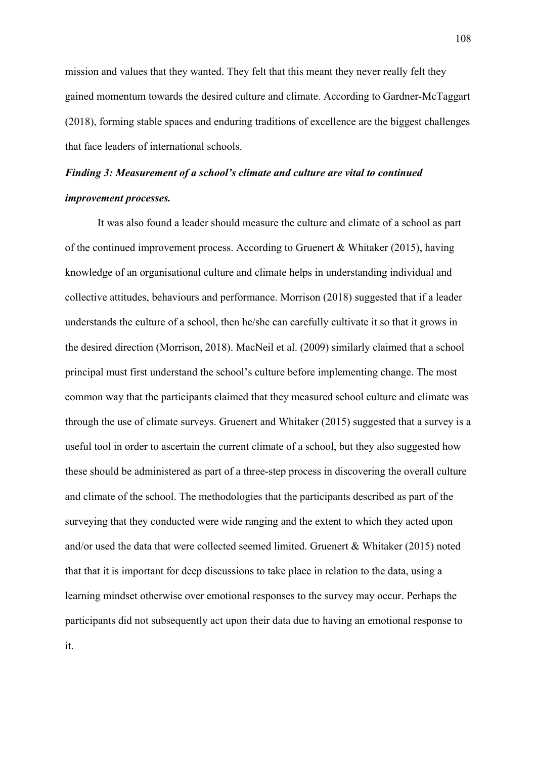mission and values that they wanted. They felt that this meant they never really felt they gained momentum towards the desired culture and climate. According to Gardner-McTaggart (2018), forming stable spaces and enduring traditions of excellence are the biggest challenges that face leaders of international schools.

# *Finding 3: Measurement of a school's climate and culture are vital to continued improvement processes.*

It was also found a leader should measure the culture and climate of a school as part of the continued improvement process. According to Gruenert & Whitaker (2015), having knowledge of an organisational culture and climate helps in understanding individual and collective attitudes, behaviours and performance. Morrison (2018) suggested that if a leader understands the culture of a school, then he/she can carefully cultivate it so that it grows in the desired direction (Morrison, 2018). MacNeil et al. (2009) similarly claimed that a school principal must first understand the school's culture before implementing change. The most common way that the participants claimed that they measured school culture and climate was through the use of climate surveys. Gruenert and Whitaker (2015) suggested that a survey is a useful tool in order to ascertain the current climate of a school, but they also suggested how these should be administered as part of a three-step process in discovering the overall culture and climate of the school. The methodologies that the participants described as part of the surveying that they conducted were wide ranging and the extent to which they acted upon and/or used the data that were collected seemed limited. Gruenert & Whitaker (2015) noted that that it is important for deep discussions to take place in relation to the data, using a learning mindset otherwise over emotional responses to the survey may occur. Perhaps the participants did not subsequently act upon their data due to having an emotional response to it.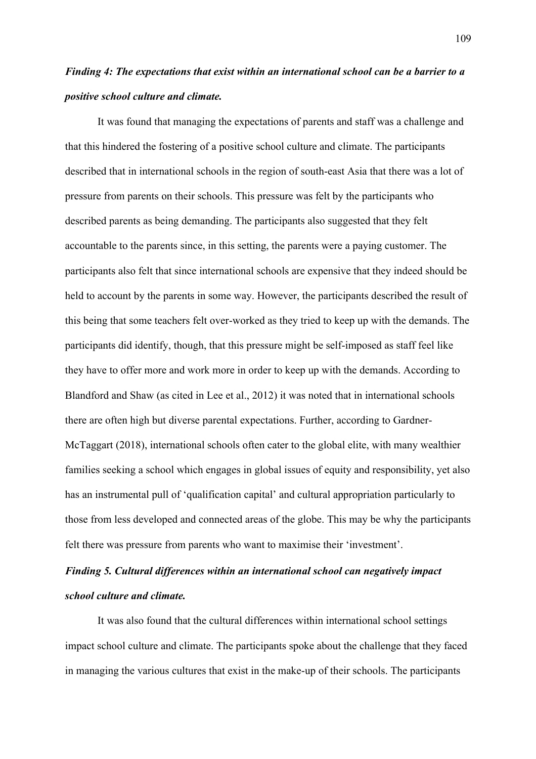# *Finding 4: The expectations that exist within an international school can be a barrier to a positive school culture and climate.*

It was found that managing the expectations of parents and staff was a challenge and that this hindered the fostering of a positive school culture and climate. The participants described that in international schools in the region of south-east Asia that there was a lot of pressure from parents on their schools. This pressure was felt by the participants who described parents as being demanding. The participants also suggested that they felt accountable to the parents since, in this setting, the parents were a paying customer. The participants also felt that since international schools are expensive that they indeed should be held to account by the parents in some way. However, the participants described the result of this being that some teachers felt over-worked as they tried to keep up with the demands. The participants did identify, though, that this pressure might be self-imposed as staff feel like they have to offer more and work more in order to keep up with the demands. According to Blandford and Shaw (as cited in Lee et al., 2012) it was noted that in international schools there are often high but diverse parental expectations. Further, according to Gardner-McTaggart (2018), international schools often cater to the global elite, with many wealthier families seeking a school which engages in global issues of equity and responsibility, yet also has an instrumental pull of 'qualification capital' and cultural appropriation particularly to those from less developed and connected areas of the globe. This may be why the participants felt there was pressure from parents who want to maximise their 'investment'.

# *Finding 5. Cultural differences within an international school can negatively impact school culture and climate.*

It was also found that the cultural differences within international school settings impact school culture and climate. The participants spoke about the challenge that they faced in managing the various cultures that exist in the make-up of their schools. The participants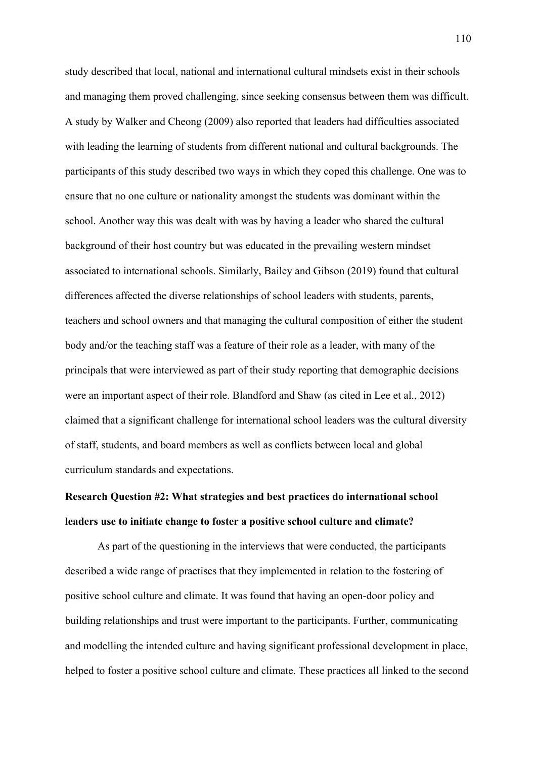study described that local, national and international cultural mindsets exist in their schools and managing them proved challenging, since seeking consensus between them was difficult. A study by Walker and Cheong (2009) also reported that leaders had difficulties associated with leading the learning of students from different national and cultural backgrounds. The participants of this study described two ways in which they coped this challenge. One was to ensure that no one culture or nationality amongst the students was dominant within the school. Another way this was dealt with was by having a leader who shared the cultural background of their host country but was educated in the prevailing western mindset associated to international schools. Similarly, Bailey and Gibson (2019) found that cultural differences affected the diverse relationships of school leaders with students, parents, teachers and school owners and that managing the cultural composition of either the student body and/or the teaching staff was a feature of their role as a leader, with many of the principals that were interviewed as part of their study reporting that demographic decisions were an important aspect of their role. Blandford and Shaw (as cited in Lee et al., 2012) claimed that a significant challenge for international school leaders was the cultural diversity of staff, students, and board members as well as conflicts between local and global curriculum standards and expectations.

# **Research Question #2: What strategies and best practices do international school leaders use to initiate change to foster a positive school culture and climate?**

As part of the questioning in the interviews that were conducted, the participants described a wide range of practises that they implemented in relation to the fostering of positive school culture and climate. It was found that having an open-door policy and building relationships and trust were important to the participants. Further, communicating and modelling the intended culture and having significant professional development in place, helped to foster a positive school culture and climate. These practices all linked to the second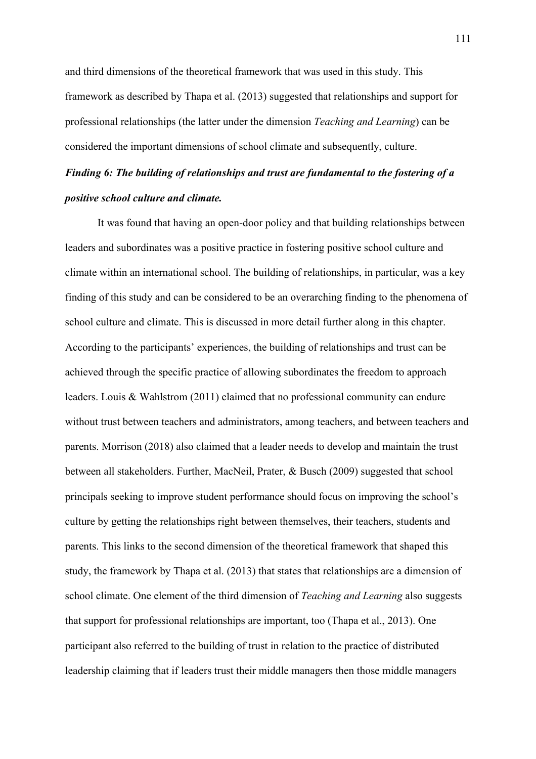and third dimensions of the theoretical framework that was used in this study. This framework as described by Thapa et al. (2013) suggested that relationships and support for professional relationships (the latter under the dimension *Teaching and Learning*) can be considered the important dimensions of school climate and subsequently, culture.

## *Finding 6: The building of relationships and trust are fundamental to the fostering of a positive school culture and climate.*

It was found that having an open-door policy and that building relationships between leaders and subordinates was a positive practice in fostering positive school culture and climate within an international school. The building of relationships, in particular, was a key finding of this study and can be considered to be an overarching finding to the phenomena of school culture and climate. This is discussed in more detail further along in this chapter. According to the participants' experiences, the building of relationships and trust can be achieved through the specific practice of allowing subordinates the freedom to approach leaders. Louis & Wahlstrom (2011) claimed that no professional community can endure without trust between teachers and administrators, among teachers, and between teachers and parents. Morrison (2018) also claimed that a leader needs to develop and maintain the trust between all stakeholders. Further, MacNeil, Prater, & Busch (2009) suggested that school principals seeking to improve student performance should focus on improving the school's culture by getting the relationships right between themselves, their teachers, students and parents. This links to the second dimension of the theoretical framework that shaped this study, the framework by Thapa et al. (2013) that states that relationships are a dimension of school climate. One element of the third dimension of *Teaching and Learning* also suggests that support for professional relationships are important, too (Thapa et al., 2013). One participant also referred to the building of trust in relation to the practice of distributed leadership claiming that if leaders trust their middle managers then those middle managers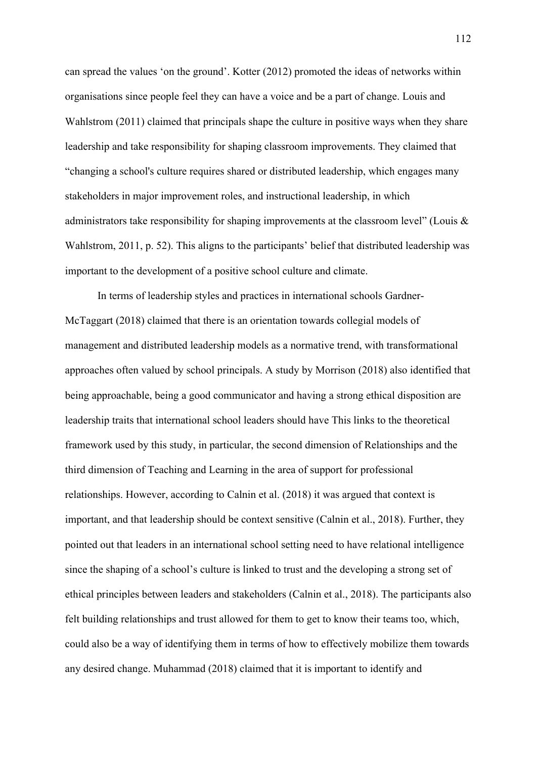can spread the values 'on the ground'. Kotter (2012) promoted the ideas of networks within organisations since people feel they can have a voice and be a part of change. Louis and Wahlstrom (2011) claimed that principals shape the culture in positive ways when they share leadership and take responsibility for shaping classroom improvements. They claimed that "changing a school's culture requires shared or distributed leadership, which engages many stakeholders in major improvement roles, and instructional leadership, in which administrators take responsibility for shaping improvements at the classroom level" (Louis & Wahlstrom, 2011, p. 52). This aligns to the participants' belief that distributed leadership was important to the development of a positive school culture and climate.

In terms of leadership styles and practices in international schools Gardner-McTaggart (2018) claimed that there is an orientation towards collegial models of management and distributed leadership models as a normative trend, with transformational approaches often valued by school principals. A study by Morrison (2018) also identified that being approachable, being a good communicator and having a strong ethical disposition are leadership traits that international school leaders should have This links to the theoretical framework used by this study, in particular, the second dimension of Relationships and the third dimension of Teaching and Learning in the area of support for professional relationships. However, according to Calnin et al. (2018) it was argued that context is important, and that leadership should be context sensitive (Calnin et al., 2018). Further, they pointed out that leaders in an international school setting need to have relational intelligence since the shaping of a school's culture is linked to trust and the developing a strong set of ethical principles between leaders and stakeholders (Calnin et al., 2018). The participants also felt building relationships and trust allowed for them to get to know their teams too, which, could also be a way of identifying them in terms of how to effectively mobilize them towards any desired change. Muhammad (2018) claimed that it is important to identify and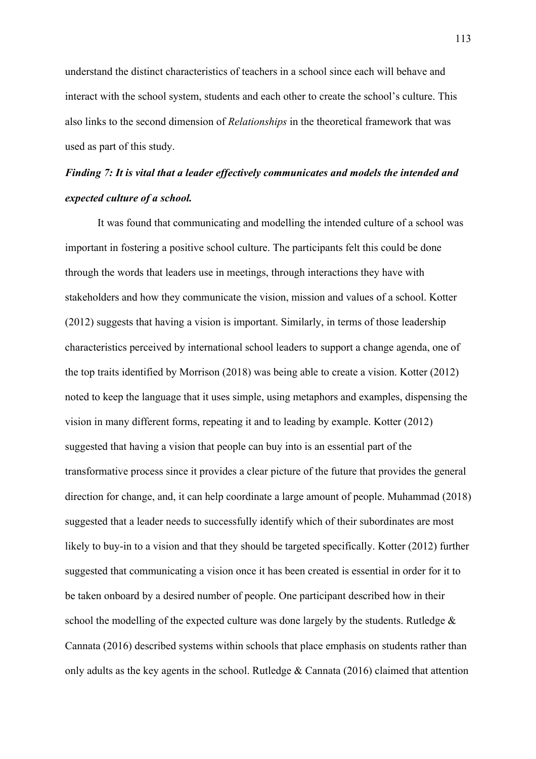understand the distinct characteristics of teachers in a school since each will behave and interact with the school system, students and each other to create the school's culture. This also links to the second dimension of *Relationships* in the theoretical framework that was used as part of this study.

## *Finding 7: It is vital that a leader effectively communicates and models the intended and expected culture of a school.*

It was found that communicating and modelling the intended culture of a school was important in fostering a positive school culture. The participants felt this could be done through the words that leaders use in meetings, through interactions they have with stakeholders and how they communicate the vision, mission and values of a school. Kotter (2012) suggests that having a vision is important. Similarly, in terms of those leadership characteristics perceived by international school leaders to support a change agenda, one of the top traits identified by Morrison (2018) was being able to create a vision. Kotter (2012) noted to keep the language that it uses simple, using metaphors and examples, dispensing the vision in many different forms, repeating it and to leading by example. Kotter (2012) suggested that having a vision that people can buy into is an essential part of the transformative process since it provides a clear picture of the future that provides the general direction for change, and, it can help coordinate a large amount of people. Muhammad (2018) suggested that a leader needs to successfully identify which of their subordinates are most likely to buy-in to a vision and that they should be targeted specifically. Kotter (2012) further suggested that communicating a vision once it has been created is essential in order for it to be taken onboard by a desired number of people. One participant described how in their school the modelling of the expected culture was done largely by the students. Rutledge & Cannata (2016) described systems within schools that place emphasis on students rather than only adults as the key agents in the school. Rutledge & Cannata (2016) claimed that attention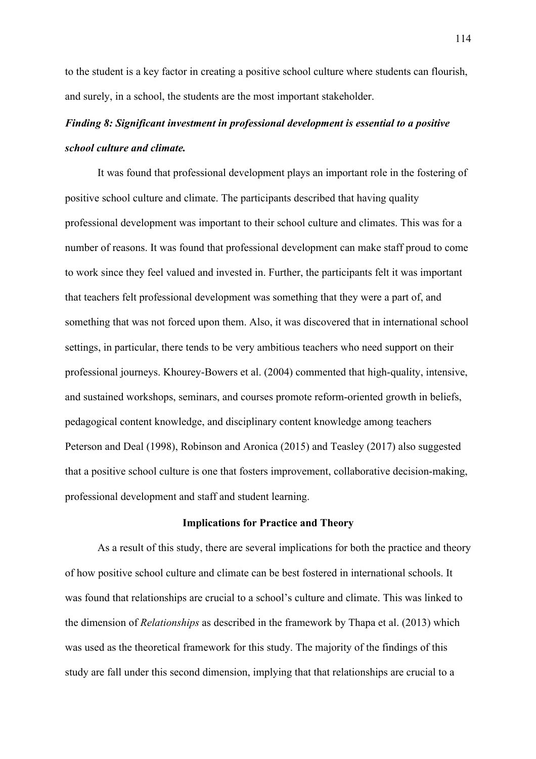to the student is a key factor in creating a positive school culture where students can flourish, and surely, in a school, the students are the most important stakeholder.

## *Finding 8: Significant investment in professional development is essential to a positive school culture and climate.*

It was found that professional development plays an important role in the fostering of positive school culture and climate. The participants described that having quality professional development was important to their school culture and climates. This was for a number of reasons. It was found that professional development can make staff proud to come to work since they feel valued and invested in. Further, the participants felt it was important that teachers felt professional development was something that they were a part of, and something that was not forced upon them. Also, it was discovered that in international school settings, in particular, there tends to be very ambitious teachers who need support on their professional journeys. Khourey-Bowers et al. (2004) commented that high-quality, intensive, and sustained workshops, seminars, and courses promote reform-oriented growth in beliefs, pedagogical content knowledge, and disciplinary content knowledge among teachers Peterson and Deal (1998), Robinson and Aronica (2015) and Teasley (2017) also suggested that a positive school culture is one that fosters improvement, collaborative decision-making, professional development and staff and student learning.

#### **Implications for Practice and Theory**

As a result of this study, there are several implications for both the practice and theory of how positive school culture and climate can be best fostered in international schools. It was found that relationships are crucial to a school's culture and climate. This was linked to the dimension of *Relationships* as described in the framework by Thapa et al. (2013) which was used as the theoretical framework for this study. The majority of the findings of this study are fall under this second dimension, implying that that relationships are crucial to a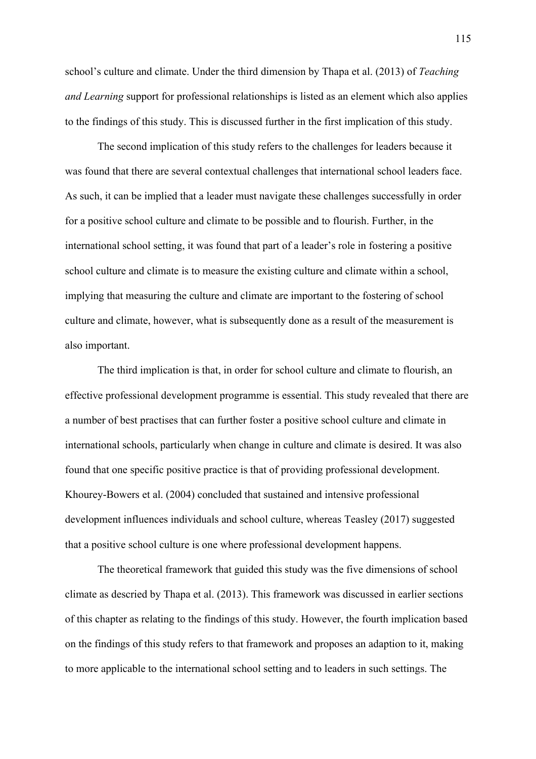school's culture and climate. Under the third dimension by Thapa et al. (2013) of *Teaching and Learning* support for professional relationships is listed as an element which also applies to the findings of this study. This is discussed further in the first implication of this study.

The second implication of this study refers to the challenges for leaders because it was found that there are several contextual challenges that international school leaders face. As such, it can be implied that a leader must navigate these challenges successfully in order for a positive school culture and climate to be possible and to flourish. Further, in the international school setting, it was found that part of a leader's role in fostering a positive school culture and climate is to measure the existing culture and climate within a school, implying that measuring the culture and climate are important to the fostering of school culture and climate, however, what is subsequently done as a result of the measurement is also important.

The third implication is that, in order for school culture and climate to flourish, an effective professional development programme is essential. This study revealed that there are a number of best practises that can further foster a positive school culture and climate in international schools, particularly when change in culture and climate is desired. It was also found that one specific positive practice is that of providing professional development. Khourey-Bowers et al. (2004) concluded that sustained and intensive professional development influences individuals and school culture, whereas Teasley (2017) suggested that a positive school culture is one where professional development happens.

The theoretical framework that guided this study was the five dimensions of school climate as descried by Thapa et al. (2013). This framework was discussed in earlier sections of this chapter as relating to the findings of this study. However, the fourth implication based on the findings of this study refers to that framework and proposes an adaption to it, making to more applicable to the international school setting and to leaders in such settings. The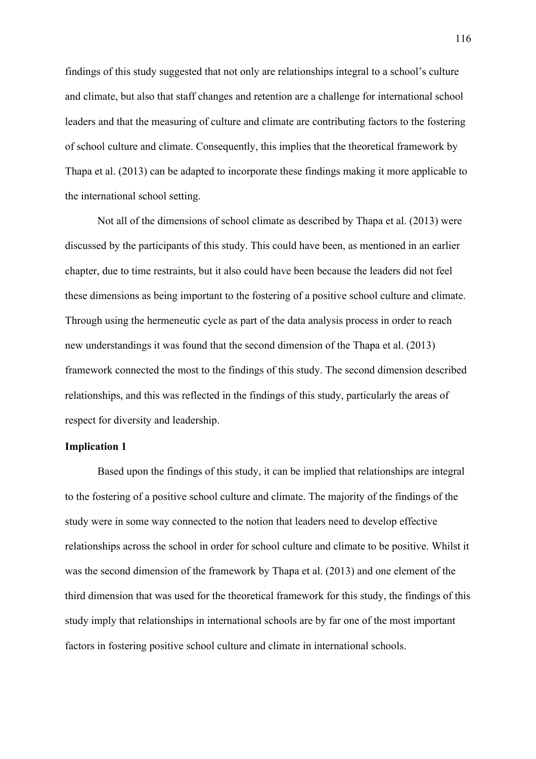findings of this study suggested that not only are relationships integral to a school's culture and climate, but also that staff changes and retention are a challenge for international school leaders and that the measuring of culture and climate are contributing factors to the fostering of school culture and climate. Consequently, this implies that the theoretical framework by Thapa et al. (2013) can be adapted to incorporate these findings making it more applicable to the international school setting.

Not all of the dimensions of school climate as described by Thapa et al. (2013) were discussed by the participants of this study. This could have been, as mentioned in an earlier chapter, due to time restraints, but it also could have been because the leaders did not feel these dimensions as being important to the fostering of a positive school culture and climate. Through using the hermeneutic cycle as part of the data analysis process in order to reach new understandings it was found that the second dimension of the Thapa et al. (2013) framework connected the most to the findings of this study. The second dimension described relationships, and this was reflected in the findings of this study, particularly the areas of respect for diversity and leadership.

### **Implication 1**

Based upon the findings of this study, it can be implied that relationships are integral to the fostering of a positive school culture and climate. The majority of the findings of the study were in some way connected to the notion that leaders need to develop effective relationships across the school in order for school culture and climate to be positive. Whilst it was the second dimension of the framework by Thapa et al. (2013) and one element of the third dimension that was used for the theoretical framework for this study, the findings of this study imply that relationships in international schools are by far one of the most important factors in fostering positive school culture and climate in international schools.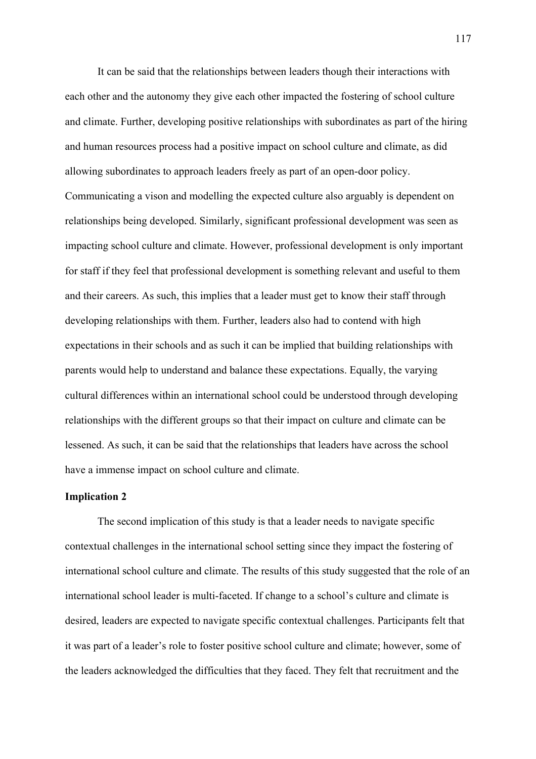It can be said that the relationships between leaders though their interactions with each other and the autonomy they give each other impacted the fostering of school culture and climate. Further, developing positive relationships with subordinates as part of the hiring and human resources process had a positive impact on school culture and climate, as did allowing subordinates to approach leaders freely as part of an open-door policy. Communicating a vison and modelling the expected culture also arguably is dependent on relationships being developed. Similarly, significant professional development was seen as impacting school culture and climate. However, professional development is only important for staff if they feel that professional development is something relevant and useful to them and their careers. As such, this implies that a leader must get to know their staff through developing relationships with them. Further, leaders also had to contend with high expectations in their schools and as such it can be implied that building relationships with parents would help to understand and balance these expectations. Equally, the varying cultural differences within an international school could be understood through developing relationships with the different groups so that their impact on culture and climate can be lessened. As such, it can be said that the relationships that leaders have across the school have a immense impact on school culture and climate.

#### **Implication 2**

The second implication of this study is that a leader needs to navigate specific contextual challenges in the international school setting since they impact the fostering of international school culture and climate. The results of this study suggested that the role of an international school leader is multi-faceted. If change to a school's culture and climate is desired, leaders are expected to navigate specific contextual challenges. Participants felt that it was part of a leader's role to foster positive school culture and climate; however, some of the leaders acknowledged the difficulties that they faced. They felt that recruitment and the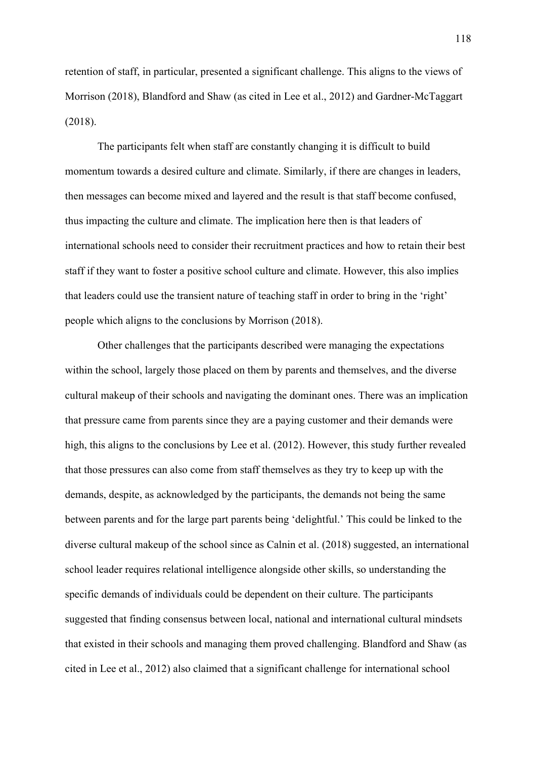retention of staff, in particular, presented a significant challenge. This aligns to the views of Morrison (2018), Blandford and Shaw (as cited in Lee et al., 2012) and Gardner-McTaggart (2018).

The participants felt when staff are constantly changing it is difficult to build momentum towards a desired culture and climate. Similarly, if there are changes in leaders, then messages can become mixed and layered and the result is that staff become confused, thus impacting the culture and climate. The implication here then is that leaders of international schools need to consider their recruitment practices and how to retain their best staff if they want to foster a positive school culture and climate. However, this also implies that leaders could use the transient nature of teaching staff in order to bring in the 'right' people which aligns to the conclusions by Morrison (2018).

Other challenges that the participants described were managing the expectations within the school, largely those placed on them by parents and themselves, and the diverse cultural makeup of their schools and navigating the dominant ones. There was an implication that pressure came from parents since they are a paying customer and their demands were high, this aligns to the conclusions by Lee et al. (2012). However, this study further revealed that those pressures can also come from staff themselves as they try to keep up with the demands, despite, as acknowledged by the participants, the demands not being the same between parents and for the large part parents being 'delightful.' This could be linked to the diverse cultural makeup of the school since as Calnin et al. (2018) suggested, an international school leader requires relational intelligence alongside other skills, so understanding the specific demands of individuals could be dependent on their culture. The participants suggested that finding consensus between local, national and international cultural mindsets that existed in their schools and managing them proved challenging. Blandford and Shaw (as cited in Lee et al., 2012) also claimed that a significant challenge for international school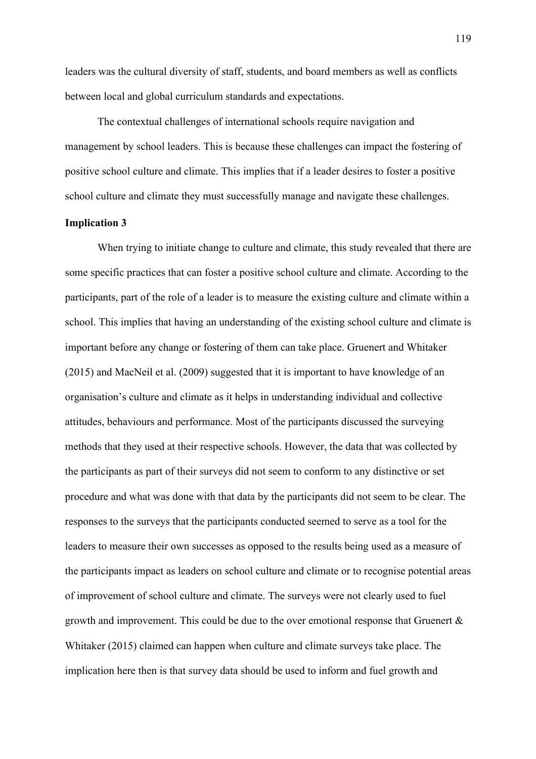leaders was the cultural diversity of staff, students, and board members as well as conflicts between local and global curriculum standards and expectations.

The contextual challenges of international schools require navigation and management by school leaders. This is because these challenges can impact the fostering of positive school culture and climate. This implies that if a leader desires to foster a positive school culture and climate they must successfully manage and navigate these challenges.

### **Implication 3**

When trying to initiate change to culture and climate, this study revealed that there are some specific practices that can foster a positive school culture and climate. According to the participants, part of the role of a leader is to measure the existing culture and climate within a school. This implies that having an understanding of the existing school culture and climate is important before any change or fostering of them can take place. Gruenert and Whitaker (2015) and MacNeil et al. (2009) suggested that it is important to have knowledge of an organisation's culture and climate as it helps in understanding individual and collective attitudes, behaviours and performance. Most of the participants discussed the surveying methods that they used at their respective schools. However, the data that was collected by the participants as part of their surveys did not seem to conform to any distinctive or set procedure and what was done with that data by the participants did not seem to be clear. The responses to the surveys that the participants conducted seemed to serve as a tool for the leaders to measure their own successes as opposed to the results being used as a measure of the participants impact as leaders on school culture and climate or to recognise potential areas of improvement of school culture and climate. The surveys were not clearly used to fuel growth and improvement. This could be due to the over emotional response that Gruenert & Whitaker (2015) claimed can happen when culture and climate surveys take place. The implication here then is that survey data should be used to inform and fuel growth and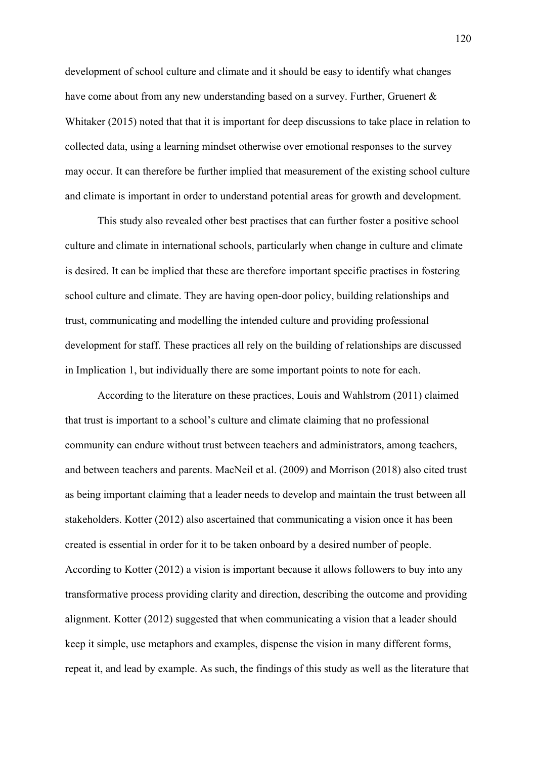development of school culture and climate and it should be easy to identify what changes have come about from any new understanding based on a survey. Further, Gruenert & Whitaker (2015) noted that that it is important for deep discussions to take place in relation to collected data, using a learning mindset otherwise over emotional responses to the survey may occur. It can therefore be further implied that measurement of the existing school culture and climate is important in order to understand potential areas for growth and development.

This study also revealed other best practises that can further foster a positive school culture and climate in international schools, particularly when change in culture and climate is desired. It can be implied that these are therefore important specific practises in fostering school culture and climate. They are having open-door policy, building relationships and trust, communicating and modelling the intended culture and providing professional development for staff. These practices all rely on the building of relationships are discussed in Implication 1, but individually there are some important points to note for each.

According to the literature on these practices, Louis and Wahlstrom (2011) claimed that trust is important to a school's culture and climate claiming that no professional community can endure without trust between teachers and administrators, among teachers, and between teachers and parents. MacNeil et al. (2009) and Morrison (2018) also cited trust as being important claiming that a leader needs to develop and maintain the trust between all stakeholders. Kotter (2012) also ascertained that communicating a vision once it has been created is essential in order for it to be taken onboard by a desired number of people. According to Kotter (2012) a vision is important because it allows followers to buy into any transformative process providing clarity and direction, describing the outcome and providing alignment. Kotter (2012) suggested that when communicating a vision that a leader should keep it simple, use metaphors and examples, dispense the vision in many different forms, repeat it, and lead by example. As such, the findings of this study as well as the literature that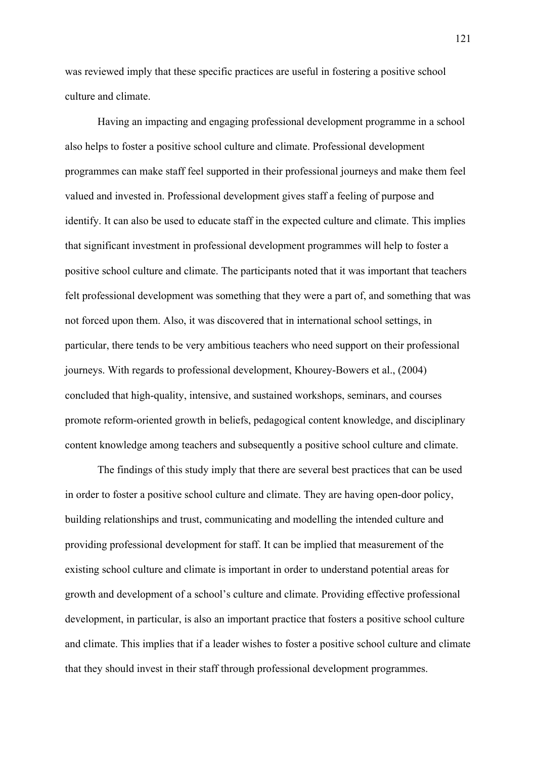was reviewed imply that these specific practices are useful in fostering a positive school culture and climate.

Having an impacting and engaging professional development programme in a school also helps to foster a positive school culture and climate. Professional development programmes can make staff feel supported in their professional journeys and make them feel valued and invested in. Professional development gives staff a feeling of purpose and identify. It can also be used to educate staff in the expected culture and climate. This implies that significant investment in professional development programmes will help to foster a positive school culture and climate. The participants noted that it was important that teachers felt professional development was something that they were a part of, and something that was not forced upon them. Also, it was discovered that in international school settings, in particular, there tends to be very ambitious teachers who need support on their professional journeys. With regards to professional development, Khourey-Bowers et al., (2004) concluded that high-quality, intensive, and sustained workshops, seminars, and courses promote reform-oriented growth in beliefs, pedagogical content knowledge, and disciplinary content knowledge among teachers and subsequently a positive school culture and climate.

The findings of this study imply that there are several best practices that can be used in order to foster a positive school culture and climate. They are having open-door policy, building relationships and trust, communicating and modelling the intended culture and providing professional development for staff. It can be implied that measurement of the existing school culture and climate is important in order to understand potential areas for growth and development of a school's culture and climate. Providing effective professional development, in particular, is also an important practice that fosters a positive school culture and climate. This implies that if a leader wishes to foster a positive school culture and climate that they should invest in their staff through professional development programmes.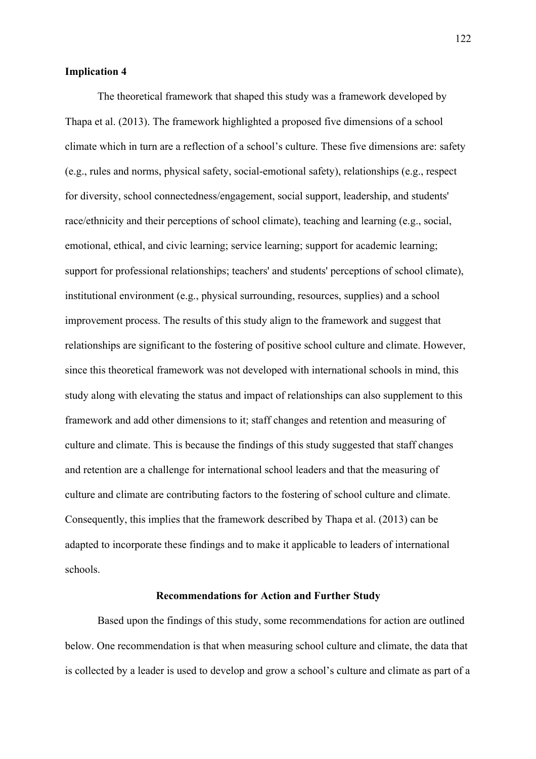### **Implication 4**

The theoretical framework that shaped this study was a framework developed by Thapa et al. (2013). The framework highlighted a proposed five dimensions of a school climate which in turn are a reflection of a school's culture. These five dimensions are: safety (e.g., rules and norms, physical safety, social-emotional safety), relationships (e.g., respect for diversity, school connectedness/engagement, social support, leadership, and students' race/ethnicity and their perceptions of school climate), teaching and learning (e.g., social, emotional, ethical, and civic learning; service learning; support for academic learning; support for professional relationships; teachers' and students' perceptions of school climate), institutional environment (e.g., physical surrounding, resources, supplies) and a school improvement process. The results of this study align to the framework and suggest that relationships are significant to the fostering of positive school culture and climate. However, since this theoretical framework was not developed with international schools in mind, this study along with elevating the status and impact of relationships can also supplement to this framework and add other dimensions to it; staff changes and retention and measuring of culture and climate. This is because the findings of this study suggested that staff changes and retention are a challenge for international school leaders and that the measuring of culture and climate are contributing factors to the fostering of school culture and climate. Consequently, this implies that the framework described by Thapa et al. (2013) can be adapted to incorporate these findings and to make it applicable to leaders of international schools.

#### **Recommendations for Action and Further Study**

Based upon the findings of this study, some recommendations for action are outlined below. One recommendation is that when measuring school culture and climate, the data that is collected by a leader is used to develop and grow a school's culture and climate as part of a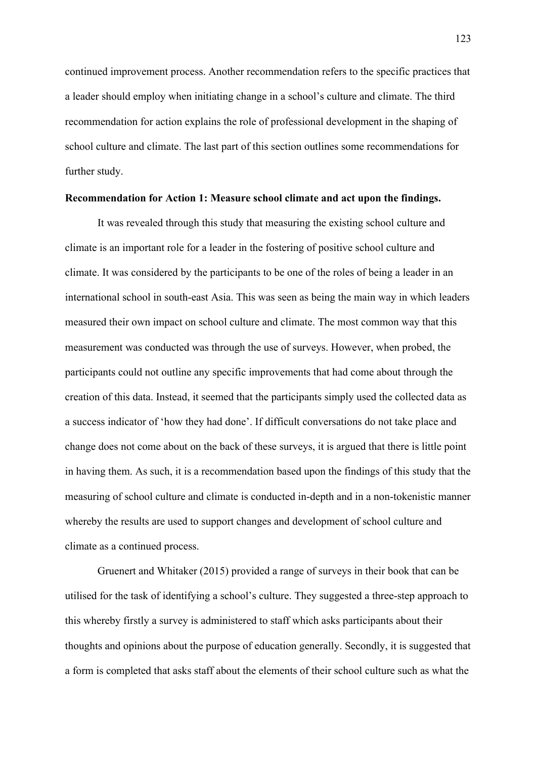continued improvement process. Another recommendation refers to the specific practices that a leader should employ when initiating change in a school's culture and climate. The third recommendation for action explains the role of professional development in the shaping of school culture and climate. The last part of this section outlines some recommendations for further study.

#### **Recommendation for Action 1: Measure school climate and act upon the findings.**

It was revealed through this study that measuring the existing school culture and climate is an important role for a leader in the fostering of positive school culture and climate. It was considered by the participants to be one of the roles of being a leader in an international school in south-east Asia. This was seen as being the main way in which leaders measured their own impact on school culture and climate. The most common way that this measurement was conducted was through the use of surveys. However, when probed, the participants could not outline any specific improvements that had come about through the creation of this data. Instead, it seemed that the participants simply used the collected data as a success indicator of 'how they had done'. If difficult conversations do not take place and change does not come about on the back of these surveys, it is argued that there is little point in having them. As such, it is a recommendation based upon the findings of this study that the measuring of school culture and climate is conducted in-depth and in a non-tokenistic manner whereby the results are used to support changes and development of school culture and climate as a continued process.

Gruenert and Whitaker (2015) provided a range of surveys in their book that can be utilised for the task of identifying a school's culture. They suggested a three-step approach to this whereby firstly a survey is administered to staff which asks participants about their thoughts and opinions about the purpose of education generally. Secondly, it is suggested that a form is completed that asks staff about the elements of their school culture such as what the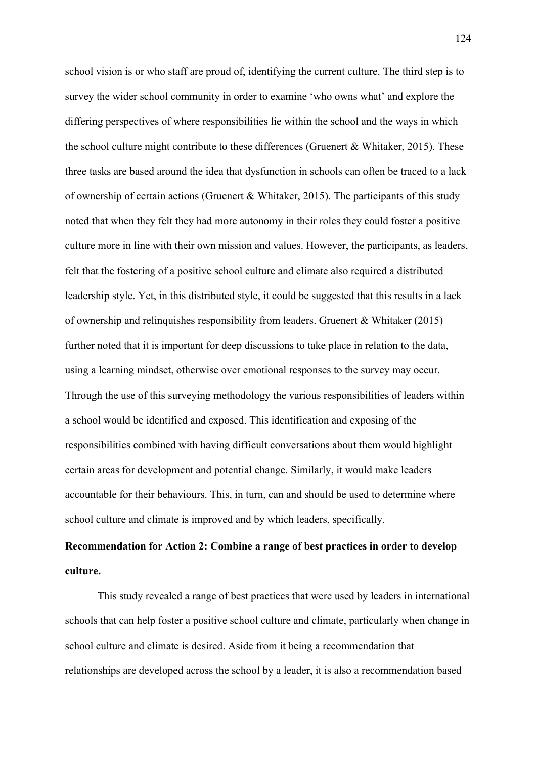school vision is or who staff are proud of, identifying the current culture. The third step is to survey the wider school community in order to examine 'who owns what' and explore the differing perspectives of where responsibilities lie within the school and the ways in which the school culture might contribute to these differences (Gruenert & Whitaker, 2015). These three tasks are based around the idea that dysfunction in schools can often be traced to a lack of ownership of certain actions (Gruenert & Whitaker, 2015). The participants of this study noted that when they felt they had more autonomy in their roles they could foster a positive culture more in line with their own mission and values. However, the participants, as leaders, felt that the fostering of a positive school culture and climate also required a distributed leadership style. Yet, in this distributed style, it could be suggested that this results in a lack of ownership and relinquishes responsibility from leaders. Gruenert & Whitaker (2015) further noted that it is important for deep discussions to take place in relation to the data, using a learning mindset, otherwise over emotional responses to the survey may occur. Through the use of this surveying methodology the various responsibilities of leaders within a school would be identified and exposed. This identification and exposing of the responsibilities combined with having difficult conversations about them would highlight certain areas for development and potential change. Similarly, it would make leaders accountable for their behaviours. This, in turn, can and should be used to determine where school culture and climate is improved and by which leaders, specifically.

# **Recommendation for Action 2: Combine a range of best practices in order to develop culture.**

This study revealed a range of best practices that were used by leaders in international schools that can help foster a positive school culture and climate, particularly when change in school culture and climate is desired. Aside from it being a recommendation that relationships are developed across the school by a leader, it is also a recommendation based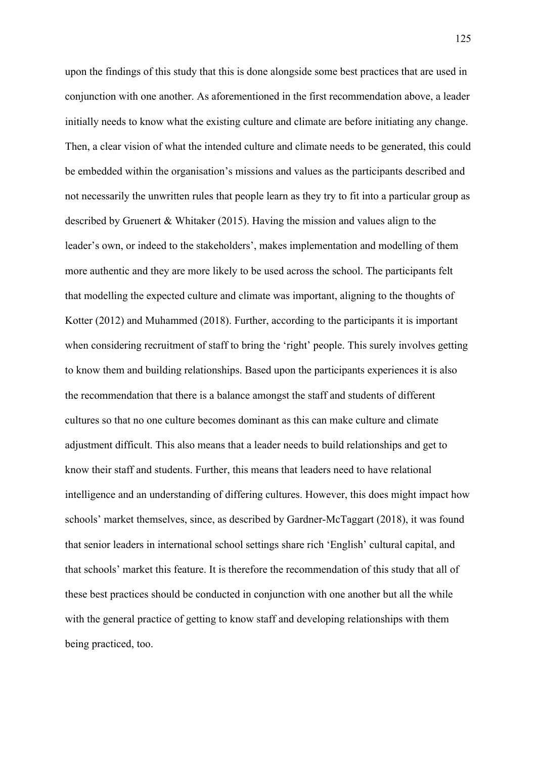upon the findings of this study that this is done alongside some best practices that are used in conjunction with one another. As aforementioned in the first recommendation above, a leader initially needs to know what the existing culture and climate are before initiating any change. Then, a clear vision of what the intended culture and climate needs to be generated, this could be embedded within the organisation's missions and values as the participants described and not necessarily the unwritten rules that people learn as they try to fit into a particular group as described by Gruenert & Whitaker (2015). Having the mission and values align to the leader's own, or indeed to the stakeholders', makes implementation and modelling of them more authentic and they are more likely to be used across the school. The participants felt that modelling the expected culture and climate was important, aligning to the thoughts of Kotter (2012) and Muhammed (2018). Further, according to the participants it is important when considering recruitment of staff to bring the 'right' people. This surely involves getting to know them and building relationships. Based upon the participants experiences it is also the recommendation that there is a balance amongst the staff and students of different cultures so that no one culture becomes dominant as this can make culture and climate adjustment difficult. This also means that a leader needs to build relationships and get to know their staff and students. Further, this means that leaders need to have relational intelligence and an understanding of differing cultures. However, this does might impact how schools' market themselves, since, as described by Gardner-McTaggart (2018), it was found that senior leaders in international school settings share rich 'English' cultural capital, and that schools' market this feature. It is therefore the recommendation of this study that all of these best practices should be conducted in conjunction with one another but all the while with the general practice of getting to know staff and developing relationships with them being practiced, too.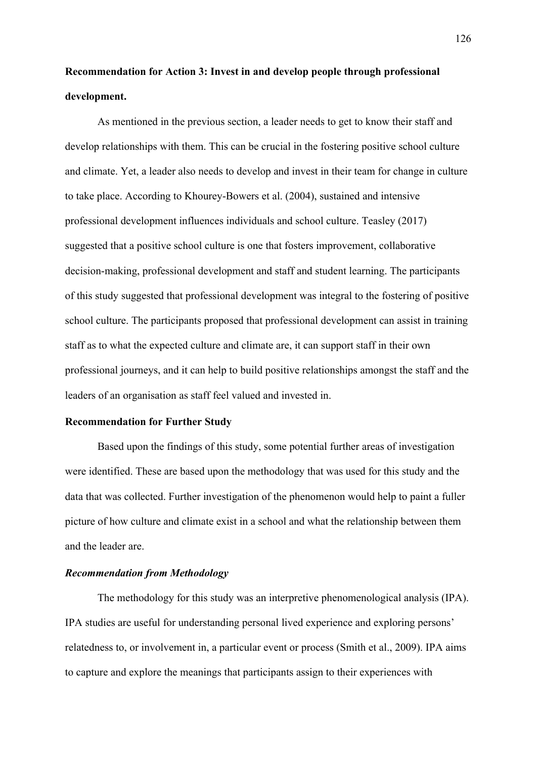**Recommendation for Action 3: Invest in and develop people through professional development.**

As mentioned in the previous section, a leader needs to get to know their staff and develop relationships with them. This can be crucial in the fostering positive school culture and climate. Yet, a leader also needs to develop and invest in their team for change in culture to take place. According to Khourey-Bowers et al. (2004), sustained and intensive professional development influences individuals and school culture. Teasley (2017) suggested that a positive school culture is one that fosters improvement, collaborative decision-making, professional development and staff and student learning. The participants of this study suggested that professional development was integral to the fostering of positive school culture. The participants proposed that professional development can assist in training staff as to what the expected culture and climate are, it can support staff in their own professional journeys, and it can help to build positive relationships amongst the staff and the leaders of an organisation as staff feel valued and invested in.

### **Recommendation for Further Study**

Based upon the findings of this study, some potential further areas of investigation were identified. These are based upon the methodology that was used for this study and the data that was collected. Further investigation of the phenomenon would help to paint a fuller picture of how culture and climate exist in a school and what the relationship between them and the leader are.

### *Recommendation from Methodology*

The methodology for this study was an interpretive phenomenological analysis (IPA). IPA studies are useful for understanding personal lived experience and exploring persons' relatedness to, or involvement in, a particular event or process (Smith et al., 2009). IPA aims to capture and explore the meanings that participants assign to their experiences with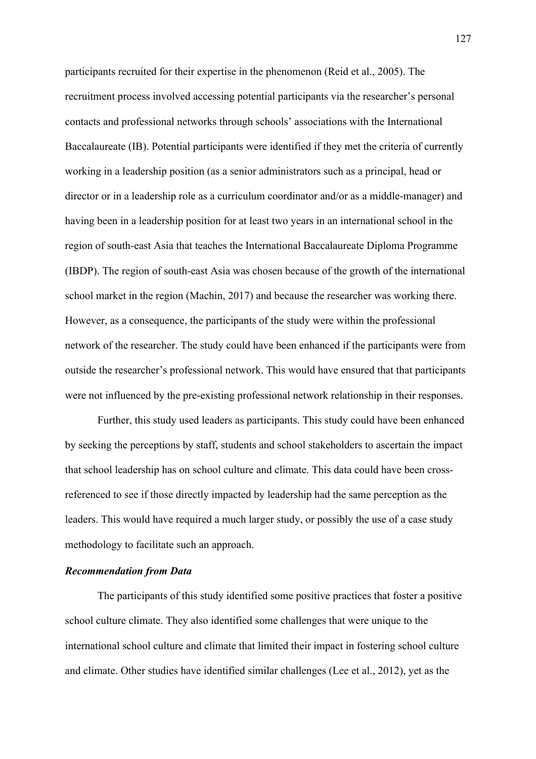participants recruited for their expertise in the phenomenon (Reid et al., 2005). The recruitment process involved accessing potential participants via the researcher's personal contacts and professional networks through schools' associations with the International Baccalaureate (IB). Potential participants were identified if they met the criteria of currently working in a leadership position (as a senior administrators such as a principal, head or director or in a leadership role as a curriculum coordinator and/or as a middle-manager) and having been in a leadership position for at least two years in an international school in the region of south-east Asia that teaches the International Baccalaureate Diploma Programme (IBDP). The region of south-east Asia was chosen because of the growth of the international school market in the region (Machin, 2017) and because the researcher was working there. However, as a consequence, the participants of the study were within the professional network of the researcher. The study could have been enhanced if the participants were from outside the researcher's professional network. This would have ensured that that participants were not influenced by the pre-existing professional network relationship in their responses.

Further, this study used leaders as participants. This study could have been enhanced by seeking the perceptions by staff, students and school stakeholders to ascertain the impact that school leadership has on school culture and climate. This data could have been crossreferenced to see if those directly impacted by leadership had the same perception as the leaders. This would have required a much larger study, or possibly the use of a case study methodology to facilitate such an approach.

### *Recommendation from Data*

The participants of this study identified some positive practices that foster a positive school culture climate. They also identified some challenges that were unique to the international school culture and climate that limited their impact in fostering school culture and climate. Other studies have identified similar challenges (Lee et al., 2012), yet as the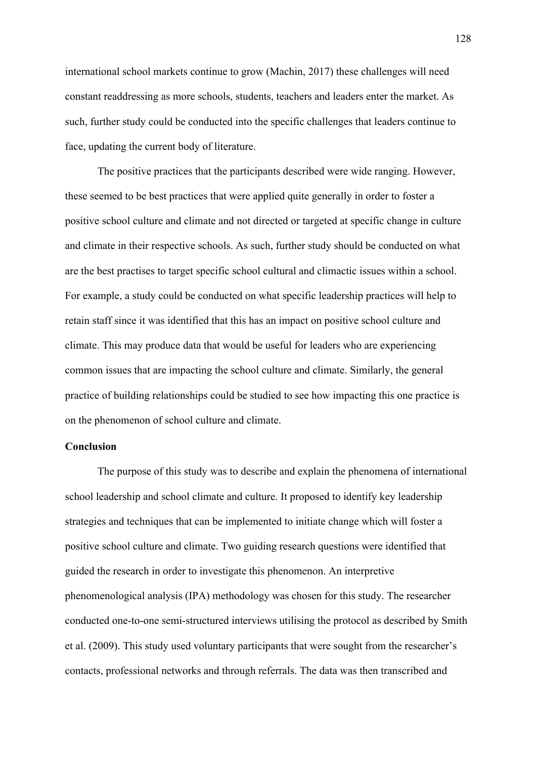international school markets continue to grow (Machin, 2017) these challenges will need constant readdressing as more schools, students, teachers and leaders enter the market. As such, further study could be conducted into the specific challenges that leaders continue to face, updating the current body of literature.

The positive practices that the participants described were wide ranging. However, these seemed to be best practices that were applied quite generally in order to foster a positive school culture and climate and not directed or targeted at specific change in culture and climate in their respective schools. As such, further study should be conducted on what are the best practises to target specific school cultural and climactic issues within a school. For example, a study could be conducted on what specific leadership practices will help to retain staff since it was identified that this has an impact on positive school culture and climate. This may produce data that would be useful for leaders who are experiencing common issues that are impacting the school culture and climate. Similarly, the general practice of building relationships could be studied to see how impacting this one practice is on the phenomenon of school culture and climate.

## **Conclusion**

The purpose of this study was to describe and explain the phenomena of international school leadership and school climate and culture. It proposed to identify key leadership strategies and techniques that can be implemented to initiate change which will foster a positive school culture and climate. Two guiding research questions were identified that guided the research in order to investigate this phenomenon. An interpretive phenomenological analysis (IPA) methodology was chosen for this study. The researcher conducted one-to-one semi-structured interviews utilising the protocol as described by Smith et al. (2009). This study used voluntary participants that were sought from the researcher's contacts, professional networks and through referrals. The data was then transcribed and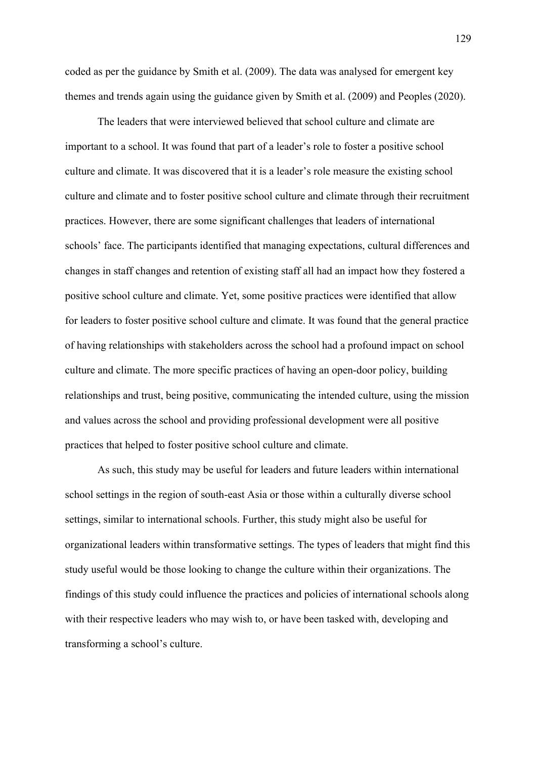coded as per the guidance by Smith et al. (2009). The data was analysed for emergent key themes and trends again using the guidance given by Smith et al. (2009) and Peoples (2020).

The leaders that were interviewed believed that school culture and climate are important to a school. It was found that part of a leader's role to foster a positive school culture and climate. It was discovered that it is a leader's role measure the existing school culture and climate and to foster positive school culture and climate through their recruitment practices. However, there are some significant challenges that leaders of international schools' face. The participants identified that managing expectations, cultural differences and changes in staff changes and retention of existing staff all had an impact how they fostered a positive school culture and climate. Yet, some positive practices were identified that allow for leaders to foster positive school culture and climate. It was found that the general practice of having relationships with stakeholders across the school had a profound impact on school culture and climate. The more specific practices of having an open-door policy, building relationships and trust, being positive, communicating the intended culture, using the mission and values across the school and providing professional development were all positive practices that helped to foster positive school culture and climate.

As such, this study may be useful for leaders and future leaders within international school settings in the region of south-east Asia or those within a culturally diverse school settings, similar to international schools. Further, this study might also be useful for organizational leaders within transformative settings. The types of leaders that might find this study useful would be those looking to change the culture within their organizations. The findings of this study could influence the practices and policies of international schools along with their respective leaders who may wish to, or have been tasked with, developing and transforming a school's culture.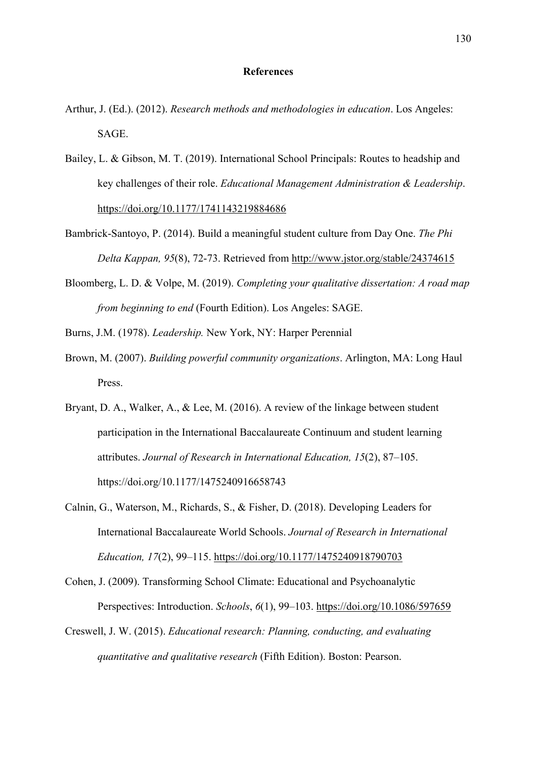### **References**

- Arthur, J. (Ed.). (2012). *Research methods and methodologies in education*. Los Angeles: SAGE.
- Bailey, L. & Gibson, M. T. (2019). International School Principals: Routes to headship and key challenges of their role. *Educational Management Administration & Leadership*. https://doi.org/10.1177/1741143219884686
- Bambrick-Santoyo, P. (2014). Build a meaningful student culture from Day One. *The Phi Delta Kappan, 95*(8), 72-73. Retrieved from http://www.jstor.org/stable/24374615
- Bloomberg, L. D. & Volpe, M. (2019). *Completing your qualitative dissertation: A road map from beginning to end* (Fourth Edition). Los Angeles: SAGE.
- Burns, J.M. (1978). *Leadership.* New York, NY: Harper Perennial
- Brown, M. (2007). *Building powerful community organizations*. Arlington, MA: Long Haul Press.
- Bryant, D. A., Walker, A., & Lee, M. (2016). A review of the linkage between student participation in the International Baccalaureate Continuum and student learning attributes. *Journal of Research in International Education, 15*(2), 87–105. https://doi.org/10.1177/1475240916658743
- Calnin, G., Waterson, M., Richards, S., & Fisher, D. (2018). Developing Leaders for International Baccalaureate World Schools. *Journal of Research in International Education, 17*(2), 99–115. https://doi.org/10.1177/1475240918790703

Cohen, J. (2009). Transforming School Climate: Educational and Psychoanalytic Perspectives: Introduction. *Schools*, *6*(1), 99–103. https://doi.org/10.1086/597659

Creswell, J. W. (2015). *Educational research: Planning, conducting, and evaluating quantitative and qualitative research* (Fifth Edition). Boston: Pearson.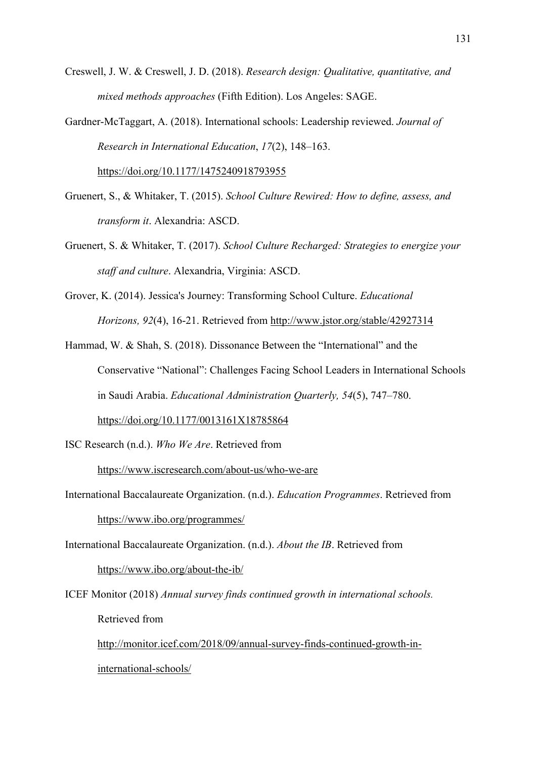Creswell, J. W. & Creswell, J. D. (2018). *Research design: Qualitative, quantitative, and mixed methods approaches* (Fifth Edition). Los Angeles: SAGE.

Gardner-McTaggart, A. (2018). International schools: Leadership reviewed. *Journal of Research in International Education*, *17*(2), 148–163.

https://doi.org/10.1177/1475240918793955

- Gruenert, S., & Whitaker, T. (2015). *School Culture Rewired: How to define, assess, and transform it*. Alexandria: ASCD.
- Gruenert, S. & Whitaker, T. (2017). *School Culture Recharged: Strategies to energize your staff and culture*. Alexandria, Virginia: ASCD.
- Grover, K. (2014). Jessica's Journey: Transforming School Culture. *Educational Horizons, 92*(4), 16-21. Retrieved from http://www.jstor.org/stable/42927314
- Hammad, W. & Shah, S. (2018). Dissonance Between the "International" and the Conservative "National": Challenges Facing School Leaders in International Schools in Saudi Arabia. *Educational Administration Quarterly, 54*(5), 747–780. https://doi.org/10.1177/0013161X18785864

ISC Research (n.d.). *Who We Are*. Retrieved from

https://www.iscresearch.com/about-us/who-we-are

- International Baccalaureate Organization. (n.d.). *Education Programmes*. Retrieved from https://www.ibo.org/programmes/
- International Baccalaureate Organization. (n.d.). *About the IB*. Retrieved from https://www.ibo.org/about-the-ib/

ICEF Monitor (2018) *Annual survey finds continued growth in international schools.* Retrieved from http://monitor.icef.com/2018/09/annual-survey-finds-continued-growth-ininternational-schools/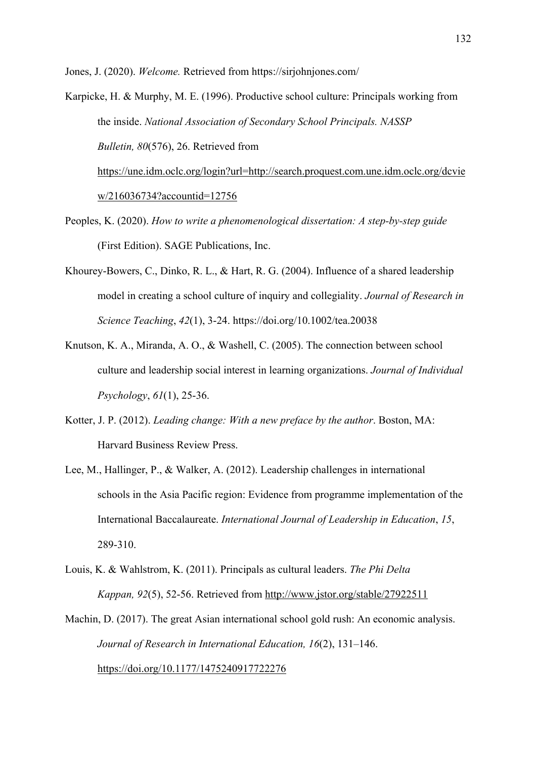Jones, J. (2020). *Welcome.* Retrieved from https://sirjohnjones.com/

Karpicke, H. & Murphy, M. E. (1996). Productive school culture: Principals working from the inside. *National Association of Secondary School Principals. NASSP Bulletin, 80*(576), 26. Retrieved from https://une.idm.oclc.org/login?url=http://search.proquest.com.une.idm.oclc.org/dcvie w/216036734?accountid=12756

- Peoples, K. (2020). *How to write a phenomenological dissertation: A step-by-step guide* (First Edition). SAGE Publications, Inc.
- Khourey-Bowers, C., Dinko, R. L., & Hart, R. G. (2004). Influence of a shared leadership model in creating a school culture of inquiry and collegiality. *Journal of Research in Science Teaching*, *42*(1), 3-24. https://doi.org/10.1002/tea.20038
- Knutson, K. A., Miranda, A. O., & Washell, C. (2005). The connection between school culture and leadership social interest in learning organizations. *Journal of Individual Psychology*, *61*(1), 25-36.
- Kotter, J. P. (2012). *Leading change: With a new preface by the author*. Boston, MA: Harvard Business Review Press.
- Lee, M., Hallinger, P., & Walker, A. (2012). Leadership challenges in international schools in the Asia Pacific region: Evidence from programme implementation of the International Baccalaureate. *International Journal of Leadership in Education*, *15*, 289-310.
- Louis, K. & Wahlstrom, K. (2011). Principals as cultural leaders. *The Phi Delta Kappan, 92*(5), 52-56. Retrieved from http://www.jstor.org/stable/27922511
- Machin, D. (2017). The great Asian international school gold rush: An economic analysis. *Journal of Research in International Education, 16*(2), 131–146. https://doi.org/10.1177/1475240917722276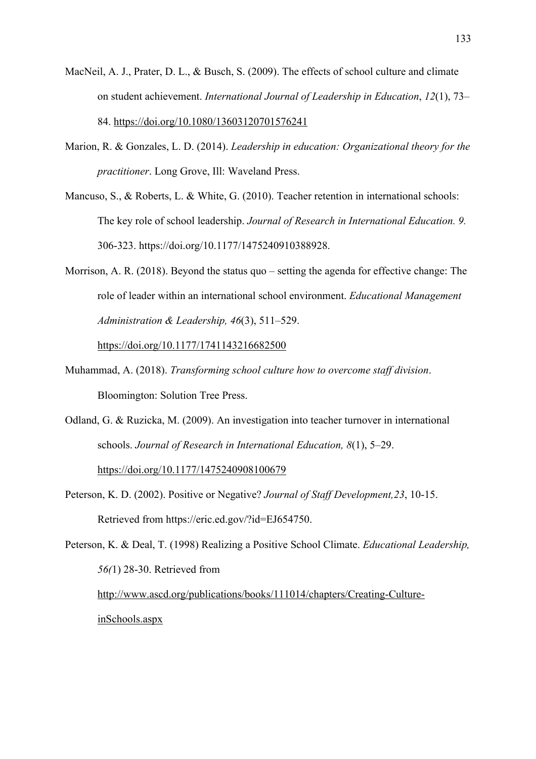- MacNeil, A. J., Prater, D. L., & Busch, S. (2009). The effects of school culture and climate on student achievement. *International Journal of Leadership in Education*, *12*(1), 73– 84. https://doi.org/10.1080/13603120701576241
- Marion, R. & Gonzales, L. D. (2014). *Leadership in education: Organizational theory for the practitioner*. Long Grove, Ill: Waveland Press.
- Mancuso, S., & Roberts, L. & White, G. (2010). Teacher retention in international schools: The key role of school leadership. *Journal of Research in International Education. 9.* 306-323. https://doi.org/10.1177/1475240910388928.
- Morrison, A. R. (2018). Beyond the status quo setting the agenda for effective change: The role of leader within an international school environment. *Educational Management Administration & Leadership, 46*(3), 511–529.

https://doi.org/10.1177/1741143216682500

- Muhammad, A. (2018). *Transforming school culture how to overcome staff division*. Bloomington: Solution Tree Press.
- Odland, G. & Ruzicka, M. (2009). An investigation into teacher turnover in international schools. *Journal of Research in International Education, 8*(1), 5–29. https://doi.org/10.1177/1475240908100679
- Peterson, K. D. (2002). Positive or Negative? *Journal of Staff Development,23*, 10-15. Retrieved from https://eric.ed.gov/?id=EJ654750.
- Peterson, K. & Deal, T. (1998) Realizing a Positive School Climate. *Educational Leadership, 56(*1) 28-30. Retrieved from http://www.ascd.org/publications/books/111014/chapters/Creating-CultureinSchools.aspx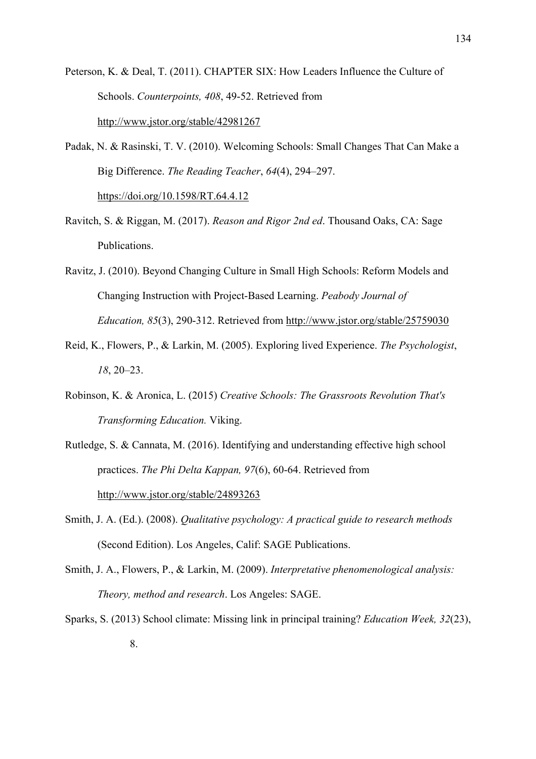Peterson, K. & Deal, T. (2011). CHAPTER SIX: How Leaders Influence the Culture of Schools. *Counterpoints, 408*, 49-52. Retrieved from http://www.jstor.org/stable/42981267

Padak, N. & Rasinski, T. V. (2010). Welcoming Schools: Small Changes That Can Make a Big Difference. *The Reading Teacher*, *64*(4), 294–297. https://doi.org/10.1598/RT.64.4.12

- Ravitch, S. & Riggan, M. (2017). *Reason and Rigor 2nd ed*. Thousand Oaks, CA: Sage Publications.
- Ravitz, J. (2010). Beyond Changing Culture in Small High Schools: Reform Models and Changing Instruction with Project-Based Learning. *Peabody Journal of Education, 85*(3), 290-312. Retrieved from http://www.jstor.org/stable/25759030
- Reid, K., Flowers, P., & Larkin, M. (2005). Exploring lived Experience. *The Psychologist*, *18*, 20–23.
- Robinson, K. & Aronica, L. (2015) *Creative Schools: The Grassroots Revolution That's Transforming Education.* Viking.
- Rutledge, S. & Cannata, M. (2016). Identifying and understanding effective high school practices. *The Phi Delta Kappan, 97*(6), 60-64. Retrieved from http://www.jstor.org/stable/24893263
- Smith, J. A. (Ed.). (2008). *Qualitative psychology: A practical guide to research methods* (Second Edition). Los Angeles, Calif: SAGE Publications.
- Smith, J. A., Flowers, P., & Larkin, M. (2009). *Interpretative phenomenological analysis: Theory, method and research*. Los Angeles: SAGE.
- Sparks, S. (2013) School climate: Missing link in principal training? *Education Week, 32*(23),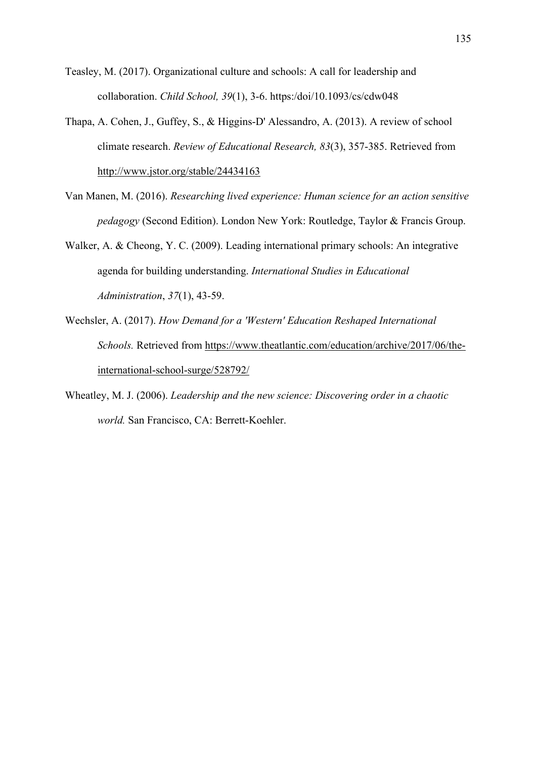- Teasley, M. (2017). Organizational culture and schools: A call for leadership and collaboration. *Child School, 39*(1), 3-6. https:/doi/10.1093/cs/cdw048
- Thapa, A. Cohen, J., Guffey, S., & Higgins-D' Alessandro, A. (2013). A review of school climate research. *Review of Educational Research, 83*(3), 357-385. Retrieved from http://www.jstor.org/stable/24434163
- Van Manen, M. (2016). *Researching lived experience: Human science for an action sensitive pedagogy* (Second Edition). London New York: Routledge, Taylor & Francis Group.
- Walker, A. & Cheong, Y. C. (2009). Leading international primary schools: An integrative agenda for building understanding. *International Studies in Educational Administration*, *37*(1), 43-59.
- Wechsler, A. (2017). *How Demand for a 'Western' Education Reshaped International Schools.* Retrieved from https://www.theatlantic.com/education/archive/2017/06/theinternational-school-surge/528792/
- Wheatley, M. J. (2006). *Leadership and the new science: Discovering order in a chaotic world.* San Francisco, CA: Berrett-Koehler.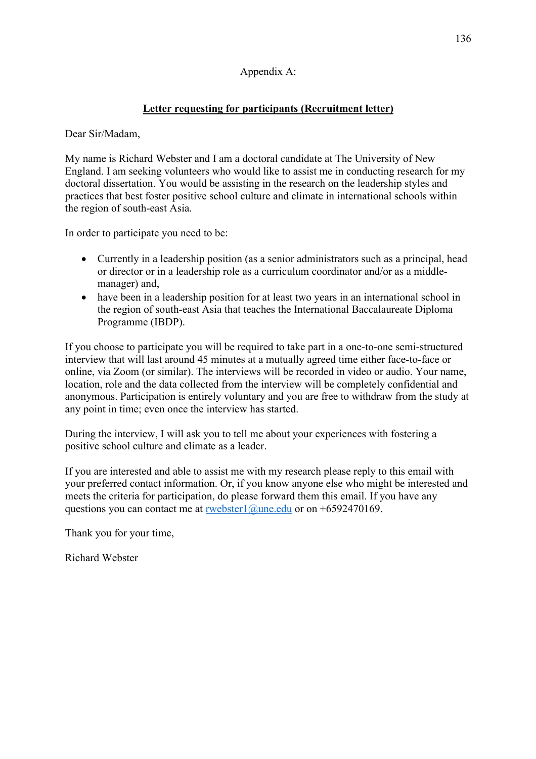### Appendix A:

## **Letter requesting for participants (Recruitment letter)**

#### Dear Sir/Madam,

My name is Richard Webster and I am a doctoral candidate at The University of New England. I am seeking volunteers who would like to assist me in conducting research for my doctoral dissertation. You would be assisting in the research on the leadership styles and practices that best foster positive school culture and climate in international schools within the region of south-east Asia.

In order to participate you need to be:

- Currently in a leadership position (as a senior administrators such as a principal, head or director or in a leadership role as a curriculum coordinator and/or as a middlemanager) and,
- have been in a leadership position for at least two years in an international school in the region of south-east Asia that teaches the International Baccalaureate Diploma Programme (IBDP).

If you choose to participate you will be required to take part in a one-to-one semi-structured interview that will last around 45 minutes at a mutually agreed time either face-to-face or online, via Zoom (or similar). The interviews will be recorded in video or audio. Your name, location, role and the data collected from the interview will be completely confidential and anonymous. Participation is entirely voluntary and you are free to withdraw from the study at any point in time; even once the interview has started.

During the interview, I will ask you to tell me about your experiences with fostering a positive school culture and climate as a leader.

If you are interested and able to assist me with my research please reply to this email with your preferred contact information. Or, if you know anyone else who might be interested and meets the criteria for participation, do please forward them this email. If you have any questions you can contact me at rwebster1@une.edu or on +6592470169.

Thank you for your time,

Richard Webster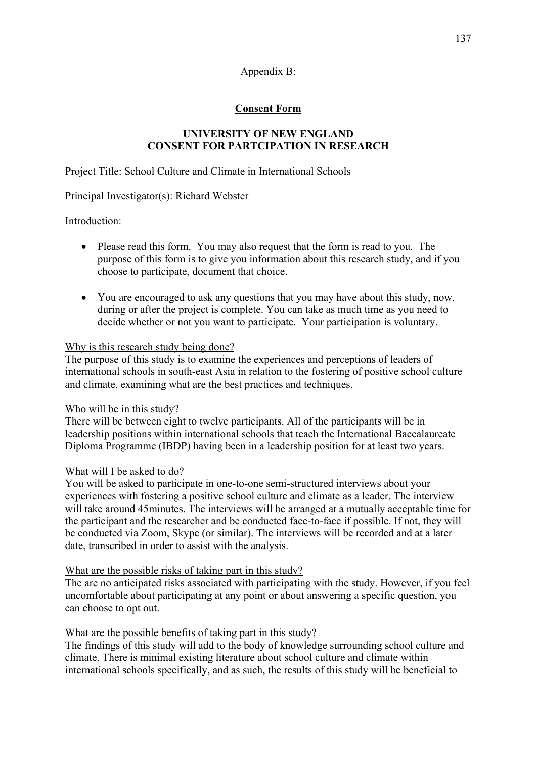# **Consent Form**

### **UNIVERSITY OF NEW ENGLAND CONSENT FOR PARTCIPATION IN RESEARCH**

Project Title: School Culture and Climate in International Schools

Principal Investigator(s): Richard Webster

### Introduction:

- Please read this form. You may also request that the form is read to you. The purpose of this form is to give you information about this research study, and if you choose to participate, document that choice.
- You are encouraged to ask any questions that you may have about this study, now, during or after the project is complete. You can take as much time as you need to decide whether or not you want to participate. Your participation is voluntary.

### Why is this research study being done?

The purpose of this study is to examine the experiences and perceptions of leaders of international schools in south-east Asia in relation to the fostering of positive school culture and climate, examining what are the best practices and techniques.

### Who will be in this study?

There will be between eight to twelve participants. All of the participants will be in leadership positions within international schools that teach the International Baccalaureate Diploma Programme (IBDP) having been in a leadership position for at least two years.

## What will I be asked to do?

You will be asked to participate in one-to-one semi-structured interviews about your experiences with fostering a positive school culture and climate as a leader. The interview will take around 45minutes. The interviews will be arranged at a mutually acceptable time for the participant and the researcher and be conducted face-to-face if possible. If not, they will be conducted via Zoom, Skype (or similar). The interviews will be recorded and at a later date, transcribed in order to assist with the analysis.

### What are the possible risks of taking part in this study?

The are no anticipated risks associated with participating with the study. However, if you feel uncomfortable about participating at any point or about answering a specific question, you can choose to opt out.

## What are the possible benefits of taking part in this study?

The findings of this study will add to the body of knowledge surrounding school culture and climate. There is minimal existing literature about school culture and climate within international schools specifically, and as such, the results of this study will be beneficial to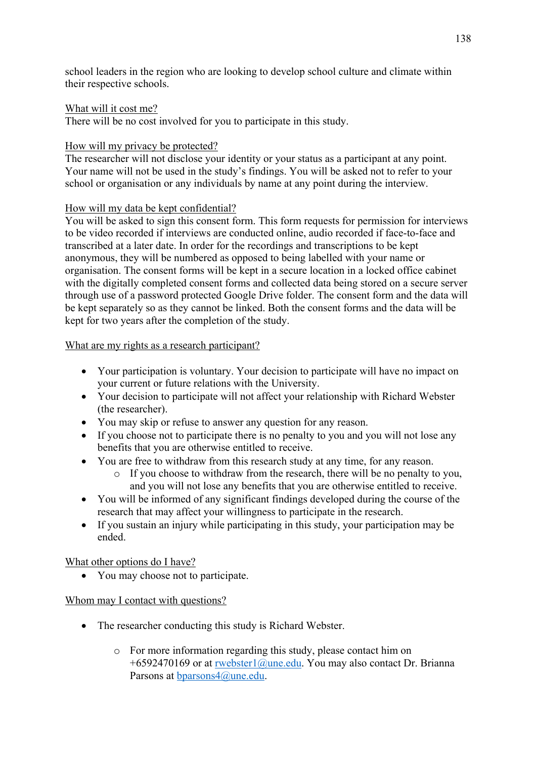school leaders in the region who are looking to develop school culture and climate within their respective schools.

#### What will it cost me?

There will be no cost involved for you to participate in this study.

#### How will my privacy be protected?

The researcher will not disclose your identity or your status as a participant at any point. Your name will not be used in the study's findings. You will be asked not to refer to your school or organisation or any individuals by name at any point during the interview.

### How will my data be kept confidential?

You will be asked to sign this consent form. This form requests for permission for interviews to be video recorded if interviews are conducted online, audio recorded if face-to-face and transcribed at a later date. In order for the recordings and transcriptions to be kept anonymous, they will be numbered as opposed to being labelled with your name or organisation. The consent forms will be kept in a secure location in a locked office cabinet with the digitally completed consent forms and collected data being stored on a secure server through use of a password protected Google Drive folder. The consent form and the data will be kept separately so as they cannot be linked. Both the consent forms and the data will be kept for two years after the completion of the study.

#### What are my rights as a research participant?

- Your participation is voluntary. Your decision to participate will have no impact on your current or future relations with the University.
- Your decision to participate will not affect your relationship with Richard Webster (the researcher).
- You may skip or refuse to answer any question for any reason.
- If you choose not to participate there is no penalty to you and you will not lose any benefits that you are otherwise entitled to receive.
- You are free to withdraw from this research study at any time, for any reason.
	- o If you choose to withdraw from the research, there will be no penalty to you, and you will not lose any benefits that you are otherwise entitled to receive.
- You will be informed of any significant findings developed during the course of the research that may affect your willingness to participate in the research.
- If you sustain an injury while participating in this study, your participation may be ended.

What other options do I have?

• You may choose not to participate.

### Whom may I contact with questions?

- The researcher conducting this study is Richard Webster.
	- o For more information regarding this study, please contact him on +6592470169 or at rwebster1@une.edu. You may also contact Dr. Brianna Parsons at bparsons4@une.edu.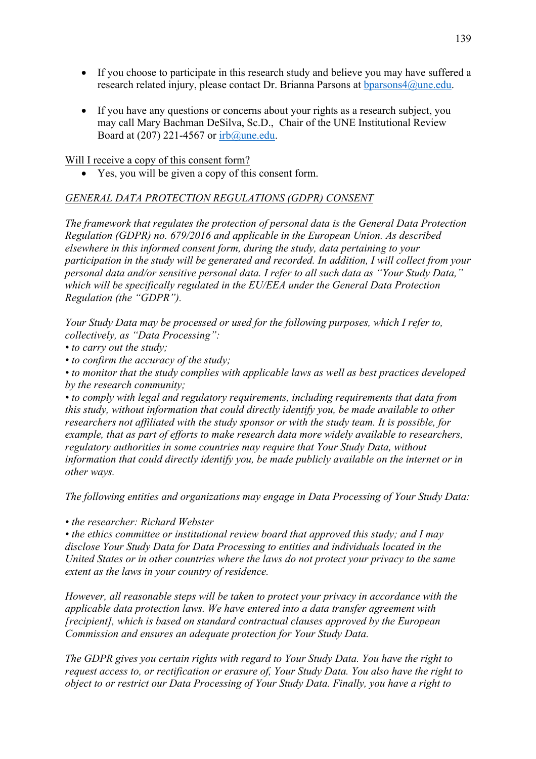- If you choose to participate in this research study and believe you may have suffered a research related injury, please contact Dr. Brianna Parsons at bparsons4@une.edu.
- If you have any questions or concerns about your rights as a research subject, you may call Mary Bachman DeSilva, Sc.D., Chair of the UNE Institutional Review Board at (207) 221-4567 or irb@une.edu.

Will I receive a copy of this consent form?

• Yes, you will be given a copy of this consent form.

### *GENERAL DATA PROTECTION REGULATIONS (GDPR) CONSENT*

*The framework that regulates the protection of personal data is the General Data Protection Regulation (GDPR) no. 679/2016 and applicable in the European Union. As described elsewhere in this informed consent form, during the study, data pertaining to your participation in the study will be generated and recorded. In addition, I will collect from your personal data and/or sensitive personal data. I refer to all such data as "Your Study Data," which will be specifically regulated in the EU/EEA under the General Data Protection Regulation (the "GDPR").* 

*Your Study Data may be processed or used for the following purposes, which I refer to, collectively, as "Data Processing":*

*• to carry out the study;* 

*• to confirm the accuracy of the study;* 

*• to monitor that the study complies with applicable laws as well as best practices developed by the research community;* 

*• to comply with legal and regulatory requirements, including requirements that data from this study, without information that could directly identify you, be made available to other researchers not affiliated with the study sponsor or with the study team. It is possible, for example, that as part of efforts to make research data more widely available to researchers, regulatory authorities in some countries may require that Your Study Data, without information that could directly identify you, be made publicly available on the internet or in other ways.* 

*The following entities and organizations may engage in Data Processing of Your Study Data:* 

*• the researcher: Richard Webster* 

*• the ethics committee or institutional review board that approved this study; and I may disclose Your Study Data for Data Processing to entities and individuals located in the United States or in other countries where the laws do not protect your privacy to the same extent as the laws in your country of residence.* 

*However, all reasonable steps will be taken to protect your privacy in accordance with the applicable data protection laws. We have entered into a data transfer agreement with [recipient], which is based on standard contractual clauses approved by the European Commission and ensures an adequate protection for Your Study Data.* 

*The GDPR gives you certain rights with regard to Your Study Data. You have the right to request access to, or rectification or erasure of, Your Study Data. You also have the right to object to or restrict our Data Processing of Your Study Data. Finally, you have a right to*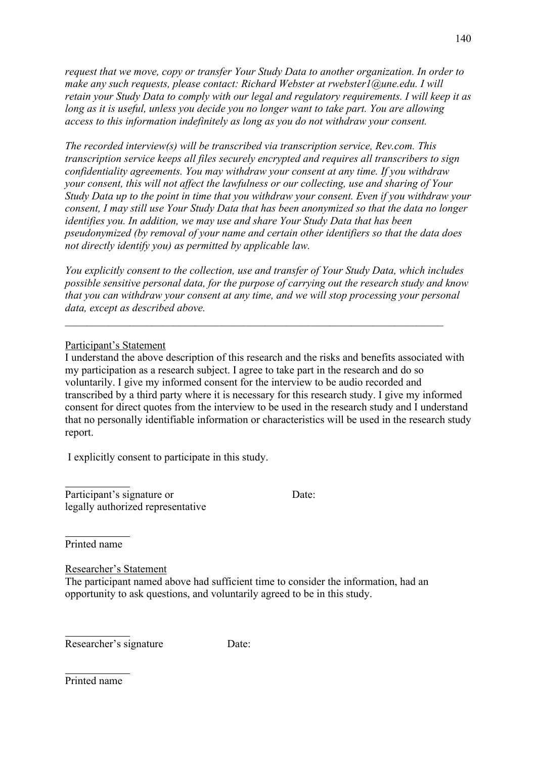*request that we move, copy or transfer Your Study Data to another organization. In order to make any such requests, please contact: Richard Webster at rwebster1@une.edu. I will retain your Study Data to comply with our legal and regulatory requirements. I will keep it as long as it is useful, unless you decide you no longer want to take part. You are allowing access to this information indefinitely as long as you do not withdraw your consent.* 

*The recorded interview(s) will be transcribed via transcription service, Rev.com. This transcription service keeps all files securely encrypted and requires all transcribers to sign confidentiality agreements. You may withdraw your consent at any time. If you withdraw your consent, this will not affect the lawfulness or our collecting, use and sharing of Your Study Data up to the point in time that you withdraw your consent. Even if you withdraw your consent, I may still use Your Study Data that has been anonymized so that the data no longer identifies you. In addition, we may use and share Your Study Data that has been pseudonymized (by removal of your name and certain other identifiers so that the data does not directly identify you) as permitted by applicable law.* 

*You explicitly consent to the collection, use and transfer of Your Study Data, which includes possible sensitive personal data, for the purpose of carrying out the research study and know that you can withdraw your consent at any time, and we will stop processing your personal data, except as described above.*

#### Participant's Statement

I understand the above description of this research and the risks and benefits associated with my participation as a research subject. I agree to take part in the research and do so voluntarily. I give my informed consent for the interview to be audio recorded and transcribed by a third party where it is necessary for this research study. I give my informed consent for direct quotes from the interview to be used in the research study and I understand that no personally identifiable information or characteristics will be used in the research study report.

I explicitly consent to participate in this study.

Participant's signature or Date: legally authorized representative

Printed name

Researcher's Statement

The participant named above had sufficient time to consider the information, had an opportunity to ask questions, and voluntarily agreed to be in this study.

Researcher's signature Date:

Printed name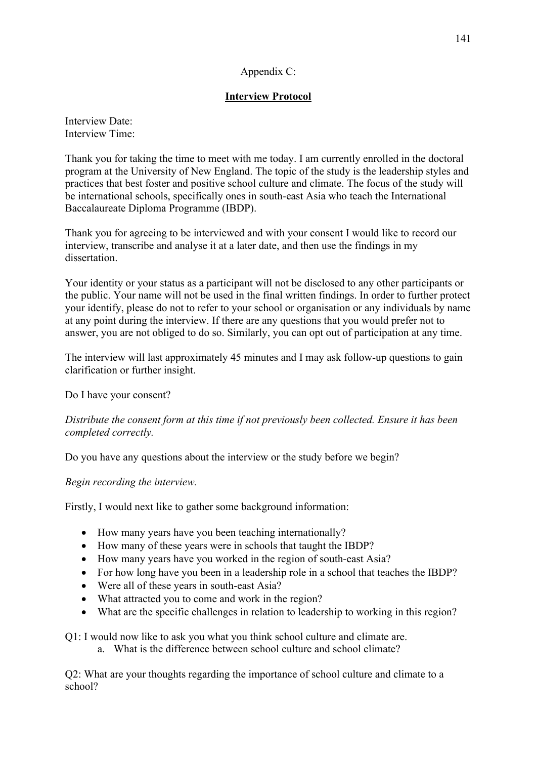### Appendix C:

### **Interview Protocol**

Interview Date: Interview Time:

Thank you for taking the time to meet with me today. I am currently enrolled in the doctoral program at the University of New England. The topic of the study is the leadership styles and practices that best foster and positive school culture and climate. The focus of the study will be international schools, specifically ones in south-east Asia who teach the International Baccalaureate Diploma Programme (IBDP).

Thank you for agreeing to be interviewed and with your consent I would like to record our interview, transcribe and analyse it at a later date, and then use the findings in my dissertation.

Your identity or your status as a participant will not be disclosed to any other participants or the public. Your name will not be used in the final written findings. In order to further protect your identify, please do not to refer to your school or organisation or any individuals by name at any point during the interview. If there are any questions that you would prefer not to answer, you are not obliged to do so. Similarly, you can opt out of participation at any time.

The interview will last approximately 45 minutes and I may ask follow-up questions to gain clarification or further insight.

Do I have your consent?

### *Distribute the consent form at this time if not previously been collected. Ensure it has been completed correctly.*

Do you have any questions about the interview or the study before we begin?

### *Begin recording the interview.*

Firstly, I would next like to gather some background information:

- How many years have you been teaching internationally?
- How many of these years were in schools that taught the IBDP?
- How many years have you worked in the region of south-east Asia?
- For how long have you been in a leadership role in a school that teaches the IBDP?
- Were all of these years in south-east Asia?
- What attracted you to come and work in the region?
- What are the specific challenges in relation to leadership to working in this region?

Q1: I would now like to ask you what you think school culture and climate are.

a. What is the difference between school culture and school climate?

Q2: What are your thoughts regarding the importance of school culture and climate to a school?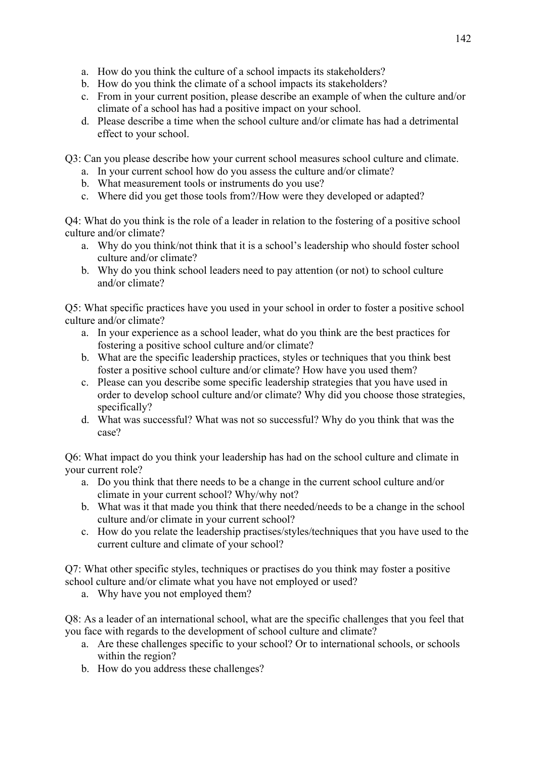- a. How do you think the culture of a school impacts its stakeholders?
- b. How do you think the climate of a school impacts its stakeholders?
- c. From in your current position, please describe an example of when the culture and/or climate of a school has had a positive impact on your school.
- d. Please describe a time when the school culture and/or climate has had a detrimental effect to your school.

Q3: Can you please describe how your current school measures school culture and climate.

- a. In your current school how do you assess the culture and/or climate?
- b. What measurement tools or instruments do you use?
- c. Where did you get those tools from?/How were they developed or adapted?

Q4: What do you think is the role of a leader in relation to the fostering of a positive school culture and/or climate?

- a. Why do you think/not think that it is a school's leadership who should foster school culture and/or climate?
- b. Why do you think school leaders need to pay attention (or not) to school culture and/or climate?

Q5: What specific practices have you used in your school in order to foster a positive school culture and/or climate?

- a. In your experience as a school leader, what do you think are the best practices for fostering a positive school culture and/or climate?
- b. What are the specific leadership practices, styles or techniques that you think best foster a positive school culture and/or climate? How have you used them?
- c. Please can you describe some specific leadership strategies that you have used in order to develop school culture and/or climate? Why did you choose those strategies, specifically?
- d. What was successful? What was not so successful? Why do you think that was the case?

Q6: What impact do you think your leadership has had on the school culture and climate in your current role?

- a. Do you think that there needs to be a change in the current school culture and/or climate in your current school? Why/why not?
- b. What was it that made you think that there needed/needs to be a change in the school culture and/or climate in your current school?
- c. How do you relate the leadership practises/styles/techniques that you have used to the current culture and climate of your school?

Q7: What other specific styles, techniques or practises do you think may foster a positive school culture and/or climate what you have not employed or used?

a. Why have you not employed them?

Q8: As a leader of an international school, what are the specific challenges that you feel that you face with regards to the development of school culture and climate?

- a. Are these challenges specific to your school? Or to international schools, or schools within the region?
- b. How do you address these challenges?